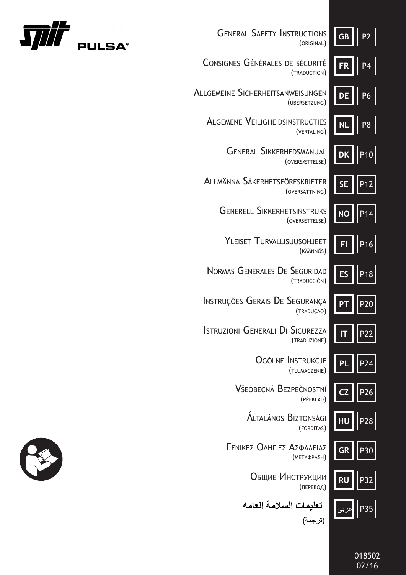| <b>GENERAL SAFETY INSTRUCTIONS</b><br>(ORIGINAL)                  | <b>GB</b> | $\overline{P2}$ |
|-------------------------------------------------------------------|-----------|-----------------|
| CONSIGNES GÉNÉRALES DE SÉCURITÉ<br>(TRADUCTION)                   |           | P4              |
| <b>ALLGEMEINE SICHERHEITSANWEISUNGEN</b><br>(ÜBERSETZUNG)         | DE        | P6              |
| <b>ALGEMENE VEILIGHEIDSINSTRUCTIES</b><br>(VERTALING)             | NL        | P8              |
| <b>GENERAL SIKKERHEDSMANUAL</b><br>(OVERSÆTTELSE)                 | DK        | P <sub>10</sub> |
| ALLMÄNNA SÄKERHETSFÖRESKRIFTER<br>(ÖVERSÄTTNING)                  | <b>SE</b> | P12             |
| <b>GENERELL SIKKERHETSINSTRUKS</b><br>(OVERSETTELSE)              | NO        | P14             |
| YLEISET TURVALLISUUSOHJEET<br>(KÄÄNNÖS)                           |           | P <sub>16</sub> |
| <b>NORMAS GENERALES DE SEGURIDAD</b><br>(TRADUCCIÓN)              | ES        | P <sub>18</sub> |
| INSTRUÇÕES GERAIS DE SEGURANÇA<br>(TRADUÇÃO)                      |           | P <sub>20</sub> |
| <b>ISTRUZIONI GENERALI DI</b><br><b>SICUREZZA</b><br>(TRADUZIONE) | IT        | P22             |
| OGÓLNE INSTRUKCJE<br>(TŁUMACZENIE)                                | Pl        | P24             |
| Všeobecná Bezpečnostní<br>(PŘEKLAD)                               |           | P26             |
| ALTALÁNOS BIZTONSÁGI<br>(FORDÍTÁS)                                | HU        | P28             |
| ΓεΝΙΚΕΣ ΟΔΗΓΙΕΣ ΑΣΦΑΛΕΙΑΣ<br>(ΜΕΤΑΦΡΑΣΗ)                          | <b>GR</b> | P30             |
| Общие Инструкции<br>(ПЕРЕВОД)                                     | <b>RU</b> | P32             |
| تعليمات السلامة العامه<br>(ترجمة)                                 |           | P35             |





018502 02/16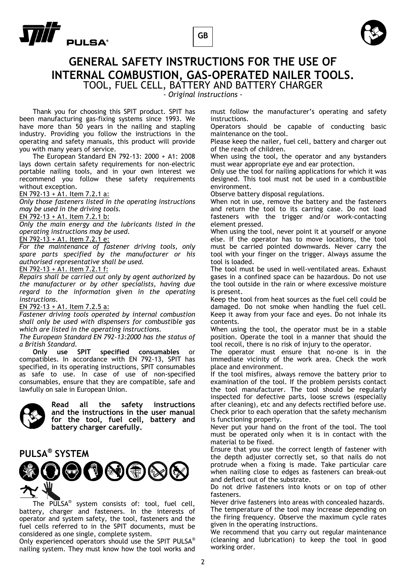



## **GENERAL SAFETY INSTRUCTIONS FOR THE USE OF INTERNAL COMBUSTION, GAS-OPERATED NAILER TOOLS.** TOOL, FUEL CELL, BATTERY AND BATTERY CHARGER

*- Original instructions -* 

 Thank you for choosing this SPIT product. SPIT has been manufacturing gas-fixing systems since 1993. We have more than 50 years in the nailing and stapling industry. Providing you follow the instructions in the operating and safety manuals, this product will provide you with many years of service.

 The European Standard EN 792-13: 2000 + A1: 2008 lays down certain safety requirements for non-electric portable nailing tools, and in your own interest we recommend you follow these safety requirements without exception.

EN 792-13 + A1. Item 7.2.1 a:

*Only those fasteners listed in the operating instructions may be used in the driving tools.* 

EN 792-13 + A1. Item 7.2.1 b:

*Only the main energy and the lubricants listed in the operating instructions may be used.* 

EN 792-13 + A1. Item 7.2.1 e:

*For the maintenance of fastener driving tools, only spare parts specified by the manufacturer or his authorised representative shall be used.* 

EN 792-13 + A1. Item 7.2.1 f:

*Repairs shall be carried out only by agent authorized by the manufacturer or by other specialists, having due regard to the information given in the operating instructions.* 

### EN 792-13 + A1. Item 7.2.5 a:

*Fastener driving tools operated by internal combustion shall only be used with dispensers for combustible gas which are listed in the operating instructions.* 

*The European Standard EN 792-13:2000 has the status of a British Standard.* 

**Only use SPIT specified consumables** compatibles. In accordance with EN 792-13, SPIT has specified, in its operating instructions, SPIT consumables as safe to use. In case of use of non-specified consumables, ensure that they are compatible, safe and lawfully on sale in European Union.



**Read all the safety instructions and the instructions in the user manual for the tool, fuel cell, battery and battery charger carefully.** 

## **PULSA® SYSTEM**



 The PULSA® system consists of: tool, fuel cell, battery, charger and fasteners. In the interests of operator and system safety, the tool, fasteners and the fuel cells referred to in the SPIT documents, must be considered as one single, complete system.

Only experienced operators should use the SPIT PULSA® nailing system. They must know how the tool works and must follow the manufacturer's operating and safety instructions.

Operators should be capable of conducting basic maintenance on the tool.

Please keep the nailer, fuel cell, battery and charger out of the reach of children.

When using the tool, the operator and any bystanders must wear appropriate eye and ear protection.

Only use the tool for nailing applications for which it was designed. This tool must not be used in a combustible environment.

Observe battery disposal regulations.

When not in use, remove the battery and the fasteners and return the tool to its carring case. Do not load fasteners with the trigger and/or work-contacting element pressed.

When using the tool, never point it at yourself or anyone else. If the operator has to move locations, the tool must be carried pointed downwards. Never carry the tool with your finger on the trigger. Always assume the tool is loaded.

The tool must be used in well-ventilated areas. Exhaust gases in a confined space can be hazardous. Do not use the tool outside in the rain or where excessive moisture is present.

Keep the tool from heat sources as the fuel cell could be damaged. Do not smoke when handling the fuel cell. Keep it away from your face and eyes. Do not inhale its contents.

When using the tool, the operator must be in a stable position. Operate the tool in a manner that should the tool recoil, there is no risk of injury to the operator.

The operator must ensure that no-one is in the immediate vicinity of the work area. Check the work place and environment.

If the tool misfires, always remove the battery prior to examination of the tool. If the problem persists contact the tool manufacturer. The tool should be regularly inspected for defective parts, loose screws (especially after cleaning), etc and any defects rectified before use. Check prior to each operation that the safety mechanism is functioning properly.

Never put your hand on the front of the tool. The tool must be operated only when it is in contact with the material to be fixed.

Ensure that you use the correct length of fastener with the depth adjuster correctly set, so that nails do not protrude when a fixing is made. Take particular care when nailing close to edges as fasteners can break-out and deflect out of the substrate.

Do not drive fasteners into knots or on top of other fasteners.

Never drive fasteners into areas with concealed hazards. The temperature of the tool may increase depending on the firing frequency. Observe the maximum cycle rates given in the operating instructions.

We recommend that you carry out regular maintenance (cleaning and lubrication) to keep the tool in good working order.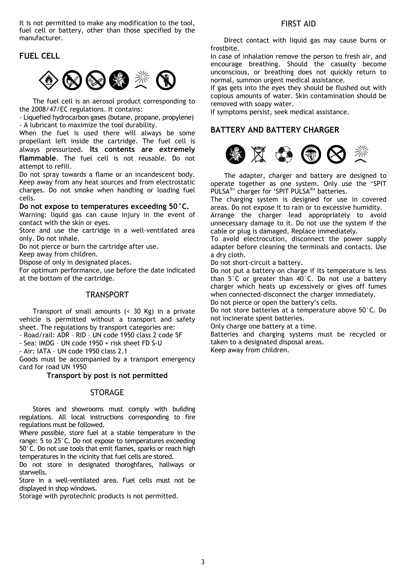It is not permitted to make any modification to the tool, fuel cell or battery, other than those specified by the manufacturer.

## **FUEL CELL**



 The fuel cell is an aerosol product corresponding to the 2008/47/EC regulations. It contains:

- Liquefied hydrocarbon gases (butane, propane, propylene) - A lubricant to maximize the tool durability.

When the fuel is used there will always be some propellant left inside the cartridge. The fuel cell is always pressurized. **Its contents are extremely flammable**. The fuel cell is not reusable. Do not attempt to refill.

Do not spray towards a flame or an incandescent body. Keep away from any heat sources and from electrostatic charges. Do not smoke when handling or loading fuel cells.

#### **Do not expose to temperatures exceeding 50°C.**

Warning: liquid gas can cause injury in the event of contact with the skin or eyes.

Store and use the cartridge in a well-ventilated area only. Do not inhale.

Do not pierce or burn the cartridge after use.

Keep away from children.

Dispose of only in designated places.

For optimum performance, use before the date indicated at the bottom of the cartridge.

## TRANSPORT

 Transport of small amounts (< 30 Kg) in a private vehicle is permitted without a transport and safety sheet. The regulations by transport categories are:

- Road/rail: ADR – RID – UN code 1950 class 2 code 5F

- Sea: IMDG – UN code 1950 + risk sheet FD S-U

- Air: IATA – UN code 1950 class 2.1

Goods must be accompanied by a transport emergency card for road UN 1950

## **Transport by post is not permitted**

## STORAGE

 Stores and showrooms must comply with building regulations. All local instructions corresponding to fire regulations must be followed.

Where possible, store fuel at a stable temperature in the range: 5 to 25°C. Do not expose to temperatures exceeding 50°C. Do not use tools that emit flames, sparks or reach high temperatures in the vicinity that fuel cells are stored.

Do not store in designated thoroghfares, hallways or starwells.

Store in a well-ventilated area. Fuel cells must not be displayed in shop windows.

Storage with pyrotechnic products is not permitted.

Direct contact with liquid gas may cause burns or frostbite.

In case of inhalation remove the person to fresh air, and encourage breathing. Should the casualty become unconscious, or breathing does not quickly return to normal, summon urgent medical assistance.

If gas gets into the eyes they should be flushed out with copious amounts of water. Skin contamination should be removed with soapy water.

If symptoms persist, seek medical assistance.

## **BATTERY AND BATTERY CHARGER**



 The adapter, charger and battery are designed to operate together as one system. Only use the 'SPIT PULSA®' charger for 'SPIT PULSA®' batteries.

The charging system is designed for use in covered areas. Do not expose it to rain or to excessive humidity.

Arrange the charger lead appropriately to avoid unnecessary damage to it. Do not use the system if the cable or plug is damaged. Replace immediately.

To avoid electrocution, disconnect the power supply adapter before cleaning the terminals and contacts. Use a dry cloth.

Do not short-circuit a battery.

Do not put a battery on charge if its temperature is less than 5°C or greater than 40°C. Do not use a battery charger which heats up excessively or gives off fumes when connected-disconnect the charger immediately.

Do not pierce or open the battery's cells.

Do not store batteries at a temperature above 50°C. Do not incinerate spent batteries.

Only charge one battery at a time.

Batteries and charging systems must be recycled or taken to a designated disposal areas.

Keep away from children.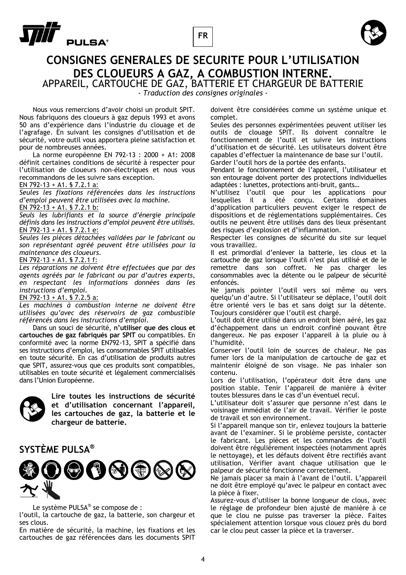



## **CONSIGNES GENERALES DE SECURITE POUR L'UTILISATION DES CLOUEURS A GAZ, A COMBUSTION INTERNE.** APPAREIL, CARTOUCHE DE GAZ, BATTERIE ET CHARGEUR DE BATTERIE

*- Traduction des consignes originales -* 

 Nous vous remercions d'avoir choisi un produit SPIT. Nous fabriquons des cloueurs à gaz depuis 1993 et avons 50 ans d'expérience dans l'industrie du clouage et de l'agrafage. En suivant les consignes d'utilisation et de sécurité, votre outil vous apportera pleine satisfaction et pour de nombreuses années.

 La norme européenne EN 792-13 : 2000 + A1: 2008 définit certaines conditions de sécurité à respecter pour l'utilisation de cloueurs non-électriques et nous vous recommandons de les suivre sans exception.

EN 792-13 + A1. § 7.2.1 a:

*Seules les fixations référencées dans les instructions d'emploi peuvent être utilisées avec la machine.*  EN  $792-13 + A1.$  § 7.2.1 b:

*Seuls les lubrifiants et la source d'énergie principale définis dans les instructions d'emploi peuvent être utilisés.*  EN 792-13 + A1. § 7.2.1 e:

*Seules les pièces détachées validées par le fabricant ou son représentant agréé peuvent être utilisées pour la maintenance des cloueurs.* 

EN 792-13 + A1. § 7.2.1 f:

*Les réparations ne doivent être effectuées que par des agents agréés par le fabricant ou par d'autres experts, en respectant les informations données dans les instructions d'emploi.* 

EN 792-13 + A1. § 7.2.5 a:

*Les machines à combustion interne ne doivent être utilisées qu'avec des réservoirs de gaz combustible référencés dans les instructions d'emploi.* 

 Dans un souci de sécurité, **n'utiliser que des clous et cartouches de gaz fabriqués par SPIT** ou compatibles. En conformité avec la norme EN792-13, SPIT a spécifié dans ses instructions d'emploi, les consommables SPIT utilisables en toute sécurité. En cas d'utilisation de produits autres que SPIT, assurez-vous que ces produits sont compatibles, utilisables en toute sécurité et légalement commercialisés dans l'Union Européenne.



**Lire toutes les instructions de sécurité et d'utilisation concernant l'appareil, les cartouches de gaz, la batterie et le chargeur de batterie.** 

## **SYSTÈME PULSA®**



Le système PULSA® se compose de :

l'outil, la cartouche de gaz, la batterie, son chargeur et ses clous.

En matière de sécurité, la machine, les fixations et les cartouches de gaz référencées dans les documents SPIT doivent être considérées comme un système unique et complet.

Seules des personnes expérimentées peuvent utiliser les outils de clouage SPIT. Ils doivent connaître le fonctionnement de l'outil et suivre les instructions d'utilisation et de sécurité. Les utilisateurs doivent être capables d'effectuer la maintenance de base sur l'outil. Garder l'outil hors de la portée des enfants.

Pendant le fonctionnement de l'appareil, l'utilisateur et son entourage doivent porter des protections individuelles adaptées : lunettes, protections anti-bruit, gants…

N'utilisez l'outil que pour les applications pour lesquelles il a été conçu. Certains domaines d'application particuliers peuvent exiger le respect de dispositions et de réglementations supplémentaires. Ces outils ne peuvent être utilisés dans des lieux présentant des risques d'explosion et d'inflammation.

Respecter les consignes de sécurité du site sur lequel vous travaillez.

Il est primordial d'enlever la batterie, les clous et la cartouche de gaz lorsque l'outil n'est plus utilisé et de le remettre dans son coffret. Ne pas charger les consommables avec la détente ou le palpeur de sécurité enfoncés.

Ne jamais pointer l'outil vers soi même ou vers quelqu'un d'autre. Si l'utilisateur se déplace, l'outil doit être orienté vers le bas et sans doigt sur la détente. Toujours considérer que l'outil est chargé.

L'outil doit être utilisé dans un endroit bien aéré, les gaz d'échappement dans un endroit confiné pouvant être dangereux. Ne pas exposer l'appareil à la pluie ou à l'humidité.

Conserver l'outil loin de sources de chaleur. Ne pas fumer lors de la manipulation de cartouche de gaz et maintenir éloigné de son visage. Ne pas inhaler son contenu.

Lors de l'utilisation, l'opérateur doit être dans une position stable. Tenir l'appareil de manière à éviter toutes blessures dans le cas d'un éventuel recul.

L'utilisateur doit s'assurer que personne n'est dans le voisinage immédiat de l'air de travail. Vérifier le poste de travail et son environnement.

Si l'appareil manque son tir, enlevez toujours la batterie avant de l'examiner. Si le problème persiste, contacter le fabricant. Les pièces et les commandes de l'outil doivent être régulièrement inspectées (notamment après le nettoyage), et les défauts doivent être rectifiés avant utilisation. Vérifier avant chaque utilisation que le palpeur de sécurité fonctionne correctement.

Ne jamais placer sa main à l'avant de l'outil. L'appareil ne doit être employé qu'avec le palpeur en contact avec la pièce à fixer.

Assurez-vous d'utiliser la bonne longueur de clous, avec le réglage de profondeur bien ajusté de manière à ce que le clou ne puisse pas traverser la pièce. Faites spécialement attention lorsque vous clouez près du bord car le clou peut casser la pièce et la traverser.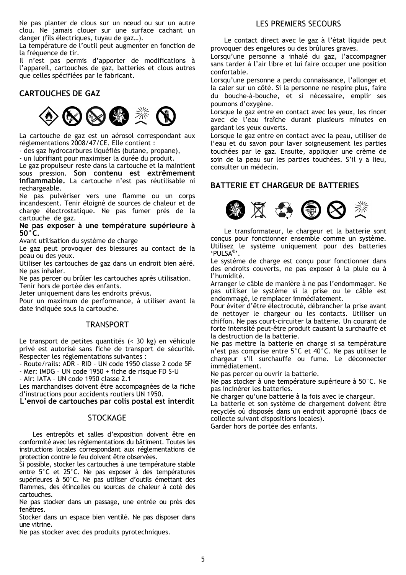Ne pas planter de clous sur un nœud ou sur un autre clou. Ne jamais clouer sur une surface cachant un danger (fils électriques, tuyau de gaz…).

La température de l'outil peut augmenter en fonction de la fréquence de tir.

Il n'est pas permis d'apporter de modifications à l'appareil, cartouches de gaz, batteries et clous autres que celles spécifiées par le fabricant.

## **CARTOUCHES DE GAZ**



La cartouche de gaz est un aérosol correspondant aux réglementations 2008/47/CE. Elle contient :

- des gaz hydrocarbures liquéfiés (butane, propane),

- un lubrifiant pour maximiser la durée du produit.

Le gaz propulseur reste dans la cartouche et la maintient sous pression. **Son contenu est extrêmement inflammable.** La cartouche n'est pas réutilisable ni rechargeable.

Ne pas pulvériser vers une flamme ou un corps incandescent. Tenir éloigné de sources de chaleur et de charge électrostatique. Ne pas fumer prés de la cartouche de gaz.

**Ne pas exposer à une température supérieure à 50°C.** 

Avant utilisation du système de charge

Le gaz peut provoquer des blessures au contact de la peau ou des yeux.

Utiliser les cartouches de gaz dans un endroit bien aéré. Ne pas inhaler.

Ne pas percer ou brûler les cartouches après utilisation. Tenir hors de portée des enfants.

Jeter uniquement dans les endroits prévus.

Pour un maximum de performance, à utiliser avant la date indiquée sous la cartouche.

## **TRANSPORT**

Le transport de petites quantités (< 30 kg) en véhicule privé est autorisé sans fiche de transport de sécurité. Respecter les réglementations suivantes :

- Route/rails: ADR – RID – UN code 1950 classe 2 code 5F

- Mer: IMDG – UN code 1950 + fiche de risque FD S-U

- Air: IATA – UN code 1950 classe 2.1

Les marchandises doivent être accompagnées de la fiche d'instructions pour accidents routiers UN 1950.

**L'envoi de cartouches par colis postal est interdit** 

## **STOCKAGE**

 Les entrepôts et salles d'exposition doivent être en conformité avec les réglementations du bâtiment. Toutes les instructions locales correspondant aux réglementations de protection contre le feu doivent être observées.

Si possible, stocker les cartouches à une température stable entre 5°C et 25°C. Ne pas exposer à des températures supérieures à 50°C. Ne pas utiliser d'outils émettant des flammes, des étincelles ou sources de chaleur à coté des cartouches.

Ne pas stocker dans un passage, une entrée ou près des fenêtres.

Stocker dans un espace bien ventilé. Ne pas disposer dans une vitrine.

Ne pas stocker avec des produits pyrotechniques.

## LES PREMIERS SECOURS

Le contact direct avec le gaz à l'état liquide peut provoquer des engelures ou des brûlures graves.

Lorsqu'une personne a inhalé du gaz, l'accompagner sans tarder à l'air libre et lui faire occuper une position confortable.

Lorsqu'une personne a perdu connaissance, l'allonger et la caler sur un côté. Si la personne ne respire plus, faire du bouche-à-bouche, et si nécessaire, emplir ses poumons d'oxygène.

Lorsque le gaz entre en contact avec les yeux, les rincer avec de l'eau fraîche durant plusieurs minutes en gardant les yeux ouverts.

Lorsque le gaz entre en contact avec la peau, utiliser de l'eau et du savon pour laver soigneusement les parties touchées par le gaz. Ensuite, appliquer une crème de soin de la peau sur les parties touchées. S'il y a lieu, consulter un médecin.

## **BATTERIE ET CHARGEUR DE BATTERIES**



 Le transformateur, le chargeur et la batterie sont conçus pour fonctionner ensemble comme un système. Utilisez le système uniquement pour des batteries 'PULSA®'.

Le système de charge est conçu pour fonctionner dans des endroits couverts, ne pas exposer à la pluie ou à l'humidité.

Arranger le câble de manière à ne pas l'endommager. Ne pas utiliser le système si la prise ou le câble est endommagé, le remplacer immédiatement.

Pour éviter d'être électrocuté, débrancher la prise avant de nettoyer le chargeur ou les contacts. Utiliser un chiffon. Ne pas court-circuiter la batterie. Un courant de forte intensité peut-être produit causant la surchauffe et la destruction de la batterie.

Ne pas mettre la batterie en charge si sa température n'est pas comprise entre 5°C et 40°C. Ne pas utiliser le chargeur s'il surchauffe ou fume. Le déconnecter immédiatement.

Ne pas percer ou ouvrir la batterie.

Ne pas stocker à une température supérieure à 50°C. Ne pas incinérer les batteries.

Ne charger qu'une batterie à la fois avec le chargeur.

La batterie et son système de chargement doivent être recyclés où disposés dans un endroit approprié (bacs de collecte suivant dispositions locales). Garder hors de portée des enfants.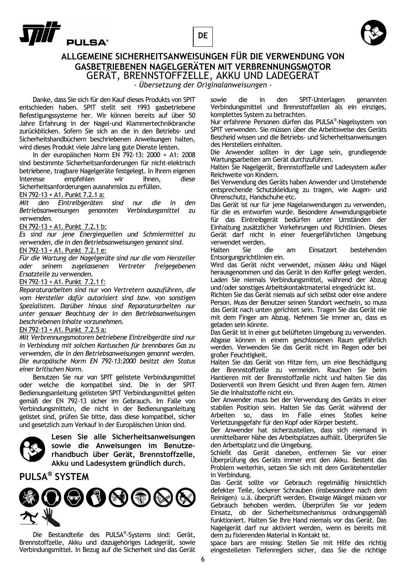





## **ALLGEMEINE SICHERHEITSANWEISUNGEN FÜR DIE VERWENDUNG VON GASBETRIEBENEN NAGELGERÄTEN MIT VERBRENNUNGSMOTOR**  GERÄT, BRENNSTOFFZELLE, AKKU UND LADEGERÄT

*- Übersetzung der Originalanweisungen -* 

 Danke, dass Sie sich für den Kauf dieses Produkts von SPIT entschieden haben. SPIT stellt seit 1993 gasbetriebene Befestigungssysteme her. Wir können bereits auf über 50 Jahre Erfahrung in der Nagel-und Klammertechnikbranche zurückblicken. Sofern Sie sich an die in den Betriebs- und Sicherheitshandbüchern beschriebenen Anweisungen halten, wird dieses Produkt viele Jahre lang gute Dienste leisten.

 In der europäischen Norm EN 792-13: 2000 + A1: 2008 sind bestimmte Sicherheitsanforderungen für nicht-elektrisch betriebene, tragbare Nagelgeräte festgelegt. In Ihrem eigenen Interesse empfehlen wir Ihnen, diese Sicherheitsanforderungen ausnahmslos zu erfüllen.

EN 792-13 + A1. Punkt 7.2.1 a:

*Mit den Eintreibgeräten sind nur die in den Betriebsanweisungen genannten Verbindungsmittel zu verwenden.* 

EN 792-13 + A1. Punkt 7.2.1 b:

*Es sind nur jene Energiequellen und Schmiermittel zu verwenden, die in den Betriebsanweisungen genannt sind.* 

EN 792-13 + A1. Punkt 7.2.1 e:

*Für die Wartung der Nagelgeräte sind nur die vom Hersteller oder seinem zugelassenen Vertreter freigegebenen Ersatzteile zu verwenden.* 

EN 792-13 + A1. Punkt 7.2.1 f:

*Reparaturarbeiten sind nur von Vertretern auszuführen, die vom Hersteller dafür autorisiert sind bzw. von sonstigen Spezialisten. Darüber hinaus sind Reparaturarbeiten nur unter genauer Beachtung der in den Betriebsanweisungen beschriebenen Inhalte vorzunehmen.* 

### EN 792-13 + A1. Punkt 7.2.5 a:

*Mit Verbrennungsmotoren betriebene Eintreibgeräte sind nur in Verbindung mit solchen Kartuschen für brennbares Gas zu verwenden, die in den Betriebsanweisungen genannt werden. Die europäische Norm EN 792-13:2000 besitzt den Status einer britischen Norm.* 

 Benutzen Sie nur von SPIT gelistete Verbindungsmittel oder welche die kompatibel sind. Die in der SPIT Bedienungsanleitung gelisteten SPIT Verbindungsmittel gelten gemäß der EN 792-13 sicher im Gebrauch. Im Falle von Verbindungsmitteln, die nicht in der Bedienungsanleitung gelistet sind, prüfen Sie bitte, dass diese kompatibel, sicher und gesetzlich zum Verkauf in der Europäischen Union sind.



**Lesen Sie alle Sicherheitsanweisungen sowie die Anweisungen im Benutzerhandbuch über Gerät, Brennstoffzelle, Akku und Ladesystem gründlich durch.** 

## **PULSA® SYSTEM**



 Die Bestandteile des PULSA® -Systems sind: Gerät, Brennstoffzelle, Akku und dazugehöriges Ladegerät, sowie Verbindungsmittel. In Bezug auf die Sicherheit sind das Gerät

sowie die in den SPIT-Unterlagen genannten Verbindungsmittel und Brennstoffzellen als ein einziges, komplettes System zu betrachten.

Nur erfahrene Personen dürfen das PULSA® -Nagelsystem von SPIT verwenden. Sie müssen über die Arbeitsweise des Geräts Bescheid wissen und die Betriebs- und Sicherheitsanweisungen des Herstellers einhalten.

Die Anwender sollten in der Lage sein, grundlegende Wartungsarbeiten am Gerät durchzuführen.

Halten Sie Nagelgerät, Brennstoffzelle und Ladesystem außer Reichweite von Kindern.

Bei Verwendung des Geräts haben Anwender und Umstehende entsprechende Schutzkleidung zu tragen, wie Augen- und Ohrenschutz, Handschuhe etc.

Das Gerät ist nur für jene Nagelanwendungen zu verwenden, für die es entworfen wurde. Besondere Anwendungsgebiete für das Eintreibgerät bedürfen unter Umständen der Einhaltung zusätzlicher Vorkehrungen und Richtlinien. Dieses Gerät darf nicht in einer feuergefährlichen Umgebung verwendet werden.<br>Halten Sie

die am Einsatzort bestehenden Entsorgungsrichtlinien ein.

Wird das Gerät nicht verwendet, müssen Akku und Nägel herausgenommen und das Gerät in den Koffer gelegt werden. Laden Sie niemals Verbindungsmittel, während der Abzug und/oder sonstiges Arbeitskontaktmaterial eingedrückt ist.

Richten Sie das Gerät niemals auf sich selbst oder eine andere Person. Muss der Benutzer seinen Standort wechseln, so muss das Gerät nach unten gerichtet sein. Tragen Sie das Gerät nie mit dem Finger am Abzug. Nehmen Sie immer an, dass es geladen sein könnte.

Das Gerät ist in einer gut belüfteten Umgebung zu verwenden. Abgase können in einem geschlossenen Raum gefährlich werden. Verwenden Sie das Gerät nicht im Regen oder bei großer Feuchtigkeit.

Halten Sie das Gerät von Hitze fern, um eine Beschädigung der Brennstoffzelle zu vermeiden. Rauchen Sie beim Hantieren mit der Brennstoffzelle nicht und halten Sie das Dosierventil von Ihrem Gesicht und Ihren Augen fern. Atmen Sie die Inhaltsstoffe nicht ein.

Der Anwender muss bei der Verwendung des Geräts in einer stabilen Position sein. Halten Sie das Gerät während der Arbeiten so, dass im Falle eines Verletzungsgefahr für den Kopf oder Körper besteht.

Der Anwender hat sicherzustellen, dass sich niemand in unmittelbarer Nähe des Arbeitsplatzes aufhält. Überprüfen Sie den Arbeitsplatz und die Umgebung.

Schießt das Gerät daneben, entfernen Sie vor einer Überprüfung des Geräts immer erst den Akku. Besteht das Problem weiterhin, setzen Sie sich mit dem Gerätehersteller in Verbindung.

Das Gerät sollte vor Gebrauch regelmäßig hinsichtlich defekter Teile, lockerer Schrauben (insbesondere nach dem Reinigen), u.ä. überprüft werden. Etwaige Mängel müssen vor Gebrauch behoben werden. Überprüfen Sie vor jedem Einsatz, ob der Sicherheitsmechanismus ordnungsgemäß funktioniert. Halten Sie Ihre Hand niemals vor das Gerät. Das Nagelgerät darf nur aktiviert werden, wenn es bereits mit dem zu fixierenden Material in Kontakt ist.

space bars are missing: Stellen Sie mit Hilfe des richtig eingestelleten Tiefenreglers sicher, dass Sie die richtige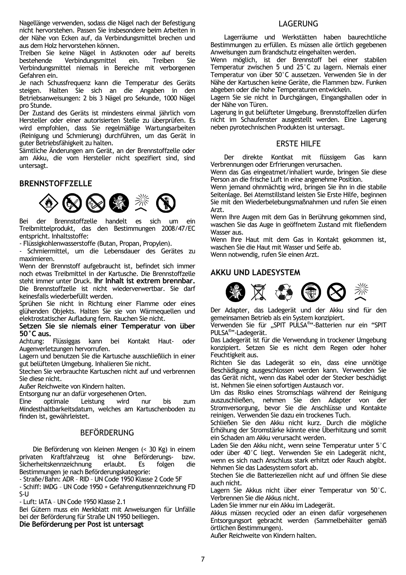Nagellänge verwenden, sodass die Nägel nach der Befestigung nicht hervorstehen. Passen Sie insbesondere beim Arbeiten in der Nähe von Ecken auf, da Verbindungsmittel brechen und aus dem Holz hervorstehen können.

Treiben Sie keine Nägel in Astknoten oder auf bereits bestehende Verbindungsmittel ein. Treiben Sie Verbindungsmittel niemals in Bereiche mit verborgenen Gefahren ein.

Je nach Schussfrequenz kann die Temperatur des Geräts steigen. Halten Sie sich an die Angaben in den Betriebsanweisungen: 2 bis 3 Nägel pro Sekunde, 1000 Nägel pro Stunde.

Der Zustand des Geräts ist mindestens einmal jährlich vom Hersteller oder einer autorisierten Stelle zu überprüfen. Es wird empfohlen, dass Sie regelmäßige Wartungsarbeiten (Reinigung und Schmierung) durchführen, um das Gerät in guter Betriebsfähigkeit zu halten.

Sämtliche Änderungen am Gerät, an der Brennstoffzelle oder am Akku, die vom Hersteller nicht spezifiert sind, sind untersagt.

## **BRENNSTOFFZELLE**



Bei der Brennstoffzelle handelt es sich um ein Treibmittelprodukt, das den Bestimmungen 2008/47/EC entspricht. Inhaltsstoffe:

- Flüssigkohlenwasserstoffe (Butan, Propan, Propylen).

- Schmiermittel, um die Lebensdauer des Gerätes zu maximieren.

Wenn der Brennstoff aufgebraucht ist, befindet sich immer noch etwas Treibmittel in der Kartusche. Die Brennstoffzelle steht immer unter Druck. **Ihr Inhalt ist extrem brennbar.** Die Brennstoffzelle ist nicht wiederverwertbar. Sie darf keinesfalls wiederbefüllt werden.

Sprühen Sie nicht in Richtung einer Flamme oder eines glühenden Objekts. Halten Sie sie von Wärmequellen und elektrostatischer Aufladung fern. Rauchen Sie nicht.

**Setzen Sie sie niemals einer Temperatur von über 50°C aus.** 

Achtung: Flüssiggas kann bei Kontakt Haut- oder Augenverletzungen hervorrufen.

Lagern und benutzen Sie die Kartusche ausschließlich in einer gut belüfteten Umgebung. Inhalieren Sie nicht.

Stechen Sie verbrauchte Kartuschen nicht auf und verbrennen Sie diese nicht.

Außer Reichweite von Kindern halten.

Entsorgung nur an dafür vorgesehenen Orten.<br>Eine optimale Leistung wird nu

Eine optimale Leistung wird nur bis zum Mindesthaltbarkeitsdatum, welches am Kartuschenboden zu finden ist, gewährleistet.

## BEFÖRDERUNG

 Die Beförderung von kleinen Mengen (< 30 Kg) in einem privaten Kraftfahrzeug ist ohne Beförderungs- bzw. Sicherheitskennzeichnung erlaubt. Es folgen die Bestimmungen je nach Beförderungskategorie:

- Straße/Bahn: ADR – RID – UN Code 1950 Klasse 2 Code 5F

- Schiff: IMDG – UN Code 1950 + Gefahrengutkennzeichnung FD S-U

- Luft: IATA – UN Code 1950 Klasse 2.1

Bei Gütern muss ein Merkblatt mit Anweisungen für Unfälle bei der Beförderung für Straße UN 1950 beiliegen. **Die Beförderung per Post ist untersagt** 

## LAGERUNG

 Lagerräume und Werkstätten haben baurechtliche Bestimmungen zu erfüllen. Es müssen alle örtlich gegebenen Anweisungen zum Brandschutz eingehalten werden.

Wenn möglich, ist der Brennstoff bei einer stabilen Temperatur zwischen 5 und 25°C zu lagern. Niemals einer Temperatur von über 50°C aussetzen. Verwenden Sie in der Nähe der Kartuschen keine Geräte, die Flammen bzw. Funken abgeben oder die hohe Temperaturen entwickeln.

Lagern Sie sie nicht in Durchgängen, Eingangshallen oder in der Nähe von Türen.

Lagerung in gut belüfteter Umgebung. Brennstoffzellen dürfen nicht im Schaufenster ausgestellt werden. Eine Lagerung neben pyrotechnischen Produkten ist untersagt.

## ERSTE HILFE

Der direkte Kontkat mit flüssigem Gas kann Verbrennungen oder Erfrierungen verursachen.

Wenn das Gas eingeatmet/inhaliert wurde, bringen Sie diese Person an die frische Luft in eine angenehme Position.

Wenn jemand ohnmächtig wird, bringen Sie ihn in die stabile Seitenlage. Bei Atemstillstand leisten Sie Erste Hilfe, beginnen Sie mit den Wiederbelebungsmaßnahmen und rufen Sie einen Arzt.

Wenn Ihre Augen mit dem Gas in Berührung gekommen sind, waschen Sie das Auge in geöffnetem Zustand mit fließendem Wasser aus.

Wenn Ihre Haut mit dem Gas in Kontakt gekommen ist, waschen Sie die Haut mit Wasser und Seife ab.

Wenn notwendig, rufen Sie einen Arzt.

## **AKKU UND LADESYSTEM**



Der Adapter, das Ladegerät und der Akku sind für den gemeinsamen Betrieb als ein System konzipiert.

Verwenden Sie für "SPIT PULSA®"-Batterien nur ein "SPIT PULSA<sup>®</sup>"-Ladegerät.

Das Ladegerät ist für die Verwendung in trockener Umgebung konzipiert. Setzen Sie es nicht dem Regen oder hoher Feuchtigkeit aus.

Richten Sie das Ladegerät so ein, dass eine unnötige Beschädigung ausgeschlossen werden kann. Verwenden Sie das Gerät nicht, wenn das Kabel oder der Stecker beschädigt ist. Nehmen Sie einen sofortigen Austausch vor.

Um das Risiko eines Stromschlags während der Reinigung auszuschließen, nehmen Sie den Adapter von der Stromversorgung, bevor Sie die Anschlüsse und Kontakte reinigen. Verwenden Sie dazu ein trockenes Tuch.

Schließen Sie den Akku nicht kurz. Durch die mögliche Erhöhung der Stromstärke könnte eine Überhitzung und somit ein Schaden am Akku verursacht werden.

Laden Sie den Akku nicht, wenn seine Temperatur unter 5°C oder über 40°C liegt. Verwenden Sie ein Ladegerät nicht, wenn es sich nach Anschluss stark erhitzt oder Rauch abgibt. Nehmen Sie das Ladesystem sofort ab.

Stechen Sie die Batteriezellen nicht auf und öffnen Sie diese auch nicht.

Lagern Sie Akkus nicht über einer Temperatur von 50°C. Verbrennen Sie die Akkus nicht.

Laden Sie immer nur ein Akku im Ladegerät.

Akkus müssen recycled oder an einen dafür vorgesehenen Entsorgungsort gebracht werden (Sammelbehälter gemäß örtlichen Bestimmungen).

Außer Reichweite von Kindern halten.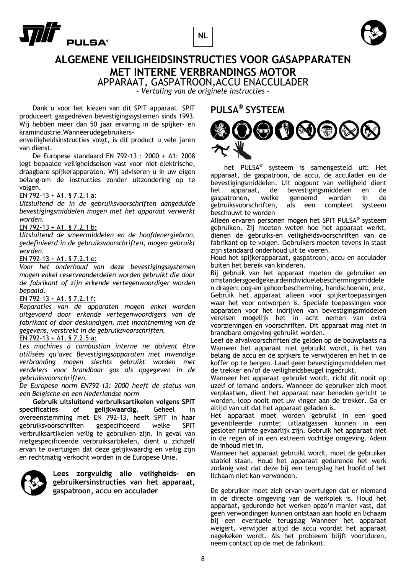





## **ALGEMENE VEILIGHEIDSINSTRUCTIES VOOR GASAPPARATEN MET INTERNE VERBRANDINGS MOTOR**

APPARAAT, GASPATROON,ACCU ENACCULADER

*- Vertaling van de originele instructies -* 

 Dank u voor het kiezen van dit SPIT apparaat. SPIT produceert gasgedreven bevestigingssystemen sinds 1993. Wij hebben meer dan 50 jaar ervaring in de spijker- en kramindustrie.Wanneerudegebruikers-

enveiligheidsinstructies volgt, is dit product u vele jaren van dienst.

 De Europese standaard EN 792-13 : 2000 + A1: 2008 legt bepaalde veiligheidseisen vast voor niet-elektrische, draagbare spijkerapparaten. Wij adviseren u in uw eigen belang-om de instructies zonder uitzondering op te volgen.

## EN 792-13 + A1. § 7.2.1 a:

*Uitsluitend de in de gebruiksvoorschriften aangeduide bevestigingsmiddelen mogen met het apparaat verwerkt worden.* 

## EN 792-13 + A1. § 7.2.1 b:

*Uitsluitend de smeermiddelen en de hoofdenergiebron, gedefinieerd in de gebruiksvoorschriften, mogen gebruikt worden.* 

## EN 792-13 + A1. § 7.2.1 e:

*Voor het onderhoud van deze bevestigingssystemen mogen enkel reserveonderdelen worden gebruikt die door de fabrikant of zijn erkende vertegenwoordiger worden bepaald.* 

### EN 792-13 + A1. § 7.2.1 f:

*Reparaties van de apparaten mogen enkel worden uitgevoerd door erkende vertegenwoordigers van de fabrikant of door deskundigen, met inachtneming van de gegevens, verstrekt in de gebruiksvoorschriften.* 

## EN 792-13 + A1. § 7.2.5 a:

*Les machines à combustion interne ne doivent être utilisées qu'avec Bevestigingsapparaten met inwendige verbranding mogen slechts gebruikt worden met verdelers voor brandbaar gas als opgegeven in de gebruiksvoorschriften.* 

*De Europese norm EN792-13: 2000 heeft de status van een Belgische en een Nederlandse norm* 

**Gebruik uitsluitend verbruiksartikelen volgens SPIT specificaties of gelijkwaardig.** Geheel in overeenstemming met EN 792-13, heeft SPIT in haar gebruiksvoorschriften gespecificeerd welke SPIT verbruiksartikelen veilig te gebruiken zijn. In geval van nietgespecificeerde verbruiksartikelen, dient u zichzelf ervan te overtuigen dat deze gelijkwaardig en veilig zijn en rechtmatig verkocht worden in de Europese Unie.



**Lees zorgvuldig alle veiligheids- en gebruikersinstructies van het apparaat, gaspatroon, accu en acculader** 

## **PULSA® SYSTEEM**



 het PULSA® systeem is samengesteld uit: Het apparaat, de gaspatroon, de accu, de acculader en de bevestigingsmiddelen. Uit oogpunt van veiligheid dient het apparaat, de bevestigingsmiddelen en de gaspatronen, welke genoemd worden in de gebruiksvoorschriften, als een compleet systeem beschouwt te worden

Alleen ervaren personen mogen het SPIT PULSA® systeem gebruiken. Zij moeten weten hoe het apparaat werkt, dienen de gebruiks-en veiligheidsvoorschriften van de fabrikant op te volgen. Gebruikers moeten tevens in staat zijn standaard onderhoud uit te voeren.

Houd het spijkerapparaat, gaspatroon, accu en acculader buiten het bereik van kinderen.

Bij gebruik van het apparaat moeten de gebruiker en omstandersgoedgekeurdeindividuelebeschermingsmiddele n dragen: oog-en gehoorbescherming, handschoenen, enz. Gebruik het apparaat alleen voor spijkertoepassingen waar het voor ontworpen is. Speciale toepassingen voor apparaten voor het indrijven van bevestigingsmiddelen vereisen mogelijk het in acht nemen van extra voorzieningen en voorschriften. Dit apparaat mag niet in brandbare omgeving gebruikt worden.

Leef de afvalvoorschriften die gelden op de bouwplaats na Wanneer het apparaat niet gebruikt wordt, is het van belang de accu en de spijkers te verwijderen en het in de koffer op te bergen. Laad geen bevestigingsmiddelen met de trekker en/of de veiligheidsbeugel ingedrukt.

Wanneer het apparaat gebruikt wordt, richt dit nooit op uzelf of iemand anders. Wanneer de gebruiker zich moet verplaatsen, dient het apparaat naar beneden gericht te worden, loop nooit met uw vinger aan de trekker. Ga er altijd van uit dat het apparaat geladen is.

Het apparaat moet worden gebruikt in een goed geventileerde ruimte; uitlaatgassen kunnen in een gesloten ruimte gevaarlijk zijn. Gebruik het apparaat niet in de regen of in een extreem vochtige omgeving. Adem de inhoud niet in.

Wanneer het apparaat gebruikt wordt, moet de gebruiker stabiel staan. Houd het apparaat gedurende het werk zodanig vast dat deze bij een terugslag het hoofd of het lichaam niet kan verwonden.

De gebruiker moet zich ervan overtuigen dat er niemand in de directe omgeving van de werkplek is. Houd het apparaat, gedurende het werken opzo'n manier vast, dat geen verwondingen kunnen ontstaan aan hoofd en lichaam bij een eventuele terugslag Wanneer het apparaat weigert, verwijder altijd de accu voordat het apparaat nagekeken wordt. Als het probleem blijft voortduren, neem contact op de met de fabrikant.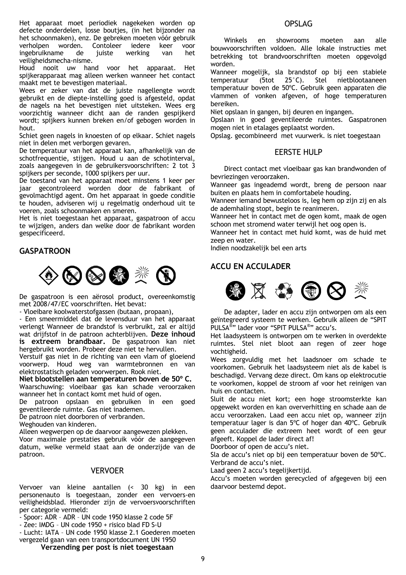Het apparaat moet periodiek nagekeken worden op defecte onderdelen, losse boutjes, (in het bijzonder na het schoonmaken), enz. De gebreken moeten vóór gebruik verholpen worden. Contoleer iedere keer voor ingebruikname de juiste werking van het veiligheidsmecha-nisme.

Houd nooit uw hand voor het apparaat. Het spijkerapparaat mag alleen werken wanneer het contact maakt met te bevestigen materiaal.

Wees er zeker van dat de juiste nagellengte wordt gebruikt en de diepte-instelling goed is afgesteld, opdat de nagels na het bevestigen niet uitsteken. Wees erg voorzichtig wanneer dicht aan de randen gespijkerd wordt; spijkers kunnen breken en/of gebogen worden in hout.

Schiet geen nagels in knoesten of op elkaar. Schiet nagels niet in delen met verborgen gevaren.

De temperatuur van het apparaat kan, afhankelijk van de schotfrequentie, stijgen. Houd u aan de schotinterval, zoals aangegeven in de gebruikersvoorschriften: 2 tot 3 spijkers per seconde, 1000 spijkers per uur.

De toestand van het apparaat moet minstens 1 keer per jaar gecontroleerd worden door de fabrikant of gevolmachtigd agent. Om het apparaat in goede conditie te houden, adviseren wij u regelmatig onderhoud uit te voeren, zoals schoonmaken en smeren.

Het is niet toegestaan het apparaat, gaspatroon of accu te wijzigen, anders dan welke door de fabrikant worden gespecificeerd.

## **GASPATROON**



De gaspatroon is een aërosol product, overeenkomstig met 2008/47/EC voorschriften. Het bevat:

- Vloeibare koolwaterstofgassen (butaan, propaan),

- Een smeermiddel dat de levensduur van het apparaat verlengt Wanneer de brandstof is verbruikt, zal er altijd wat drijfstof in de patroon achterblijven. **Deze inhoud is extreem brandbaar.** De gaspatroon kan niet hergebruikt worden. Probeer deze niet te hervullen.

Verstuif gas niet in de richting van een vlam of gloeiend voorwerp. Houd weg van warmtebronnen en van elektrostatisch geladen voorwerpen. Rook niet.

**Niet blootstellen aan temperaturen boven de 50º C.**  Waarschuwing: vloeibaar gas kan schade veroorzaken wanneer het in contact komt met huid of ogen.

De patroon opslaan en gebruiken in een goed geventileerde ruimte. Gas niet inademen.

De patroon niet doorboren of verbranden.

Weghouden van kinderen.

Alleen wegwerpen op de daarvoor aangewezen plekken.

Voor maximale prestaties gebruik vóór de aangegeven datum, welke vermeld staat aan de onderzijde van de patroon.

## VERVOER

Vervoer van kleine aantallen (< 30 kg) in een personenauto is toegestaan, zonder een vervoers-en veiligheidsblad. Hieronder zijn de vervoersvoorschriften per categorie vermeld:

- Spoor: ADR ADR UN code 1950 klasse 2 code 5F
- Zee: IMDG UN code 1950 + risico blad FD S-U

- Lucht: IATA – UN code 1950 klasse 2.1 Goederen moeten vergezeld gaan van een transportdocument UN 1950

**Verzending per post is niet toegestaan** 

## OPSLAG

 Winkels en showrooms moeten aan alle bouwvoorschriften voldoen. Alle lokale instructies met betrekking tot brandvoorschriften moeten opgevolgd worden.

Wanneer mogelijk, sla brandstof op bij een stabiele temperatuur (5tot 25°C). Stel nietblootaaneen temperatuur boven de 50ºC. Gebruik geen apparaten die vlammen of vonken afgeven, of hoge temperaturen bereiken.

Niet opslaan in gangen, bij deuren en ingangen.

Opslaan in goed geventileerde ruimtes. Gaspatronen mogen niet in etalages geplaatst worden.

Opslag. gecombineerd met vuurwerk. is niet toegestaan

## EERSTE HULP

Direct contact met vloeibaar gas kan brandwonden of bevriezingen veroorzaken.

Wanneer gas ingeademd wordt, breng de persoon naar buiten en plaats hem in comfortabele houding.

Wanneer iemand bewusteloos is, leg hem op zijn zij en als de ademhaling stopt, begin te reanimeren.

Wanneer het in contact met de ogen komt, maak de ogen schoon met stromend water terwijl het oog open is.

Wanneer het in contact met huid komt, was de huid met zeep en water.

Indien noodzakelijk bel een arts

## **ACCU EN ACCULADER**



 De adapter, lader en accu zijn ontworpen om als een geïntegreerd systeem te werken. Gebruik alleen de "SPIT PULSA®" lader voor "SPIT PULSA®" accu's.

Het laadsysteem is ontworpen om te werken in overdekte ruimtes. Stel niet bloot aan regen of zeer hoge vochtigheid.

Wees zorgvuldig met het laadsnoer om schade te voorkomen. Gebruik het laadsysteem niet als de kabel is beschadigd. Vervang deze direct. Om kans op elektrocutie te voorkomen, koppel de stroom af voor het reinigen van huis en contacten.

Sluit de accu niet kort; een hoge stroomsterkte kan opgewekt worden en kan oververhitting en schade aan de accu veroorzaken. Laad een accu niet op, wanneer zijn temperatuur lager is dan 5ºC of hoger dan 40ºC. Gebruik geen acculader die extreem heet wordt of een geur afgeeft. Koppel de lader direct af!

Doorboor of open de accu's niet.

Sla de accu's niet op bij een temperatuur boven de 50ºC. Verbrand de accu's niet.

Laad geen 2 accu's tegelijkertijd.

Accu's moeten worden gerecycled of afgegeven bij een daarvoor bestemd depot.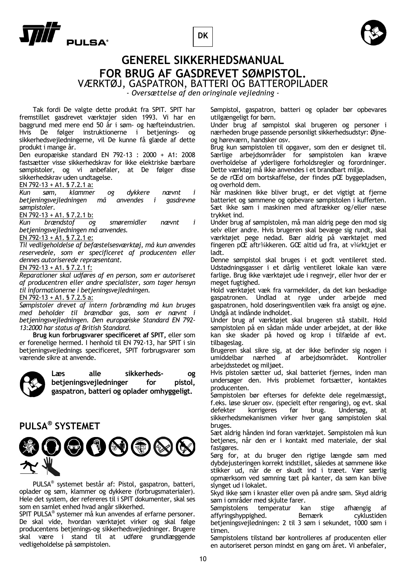**DK**





## **GENEREL SIKKERHEDSMANUAL FOR BRUG AF GASDREVET SØMPISTOL.**

VÆRKTØJ, GASPATRON, BATTERI OG BATTEROPILADER

*- Oversættelse af den oringinale vejledning -* 

 Tak fordi De valgte dette produkt fra SPIT. SPIT har fremstillet gasdrevet værktøjer siden 1993. Vi har en baggrund med mere end 50 år i søm- og hæfteindustrien. Hvis De følger instruktionerne i betjenings- og sikkerhedsvejledningerne, vil De kunne få glæde af dette produkt i mange år.

Den europæiske standard EN 792-13 : 2000 + A1: 2008 fastsætter visse sikkerhedskrav for ikke elektriske bærbare sømpistoler, og vi anbefaler, at De følger disse sikkerhedskrav uden undtagelse.

EN 792-13 + A1. § 7.2.1 a:

*Kun søm, klammer og dykkere nævnt i betjeningsvejledningen må anvendes i sømpistoler.* 

EN 792-13 + A1. § 7.2.1 b:

*Kun brændstof og smøremidler nævnt i betjeningsvejledningen må anvendes.* 

EN 792-13 + A1. § 7.2.1 e:

*Til vedligeholdelse af befæstelsesværktøj, må kun anvendes reservedele, som er specificeret af producenten eller dennes autoriserede repræsentant.* 

EN 792-13 + A1. § 7.2.1 f:

*Reparationer skal udføres af en person, som er autoriseret af producentren eller andre specialister, som tager hensyn til informationerne i betjeningsvejledningen.* 

EN 792-13 + A1. § 7.2.5 a:

*Sømpistoler drevet af intern forbrænding må kun bruges med beholder til brændbar gas, som er nævnt i betjeningsvejledningen. Den europæiske Standard EN 792- 13:2000 har status af British Standard.* 

**Brug kun forbrugsvarer specificeret af SPIT,** eller som er forenelige hermed. I henhold til EN 792-13, har SPIT i sin betjeningsvejlednings specificeret, SPIT forbrugsvarer som værende sikre at anvende.



**Læs alle sikkerheds- og**  betjeningsvejledninger for pistol, **gaspatron, batteri og oplader omhyggeligt.** 

## **PULSA® SYSTEMET**



 PULSA® systemet består af: Pistol, gaspatron, batteri, oplader og søm, klammer og dykkere (forbrugsmaterialer). Hele det system, der refereres til i SPIT dokumenter, skal ses som en samlet enhed hvad angår sikkerhed.

SPIT PULSA® systemer må kun anvendes af erfarne personer. De skal vide, hvordan værktøjet virker og skal følge producentens betjenings-og sikkerhedsvejledninger. Brugere skal være i stand til at udføre grundlæggende vedligeholdelse på sømpistolen.

Sømpistol, gaspatron, batteri og oplader bør opbevares utilgængeligt for børn.

Under brug af sømpistol skal brugeren og personer i nærheden bruge passende personligt sikkerhedsudstyr: Øjneog høreværn, handsker osv.

Brug kun sømpistolen til opgaver, som den er designet til. Særlige arbejdsområder for sømpistolen kan kræve overholdelse af yderligere forholdsregler og forordninger. Dette værktøj må ikke anvendes i et brandbart miljø.

Se de rŒd om bortskaffelse, der findes pŒ byggepladsen, og overhold dem.

Når maskinen ikke bliver brugt, er det vigtigt at fjerne batteriet og sømmene og opbevare sømpistolen i kufferten. Sæt ikke søm i maskinen med aftrækker og/eller næse trykket ind.

Under brug af sømpistolen, må man aldrig pege den mod sig selv eller andre. Hvis brugeren skal bevæge sig rundt, skal værktøjet pege nedad. Bær aldrig på værktøjet med fingeren pŒ aftr¾kkeren. GŒ altid ud fra, at v¾rkt¿jet er ladt.

Denne sømpistol skal bruges i et godt ventileret sted. Udstødningsgasser i et dårlig ventileret lokale kan være farlige. Brug ikke værktøjet ude i regnvejr, eller hvor der er meget fugtighed.

Hold værktøjet væk fra varmekilder, da det kan beskadige gaspatronen. Undlad at ryge under arbejde med gaspatronen, hold doseringsventilen væk fra ansigt og øjne. Undgå at indånde indholdet.

Under brug af værktøjet skal brugeren stå stabilt. Hold sømpistolen på en sådan måde under arbejdet, at der ikke kan ske skader på hoved og krop i tilfælde af evt. tilbageslag.

Brugeren skal sikre sig, at der ikke befinder sig nogen i umiddelbar nærhed af arbejdsområdet. Kontroller arbejdsstedet og miljøet.

Hvis pistolen sætter ud, skal batteriet fjernes, inden man undersøger den. Hvis problemet fortsætter, kontaktes producenten.

Sømpistolen bør efterses for defekte dele regelmæssigt, f.eks. løse skruer osv. (specielt efter rengøring), og evt. skal defekter korrigeres før brug. Undersøg, at sikkerhedsmekanismen virker hver gang sømpistolen skal bruges.

Sæt aldrig hånden ind foran værktøjet. Sømpistolen må kun betjenes, når den er i kontakt med materiale, der skal fastgøres.

Sørg for, at du bruger den rigtige længde søm med dybdejusteringen korrekt indstillet, således at sømmene ikke stikker ud, når de er skudt ind i træet. Vær særlig opmærksom ved sømning tæt på kanter, da søm kan blive slynget ud i lokalet.

Skyd ikke søm i knaster eller oven på andre søm. Skyd aldrig søm i områder med skjulte farer.

Sømpistolens temperatur kan stige afhængig af affyringshyppighed. Bemærk cyklustiden betjeningsvejledningen: 2 til 3 søm i sekundet, 1000 søm i timen.

Sømpistolens tilstand bør kontrolleres af producenten eller en autoriseret person mindst en gang om året. Vi anbefaler,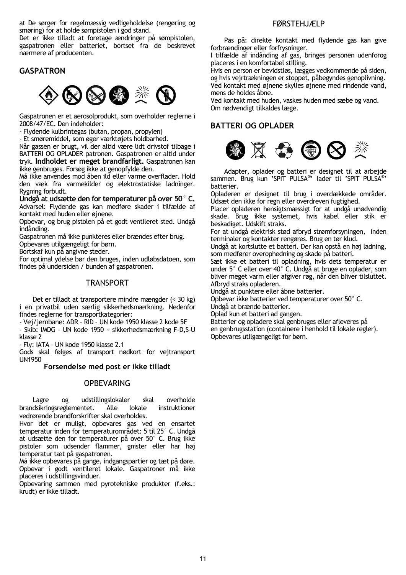at De sørger for regelmæssig vedligeholdelse (rengøring og smøring) for at holde sømpistolen i god stand.

Det er ikke tilladt at foretage ændringer på sømpistolen, gaspatronen eller batteriet, bortset fra de beskrevet nærmere af producenten.

## **GASPATRON**



Gaspatronen er et aerosolprodukt, som overholder reglerne i 2008/47/EC. Den indeholder:

- Flydende kulbrintegas (butan, propan, propylen)

- Et smøremiddel, som øger værktøjets holdbarhed.

Når gassen er brugt, vil der altid være lidt drivstof tilbage i BATTERI OG OPLADER patronen. Gaspatronen er altid under tryk. **Indholdet er meget brandfarligt.** Gaspatronen kan ikke genbruges. Forsøg ikke at genopfylde den.

Må ikke anvendes mod åben ild eller varme overflader. Hold den væk fra varmekilder og elektrostatiske ladninger. Rygning forbudt.

**Undgå at udsætte den for temperaturer på over 50° C.**  Advarsel: Flydende gas kan medføre skader i tilfælde af kontakt med huden eller øjnene.

Opbevar, og brug pistolen på et godt ventileret sted. Undgå indånding.

Gaspatronen må ikke punkteres eller brændes efter brug.

Opbevares utilgængeligt for børn.

Bortskaf kun på angivne steder.

For optimal ydelse bør den bruges, inden udløbsdatoen, som findes på undersiden / bunden af gaspatronen.

## **TRANSPORT**

 Det er tilladt at transportere mindre mængder (< 30 kg) i en privatbil uden særlig sikkerhedsmærkning. Nedenfor findes reglerne for transportkategorier:

- Vej/jernbane: ADR – RID – UN kode 1950 klasse 2 kode 5F

- Skib: IMDG – UN kode 1950 + sikkerhedsmærkning F-D,S-U klasse 2

- Fly: IATA – UN kode 1950 klasse 2.1

Gods skal følges af transport nødkort for vejtransport UN1950

**Forsendelse med post er ikke tilladt** 

## **OPBEVARING**

 Lagre og udstillingslokaler skal overholde brandsikringsreglementet. Alle lokale instruktioner vedrørende brandforskrifter skal overholdes.

Hvor det er muligt, opbevares gas ved en ensartet temperatur inden for temperaturområdet: 5 til 25° C. Undgå at udsætte den for temperaturer på over 50° C. Brug ikke pistoler som udsender flammer, gnister eller har høj temperatur tæt på gaspatronen.

Må ikke opbevares på gange, indgangspartier og tæt på døre. Opbevar i godt ventileret lokale. Gaspatroner må ikke placeres i udstillingsvinduer.

Opbevaring sammen med pyrotekniske produkter (f.eks.: krudt) er ikke tilladt.

## FØRSTEHJÆLP

Pas på: direkte kontakt med flydende gas kan give forbrændinger eller forfrysninger.

I tilfælde af indånding af gas, bringes personen udenforog placeres i en komfortabel stilling.

Hvis en person er bevidstløs, lægges vedkommende på siden, og hvis vejrtrækningen er stoppet, påbegyndes genoplivning. Ved kontakt med øjnene skylles øjnene med rindende vand, mens de holdes åbne.

Ved kontakt med huden, vaskes huden med sæbe og vand. Om nødvendigt tilkaldes læge.

## **BATTERI OG OPLADER**



 Adapter, oplader og batteri er designet til at arbejde sammen. Brug kun 'SPIT PULSA® ' lader til 'SPIT PULSA® ' batterier.

Opladeren er designet til brug i overdækkede områder. Udsæt den ikke for regn eller overdreven fugtighed.

Placer opladeren hensigtsmæssigt for at undgå unødvendig skade. Brug ikke systemet, hvis kabel eller stik er beskadiget. Udskift straks.

For at undgå elektrisk stød afbryd strømforsyningen, inden terminaler og kontakter rengøres. Brug en tør klud.

Undgå at kortslutte et batteri. Der kan opstå en høj ladning, som medfører overophedning og skade på batteri.

Sæt ikke et batteri til opladning, hvis dets temperatur er under 5° C eller over 40° C. Undgå at bruge en oplader, som bliver meget varm eller afgiver røg, når den bliver tilsluttet. Afbryd straks opladeren.

Undgå at punktere eller åbne batterier.

Opbevar ikke batterier ved temperaturer over 50° C. Undgå at brænde batterier.

Oplad kun et batteri ad gangen.

Batterier og opladere skal genbruges eller afleveres på en genbrugsstation (containere i henhold til lokale regler). Opbevares utilgængeligt for børn.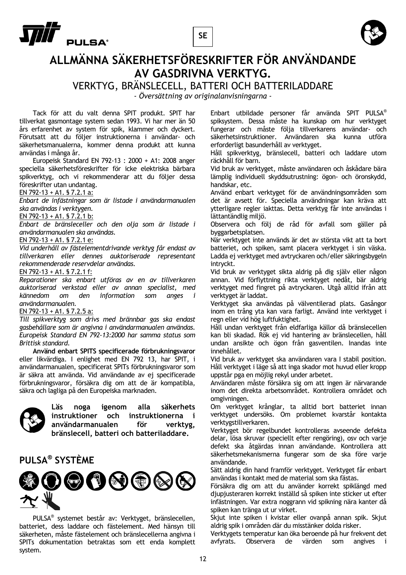





## **ALLMÄNNA SÄKERHETSFÖRESKRIFTER FÖR ANVÄNDANDE AV GASDRIVNA VERKTYG.**

VERKTYG, BRÄNSLECELL, BATTERI OCH BATTERILADDARE

*- Översättning av originalanvisningarna -* 

 Tack för att du valt denna SPIT produkt. SPIT har tillverkat gasmontage system sedan 1993. Vi har mer än 50 års erfarenhet av system för spik, klammer och dyckert. Förutsatt att du följer instruktionerna i användar- och säkerhetsmanualerna, kommer denna produkt att kunna användas i många år.

 Europeisk Standard EN 792-13 : 2000 + A1: 2008 anger speciella säkerhetsföreskrifter för icke elektriska bärbara spikverktyg, och vi rekommenderar att du följer dessa föreskrifter utan undantag.

## EN 792-13 + A1. § 7.2.1 a:

*Enbart de infästningar som är listade i användarmanualen ska användas i verktygen.* 

EN 792-13 + A1. § 7.2.1 b:

*Enbart de bränsleceller och den olja som är listade i användarmanualen ska användas.* 

### EN 792-13 + A1. § 7.2.1 e:

*Vid underhåll av fästelementdrivande verktyg får endast av tillverkaren eller dennes auktoriserade representant rekommenderade reservdelar användas.* 

#### EN 792-13 + A1. § 7.2.1 f:

*Reparationer ska enbart utföras av en av tillverkaren auktoriserad verkstad eller av annan specialist, med kännedom om den information som anges i användarmanualen.* 

## EN 792-13 + A1. § 7.2.5 a:

*Till spikverktyg som drivs med brännbar gas ska endast gasbehållare som är angivna i användarmanualen användas. Europeisk Standard EN 792-13:2000 har samma status som Brittisk standard.* 

**Använd enbart SPITS specificerade förbrukningsvaror** eller likvärdiga. I enlighet med EN 792 13, har SPIT, i användarmanualen, specificerat SPITs förbrukningsvaror som är säkra att använda. Vid användande av ej specificerade förbrukningsvaror, försäkra dig om att de är kompatibla, säkra och lagliga på den Europeiska marknaden.



**Läs noga igenom alla säkerhets instruktioner och instruktionerna i användarmanualen för verktyg, bränslecell, batteri och batteriladdare.** 

## **PULSA® SYSTÈME**



 PULSA® systemet består av: Verktyget, bränslecellen, batteriet, dess laddare och fästelement. Med hänsyn till säkerheten, måste fästelement och bränslecellerna angivna i SPITs dokumentation betraktas som ett enda komplett system.

Enbart utbildade personer får använda SPIT PULSA® spiksystem. Dessa måste ha kunskap om hur verktyget fungerar och måste följa tillverkarens användar- och säkerhetsinstruktioner. Användaren ska kunna utföra erforderligt basunderhåll av verktyget.

Håll spikverktyg, bränslecell, batteri och laddare utom räckhåll för barn.

Vid bruk av verktyget, måste användaren och åskådare bära lämplig individuell skyddsutrustning: ögon- och öronskydd, handskar, etc.

Använd enbart verktyget för de användningsområden som det är avsett för. Speciella användningar kan kräva att ytterligare regler iakttas. Detta verktyg får inte användas i lättantändlig miljö.

Observera och följ de råd för avfall som gäller på byggarbetsplatsen.

När verktyget inte används är det av största vikt att ta bort batteriet, och spiken, samt placera verktyget i sin väska. Ladda ej verktyget med avtryckaren och/eller säkringsbygeln intryckt.

Vid bruk av verktyget sikta aldrig på dig själv eller någon annan. Vid förflyttning rikta verktyget nedåt, bär aldrig verktyget med fingret på avtryckaren. Utgå alltid ifrån att verktyget är laddat.

Verktyget ska användas på välventilerad plats. Gasångor inom en trång yta kan vara farligt. Använd inte verktyget i regn eller vid hög luftfuktighet.

Håll undan verktyget från eldfarliga källor då bränslecellen kan bli skadad. Rök ej vid hantering av bränslecellen, håll undan ansikte och ögon från gasventilen. Inandas inte innehållet.

Vid bruk av verktyget ska användaren vara I stabil position. Håll verktyget i läge så att inga skador mot huvud eller kropp uppstår pga en möjlig rekyl under arbetet.

Användaren måste försäkra sig om att ingen är närvarande inom det direkta arbetsområdet. Kontrollera området och omgivningen.

Om verktyget krånglar, ta alltid bort batteriet innan verktyget undersöks. Om problemet kvarstår kontakta verktygstillverkaren.

Verktyget bör regelbundet kontrolleras avseende defekta delar, lösa skruvar (speciellt efter rengöring), osv och varje defekt ska åtgärdas innan användande. Kontrollera att säkerhetsmekanismerna fungerar som de ska före varje användande.

Sätt aldrig din hand framför verktyget. Verktyget får enbart användas i kontakt med de material som ska fästas.

Försäkra dig om att du använder korrekt spiklängd med djupjusteraren korrekt inställd så spiken inte sticker ut efter infästningen. Var extra noggrann vid spikning nära kanter då spiken kan tränga ut ur virket.

Skjut inte spiken i kvistar eller ovanpå annan spik. Skjut aldrig spik i områden där du misstänker dolda risker.

Verktygets temperatur kan öka beroende på hur frekvent det avfyrats. Observera de värden som angives i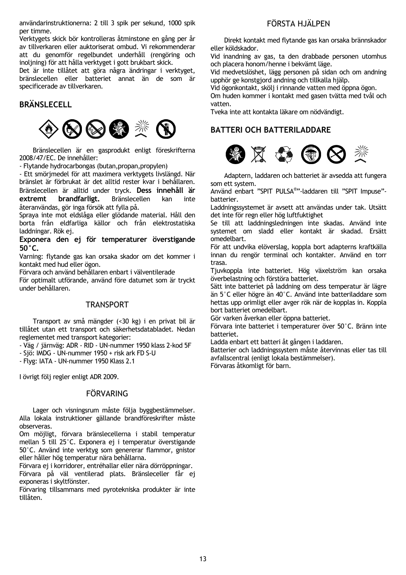användarinstruktionerna: 2 till 3 spik per sekund, 1000 spik per timme.

Verktygets skick bör kontrolleras åtminstone en gång per år av tillverkaren eller auktoriserat ombud. Vi rekommenderar att du genomför regelbundet underhåll (rengöring och inoljning) för att hålla verktyget i gott brukbart skick.

Det är inte tillåtet att göra några ändringar i verktyget, bränslecellen eller batteriet annat än de som är specificerade av tillverkaren.

## **BRÄNSLECELL**



 Bränslecellen är en gasprodukt enligt föreskrifterna 2008/47/EC. De innehåller:

- Flytande hydrocarbongas (butan,propan,propylen)

- Ett smörjmedel för att maximera verktygets livslängd. När bränslet är förbrukat är det alltid rester kvar i behållaren. Bränslecellen är alltid under tryck. **Dess innehåll är extremt brandfarligt.** Bränslecellen kan inte återanvändas, gör inga försök att fylla på.

Spraya inte mot eldslåga eller glödande material. Håll den borta från eldfarliga källor och från elektrostatiska laddningar. Rök ej.

**Exponera den ej för temperaturer överstigande 50°C.** 

Varning: flytande gas kan orsaka skador om det kommer i kontakt med hud eller ögon.

Förvara och använd behållaren enbart i välventilerade

För optimalt utförande, använd före datumet som är tryckt under behållaren.

## **TRANSPORT**

 Transport av små mängder (<30 kg) i en privat bil är tillåtet utan ett transport och säkerhetsdatabladet. Nedan reglementet med transport kategorier:

- Väg / järnväg: ADR - RID - UN-nummer 1950 klass 2-kod 5F

- Sjö: IMDG - UN-nummer 1950 + risk ark FD S-U

- Flyg: IATA - UN-nummer 1950 Klass 2.1

I övrigt följ regler enligt ADR 2009.

## **FÖRVARING**

 Lager och visningsrum måste följa byggbestämmelser. Alla lokala instruktioner gällande brandföreskrifter måste observeras.

Om möjligt, förvara bränslecellerna i stabil temperatur mellan 5 till 25°C. Exponera ej i temperatur överstigande 50°C. Använd inte verktyg som genererar flammor, gnistor eller håller hög temperatur nära behållarna.

Förvara ej i korridorer, entréhallar eller nära dörröppningar. Förvara på väl ventilerad plats. Bränsleceller får ej exponeras i skyltfönster.

Förvaring tillsammans med pyrotekniska produkter är inte tillåten.

## FÖRSTA HJÄLPEN

Direkt kontakt med flytande gas kan orsaka brännskador eller köldskador.

Vid inandning av gas, ta den drabbade personen utomhus och placera honom/henne i bekvämt läge.

Vid medvetslöshet, lägg personen på sidan och om andning upphör ge konstgjord andning och tillkalla hjälp.

Vid ögonkontakt, skölj i rinnande vatten med öppna ögon. Om huden kommer i kontakt med gasen tvätta med tvål och vatten.

Tveka inte att kontakta läkare om nödvändigt.

## **BATTERI OCH BATTERILADDARE**



 Adaptern, laddaren och batteriet är avsedda att fungera som ett system.

Använd enbart "SPIT PULSA® "-laddaren till "SPIT Impuse" batterier.

Laddningssystemet är avsett att användas under tak. Utsätt det inte för regn eller hög luftfuktighet

Se till att laddningsledningen inte skadas. Använd inte systemet om sladd eller kontakt är skadad. Ersätt omedelbart.

För att undvika elöverslag, koppla bort adapterns kraftkälla innan du rengör terminal och kontakter. Använd en torr trasa.

Tjuvkoppla inte batteriet. Hög växelström kan orsaka överbelastning och förstöra batteriet.

Sätt inte batteriet på laddning om dess temperatur är lägre än 5°C eller högre än 40°C. Använd inte batteriladdare som hettas upp orimligt eller avger rök när de kopplas in. Koppla bort batteriet omedelbart.

Gör varken åverkan eller öppna batteriet.

Förvara inte batteriet i temperaturer över 50°C. Bränn inte batteriet.

Ladda enbart ett batteri åt gången i laddaren.

Batterier och laddningssystem måste återvinnas eller tas till avfallscentral (enligt lokala bestämmelser).

Förvaras åtkomligt för barn.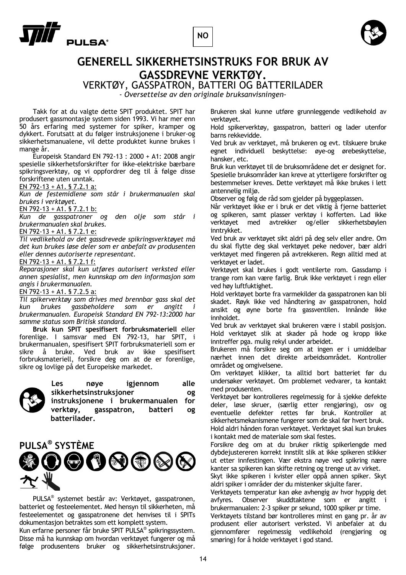



## **GENERELL SIKKERHETSINSTRUKS FOR BRUK AV GASSDREVNE VERKTØY.**

VERKTØY, GASSPATRON, BATTERI OG BATTERILADER

*- Oversettelse av den originale bruksanvisningen-* 

 Takk for at du valgte dette SPIT produktet. SPIT har produsert gassmontasje system siden 1993. Vi har mer enn 50 års erfaring med systemer for spiker, kramper og dykkert. Forutsatt at du følger instruksjonene i bruker-og sikkerhetsmanualene, vil dette produktet kunne brukes i mange år.

 Europeisk Standard EN 792-13 : 2000 + A1: 2008 angir spesielle sikkerhetsforskrifter for ikke-elektriske bærbare spikringsverktøy, og vi oppfordrer deg til å følge disse forskriftene uten unntak.

EN 792-13 + A1. § 7.2.1 a:

*Kun de festemidlene som står i brukermanualen skal brukes i verktøyet.* 

EN 792-13 + A1. § 7.2.1 b:

*Kun de gasspatroner og den olje som står i brukermanualen skal brukes.* 

EN 792-13 + A1. § 7.2.1 e:

*Til vedlikehold av det gassdrevede spikringsverktøyet må det kun brukes løse deler som er anbefalt av produsenten eller dennes autoriserte representant.* 

### EN 792-13 + A1. § 7.2.1 f:

*Reparasjoner skal kun utføres autorisert verksted eller annen spesialist, men kunnskap om den informasjon som angis i brukermanualen.* 

EN 792-13 + A1. § 7.2.5 a:

*Til spikerverktøy som drives med brennbar gass skal det kun brukes gassbeholdere som er angitt i brukermanualen. Europeisk Standard EN 792-13:2000 har samme status som Britisk standard.* 

**Bruk kun SPIT spesifisert forbruksmateriell** eller forenlige. I samsvar med EN 792-13, har SPIT, i brukermanualen, spesifisert SPIT forbruksmateriell som er sikre å bruke. Ved bruk av ikke spesifisert forbruksmateriell, forsikre deg om at de er forenlige, sikre og lovlige på det Europeiske markedet.



**Les nøye igjennom alle sikkerhetsinstruksjoner og instruksjonene i brukermanualen for verktøy, gasspatron, batteri og batterilader.** 

## **PULSA® SYSTÈME**



 PULSA® systemet består av: Verktøyet, gasspatronen, batteriet og festeelementet. Med hensyn til sikkerheten, må festeelementet og gasspatronene det henvises til i SPITs dokumentasjon betraktes som ett komplett system.

Kun erfarne personer får bruke SPIT PULSA® spikringssystem. Disse må ha kunnskap om hvordan verktøyet fungerer og må følge produsentens bruker og sikkerhetsinstruksjoner.

Brukeren skal kunne utføre grunnleggende vedlikehold av verktøyet.

Hold spikerverktøy, gasspatron, batteri og lader utenfor barns rekkevidde.

Ved bruk av verktøyet, må brukeren og evt. tilskuere bruke egnet individuell beskyttelse: øye-og ørebeskyttelse, hansker, etc.

Bruk kun verktøyet til de bruksområdene det er designet for. Spesielle bruksområder kan kreve at ytterligere forskrifter og bestemmelser kreves. Dette verktøyet må ikke brukes i lett antennelig miljø.

Observer og følg de råd som gjelder på byggeplassen.

Når verktøyet ikke er i bruk er det viktig å fjerne batteriet og spikeren, samt plasser verktøy i kofferten. Lad ikke verktøyet med avtrekker og/eller sikkerhetsbøylen inntrykket.

Ved bruk av verktøyet sikt aldri på deg selv eller andre. Om du skal flytte deg skal verktøyet peke nedover, bær aldri verktøyet med fingeren på avtrekkeren. Regn alltid med at verktøyet er ladet.

Verktøyet skal brukes i godt ventilerte rom. Gassdamp i trange rom kan være farlig. Bruk ikke verktøyet i regn eller ved høy luftfuktighet.

Hold verktøyet borte fra varmekilder da gasspatronen kan bli skadet. Røyk ikke ved håndtering av gasspatronen, hold ansikt og øyne borte fra gassventilen. Innånde ikke innholdet.

Ved bruk av verktøyet skal brukeren være i stabil posisjon. Hold verktøyet slik at skader på hode og kropp ikke inntreffer pga. mulig rekyl under arbeidet.

Brukeren må forsikre seg om at ingen er i umiddelbar nærhet innen det direkte arbeidsområdet. Kontroller området og omgivelsene.

Om verktøyet klikker, ta alltid bort batteriet før du undersøker verktøyet. Om problemet vedvarer, ta kontakt med produsenten.

Verktøyet bør kontrolleres regelmessig for å sjekke defekte deler, løse skruer, (særlig etter rengjøring), osv og eventuelle defekter rettes før bruk. Kontroller at sikkerhetsmekanismene fungerer som de skal før hvert bruk. Hold aldri hånden foran verktøyet. Verktøyet skal kun brukes

i kontakt med de materiale som skal festes.

Forsikre deg om at du bruker riktig spikerlengde med dybdejustereren korrekt innstilt slik at ikke spikeren stikker ut etter innfestingen. Vær ekstra nøye ved spikring nære kanter sa spikeren kan skifte retning og trenge ut av virket.

Skyt ikke spikeren i kvister eller oppå annen spiker. Skyt aldri spiker i områder der du mistenker skjulte farer.

Verktøyets temperatur kan øke avhengig av hvor hyppig det avfyres. Observer skuddtaktene som er angitt i brukermanualen: 2-3 spiker pr sekund, 1000 spiker pr time.

Verktøyets tilstand bør kontrolleres minst en gang pr. år av produsent eller autorisert verksted. Vi anbefaler at du gjennomfører regelmessig vedlikehold (rengjøring og smøring) for å holde verktøyet i god stand.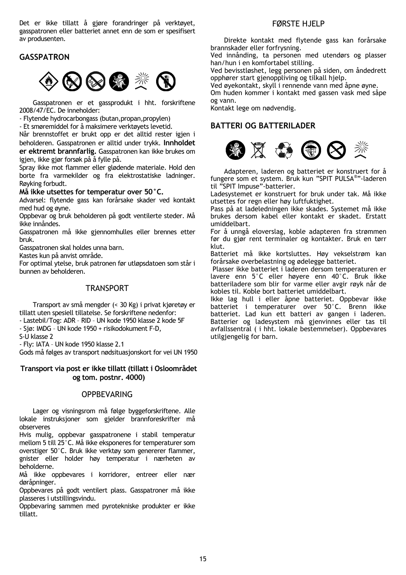Det er ikke tillatt å gjøre forandringer på verktøyet, gasspatronen eller batteriet annet enn de som er spesifisert av produsenten.

## **GASSPATRON**



 Gasspatronen er et gassprodukt i hht. forskriftene 2008/47/EC. De inneholder:

- Flytende hydrocarbongass (butan,propan,propylen)

- Et smøremiddel for å maksimere verktøyets levetid.

Når brennstoffet er brukt opp er det alltid rester igjen i beholderen. Gasspatronen er alltid under trykk. **Innholdet er ektremt brannfarlig.** Gasspatronen kan ikke brukes om igjen, ikke gjør forsøk på å fylle på.

Spray ikke mot flammer eller glødende materiale. Hold den borte fra varmekilder og fra elektrostatiske ladninger. Røyking forbudt.

### **Må ikke utsettes for temperatur over 50°C.**

Advarsel: flytende gass kan forårsake skader ved kontakt med hud og øyne.

Oppbevar og bruk beholderen på godt ventilerte steder. Må ikke innåndes.

Gasspatronen må ikke gjennomhulles eller brennes etter bruk.

Gasspatronen skal holdes unna barn.

Kastes kun på anvist område.

For optimal ytelse, bruk patronen før utløpsdatoen som står i bunnen av beholderen.

## **TRANSPORT**

 Transport av små mengder (< 30 Kg) i privat kjøretøy er tillatt uten spesiell tillatelse. Se forskriftene nedenfor:

- Lastebil/Tog: ADR – RID – UN kode 1950 klasse 2 kode 5F

- Sjø: IMDG – UN kode 1950 + risikodokument F-D,

S-U klasse 2

- Fly: IATA – UN kode 1950 klasse 2.1

Gods må følges av transport nødsituasjonskort for vei UN 1950

## **Transport via post er ikke tillatt (tillatt i Osloområdet og tom. postnr. 4000)**

## OPPBEVARING

 Lager og visningsrom må følge byggeforskriftene. Alle lokale instruksjoner som gjelder brannforeskrifter må observeres

Hvis mulig, oppbevar gasspatronene i stabil temperatur mellom 5 till 25°C. Må ikke eksponeres for temperaturer som overstiger 50°C. Bruk ikke verktøy som genererer flammer, gnister eller holder høy temperatur i nærheten av beholderne.

Må ikke oppbevares i korridorer, entreer eller nær døråpninger.

Oppbevares på godt ventilert plass. Gasspatroner må ikke plasseres i utstillingsvindu.

Oppbevaring sammen med pyrotekniske produkter er ikke tillatt.

## FØRSTE HJELP

Direkte kontakt med flytende gass kan forårsake brannskader eller forfrysning.

Ved innånding, ta personen med utendørs og plasser han/hun i en komfortabel stilling.

Ved bevisstløshet, legg personen på siden, om åndedrett opphører start gjenoppliving og tilkall hjelp.

Ved øyekontakt, skyll i rennende vann med åpne øyne.

Om huden kommer i kontakt med gassen vask med såpe og vann.

Kontakt lege om nødvendig.

## **BATTERI OG BATTERILADER**



 Adapteren, laderen og batteriet er konstruert for å fungere som et system. Bruk kun "SPIT PULSA®"-laderen til "SPIT Impuse"-batterier.

Ladesystemet er konstruert for bruk under tak. Må ikke utsettes for regn eller høy luftfuktighet.

Pass på at ladeledningen ikke skades. Systemet må ikke brukes dersom kabel eller kontakt er skadet. Erstatt umiddelbart.

For å unngå eloverslag, koble adapteren fra strømmen før du gjør rent terminaler og kontakter. Bruk en tørr klut.

Batteriet må ikke kortsluttes. Høy vekselstrøm kan forårsake overbelastning og ødelegge batteriet.

 Plasser ikke batteriet i laderen dersom temperaturen er lavere enn 5°C eller høyere enn 40°C. Bruk ikke batteriladere som blir for varme eller avgir røyk når de kobles til. Koble bort batteriet umiddelbart.

Ikke lag hull i eller åpne batteriet. Oppbevar ikke batteriet i temperaturer over 50°C. Brenn ikke batteriet. Lad kun ett batteri av gangen i laderen. Batterier og ladesystem må gjenvinnes eller tas til avfallssentral ( i hht. lokale bestemmelser). Oppbevares utilgjengelig for barn.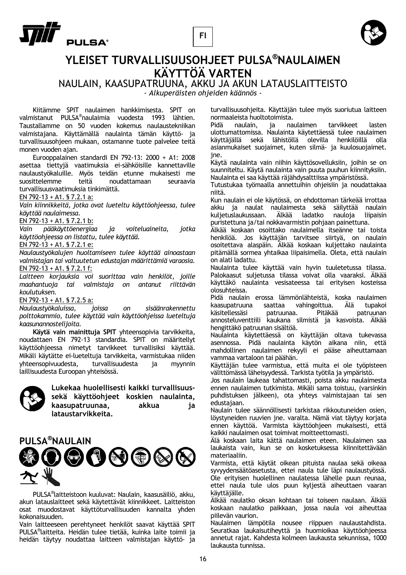





## **YLEISET TURVALLISUUSOHJEET PULSA®NAULAIMEN KÄYTTÖÄ VARTEN**

NAULAIN, KAASUPATRUUNA, AKKU JA AKUN LATAUSLAITTEISTO

*- Alkuperäisten ohjeiden käännös -* 

 Kiitämme SPIT naulaimen hankkimisesta. SPIT on valmistanut PULSA® naulaimia vuodesta 1993 lähtien. Taustallamme on 50 vuoden kokemus naulaustekniikan valmistajana. Käyttämällä naulainta tämän käyttö- ja turvallisuusohjeen mukaan, ostamanne tuote palvelee teitä monen vuoden ajan.

 Eurooppalainen standardi EN 792-13: 2000 + A1: 2008 asettaa tiettyjä vaatimuksia ei-sähköisille kannettaville naulaustyökaluille. Myös teidän etunne mukaisesti me suosittelemme teitä noudattamaan seuraavia turvallisuusvaatimuksia tinkimättä.

EN 792-13 + A1. § 7.2.1 a:

*Vain kiinnikkeitä, jotka ovat lueteltu käyttöohjeessa, tulee käyttää naulaimessa.* 

EN 792-13 + A1. § 7.2.1 b:

*Vain pääkäyttöenergiaa ja voiteluaineita, jotka käyttöohjeessa on listattu, tulee käyttää.* 

EN 792-13 + A1. § 7.2.1 e:

*Naulaustyökalujen huoltamiseen tulee käyttää ainoastaan valmistajan tai valtuutetun edustajan määrittämiä varaosia.*  EN 792-13 + A1. § 7.2.1 f:

*Laitteen korjauksia voi suorittaa vain henkilöt, joille maahantuoja tai valmistaja on antanut riittävän koulutuksen.* 

EN 792-13 + A1. § 7.2.5 a:

*Naulaustyökaluissa, joissa on sisäänrakennettu polttokammio, tulee käyttää vain käyttöohjeissa lueteltuja kaasunannostelijoita.* 

**Käytä vain mainittuja SPIT** yhteensopivia tarvikkeita, noudattaen EN 792-13 standardia. SPIT on määritellyt käyttöohjeessa nimetyt tarvikkeet turvallisiksi käyttää. Mikäli käytätte ei-lueteltuja tarvikkeita, varmistukaa niiden yhteensopivuudesta, turvallisuudesta ja myynnin laillisuudesta Euroopan yhteisössä.



**Lukekaa huolellisesti kaikki turvallisuussekä käyttöohjeet koskien naulainta, kaasupatruunaa, akkua ja lataustarvikkeita.** 



 PULSA® laitteistoon kuuluvat: Naulain, kaasusäiliö, akku, akun latauslaitteet sekä käytettävät kiinnikkeet. Laitteiston osat muodostavat käyttöturvallisuuden kannalta yhden kokonaisuuden.

Vain laitteeseen perehtyneet henkilöt saavat käyttää SPIT PULSA® laitteita. Heidän tulee tietää, kuinka laite toimii ja heidän täytyy noudattaa laitteen valmistajan käyttö- ja

turvallisuusohjeita. Käyttäjän tulee myös suoriutua laitteen normaaleista huoltotoimista.

Pidä naulain, ja naulaimen tarvikkeet lasten ulottumattomissa. Naulainta käytettäessä tulee naulaimen käyttäjällä sekä lähistöllä olevilla henkilöillä olla asianmukaiset suojaimet, kuten silmä- ja kuulosuojaimet. jne.

Käytä naulainta vain niihin käyttösovelluksiin, joihin se on suunniteltu. Käytä naulainta vain puuta puuhun kiinnityksiin. Naulainta ei saa käyttää räjähdysalttiissa ympäristössä.

Tutustukaa työmaalla annettuihin ohjeisiin ja noudattakaa niitä.

Kun naulain ei ole käytössä, on ehdottoman tärkeää irrottaa akku ja naulat naulaimesta sekä säilyttää naulain kuljetuslaukussaan. Älkää ladatko nauloja liipaisin puristettuna ja/tai nokkavarmistin pohjaan painettuna.

Älkää koskaan osoittako naulaimella itseänne tai toista henkilöä. Jos käyttäjän tarvitsee siirtyä, on naulain osoitettava alaspäin. Älkää koskaan kuljettako naulainta pitämällä sormea yhtaikaa liipaisimella. Oleta, että naulain on alati ladattu.

Naulainta tulee käyttää vain hyvin tuuletetussa tilassa. Palokaasut suljetussa tilassa voivat olla vaaraksi. Älkää käyttäkö naulainta vesisateessa tai erityisen kosteissa olosuhteissa.

Pidä naulain erossa lämmönlähteistä, koska naulaimen kaasupatruuna saattaa vahingoittua. Älä tupakoi<br>käsitellessäsi patruunaa. Pitäkää patruunan käsitellessäsi annosteluventtiili kaukana silmistä ja kasvoista. Älkää hengittäkö patruunan sisältöä.

Naulainta käytettäessä on käyttäjän oltava tukevassa asennossa. Pidä naulainta käytön aikana niin, että mahdollinen naulaimen rekyyli ei pääse aiheuttamaan vammaa vartaloon tai päähän.

Käyttäjän tulee varmistua, että muita ei ole työpisteen välittömässä läheisyydessä. Tarkista työtila ja ympäristö.

Jos naulain laukeaa tahattomasti, poista akku naulaimesta ennen naulaimen tutkimista. Mikäli sama toistuu, (varsinkin puhdistuksen jälkeen), ota yhteys valmistajaan tai sen edustajaan.

Naulain tulee säännöllisesti tarkistaa rikkoutuneiden osien, löystyneiden ruuvien jne. varalta. Nämä viat täytyy korjata ennen käyttöä. Varmista käyttöohjeen mukaisesti, että kaikki naulaimen osat toimivat moitteettomasti.

Älä koskaan laita kättä naulaimen eteen. Naulaimen saa laukaista vain, kun se on kosketuksessa kiinnitettävään materiaaliin.

Varmista, että käytät oikean pituista naulaa sekä oikeaa syvyydensäätöasetusta, ettei naula tule läpi naulaustyössä. Ole erityisen huolellinen naulatessa lähelle puun reunaa, ettei naula tule ulos puun kyljestä aiheuttaen vaaran käyttäjälle.

Älkää naulatko oksan kohtaan tai toiseen naulaan. Älkää koskaan naulatko paikkaan, jossa naula voi aiheuttaa piilevän vaurion.

Naulaimen lämpötila nousee riippuen naulaustahdista. Seuratkaa laukaisutiheyttä ja huomioikaa käyttöohjeessa annetut rajat. Kahdesta kolmeen laukausta sekunnissa, 1000 laukausta tunnissa.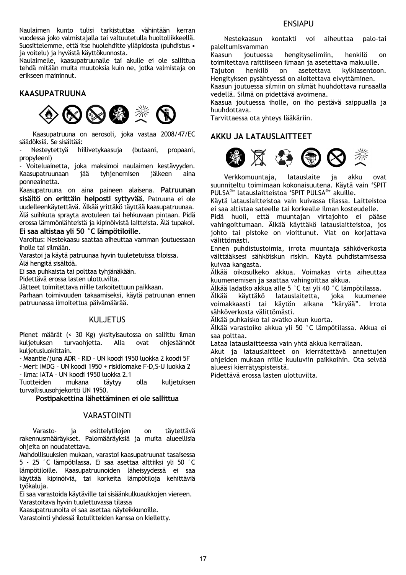Naulaimen kunto tulisi tarkistuttaa vähintään kerran vuodessa joko valmistajalla tai valtuutetulla huoltoliikkeellä. Suosittelemme, että itse huolehditte ylläpidosta (puhdistus • ja voitelu) ja hyvästä käyttökunnosta.

Naulaimelle, kaasupatruunalle tai akulle ei ole sallittua tehdä mitään muita muutoksia kuin ne, jotka valmistaja on erikseen maininnut.

## **KAASUPATRUUNA**



 Kaasupatruuna on aerosoli, joka vastaa 2008/47/EC säädöksiä. Se sisältää:

Nesteytettyä hiilivetykaasuja (butaani, propaani, propyleeni)

- Voiteluainetta, joka maksimoi naulaimen kestävyyden.<br>Kaasupatruunaan jää tyhjenemisen iälkeen aina Kaasupatruunaan jää tyhjenemisen jälkeen aina ponneainetta.

Kaasupatruuna on aina paineen alaisena. **Patruunan sisältö on erittäin helposti syttyvää.** Patruuna ei ole uudelleenkäytettävä. Älkää yrittäkö täyttää kaasupatruunaa. Älä suihkuta sprayta avotuleen tai hehkuvaan pintaan. Pidä erossa lämmönlähteistä ja kipinöivistä laitteista. Älä tupakoi.

## **Ei saa altistaa yli 50 °C lämpötiloille.**

Varoitus: Nestekaasu saattaa aiheuttaa vamman joutuessaan iholle tai silmään.

Varastoi ja käytä patruunaa hyvin tuuletetuissa tiloissa. Älä hengitä sisältöä.

Ei saa puhkaista tai polttaa tyhjänäkään.

Pidettävä erossa lasten ulottuvilta.

Jätteet toimitettava niille tarkoitettuun paikkaan.

Parhaan toimivuuden takaamiseksi, käytä patruunan ennen patruunassa ilmoitettua päivämäärää.

## KULJETUS

Pienet määrät (< 30 Kg) yksityisautossa on sallittu ilman kuljetuksen turvaohjetta. Alla ovat ohjesäännöt kuljetusluokittain.

- Maantie/juna ADR – RID – UN koodi 1950 luokka 2 koodi 5F

- Meri: IMDG – UN koodi 1950 + riskilomake F-D,S-U luokka 2 - Ilma: IATA – UN koodi 1950 luokka 2.1

Tuotteiden mukana täytyy olla kuljetuksen

turvallisuusohjekortti UN 1950.

**Postipakettina lähettäminen ei ole sallittua** 

## VARASTOINTI

 Varasto- ja esittelytilojen on täytettävä rakennusmääräykset. Palomääräyksiä ja muita alueellisia ohjeita on noudatettava.

Mahdollisuuksien mukaan, varastoi kaasupatruunat tasaisessa 5 - 25 °C lämpötilassa. Ei saa asettaa alttiiksi yli 50 °C lämpötiloille. Kaasupatruunoiden läheisyydessä ei saa käyttää kipinöiviä, tai korkeita lämpötiloja kehittäviä työkaluja.

Ei saa varastoida käytäville tai sisäänkulkuaukkojen viereen. Varastoitava hyvin tuulettuvassa tilassa

Kaasupatruunoita ei saa asettaa näyteikkunoille.

Varastointi yhdessä ilotulitteiden kanssa on kielletty.

Nestekaasun kontakti voi aiheuttaa palo-tai paleltumisvamman

Kaasun joutuessa hengityselimiin, henkilö on toimitettava raittiiseen ilmaan ja asetettava makuulle.

Tajuton henkilö on asetettava kylkiasentoon. Hengityksen pysähtyessä on aloitettava elvyttäminen.

Kaasun joutuessa silmiin on silmät huuhdottava runsaalla vedellä. Silmä on pidettävä avoimena.

Kaasua joutuessa iholle, on iho pestävä saippualla ja huuhdottava.

Tarvittaessa ota yhteys lääkäriin.

## **AKKU JA LATAUSLAITTEET**



 Verkkomuuntaja, latauslaite ja akku ovat suunniteltu toimimaan kokonaisuutena. Käytä vain 'SPIT PULSA®' latauslaitteistoa 'SPIT PULSA®' akuille.

Käytä latauslaitteistoa vain kuivassa tilassa. Laitteistoa ei saa altistaa sateelle tai korkealle ilman kosteudelle.

Pidä huoli, että muuntajan virtajohto ei pääse vahingoittumaan. Älkää käyttäkö latauslaitteistoa, jos johto tai pistoke on vioittunut. Viat on korjattava välittömästi.

Ennen puhdistustoimia, irrota muuntaja sähköverkosta välttääksesi sähköiskun riskin. Käytä puhdistamisessa kuivaa kangasta.

Älkää oikosulkeko akkua. Voimakas virta aiheuttaa kuumenemisen ja saattaa vahingoittaa akkua.

Älkää ladatko akkua alle 5 °C tai yli 40 °C lämpötilassa.<br>Älkää käyttäkö latauslaitetta. ioka kuumene

käyttäkö latauslaitetta, joka kuumenee voimakkaasti tai käytön aikana "käryää". Irrota sähköverkosta välittömästi.

Älkää puhkaisko tai avatko akun kuorta.

Älkää varastoiko akkua yli 50 °C lämpötilassa. Akkua ei saa polttaa.

Lataa latauslaitteessa vain yhtä akkua kerrallaan.

Akut ja latauslaitteet on kierrätettävä annettujen ohjeiden mukaan niille kuuluviin paikkoihin. Ota selvää alueesi kierrätyspisteistä.

Pidettävä erossa lasten ulottuvilta.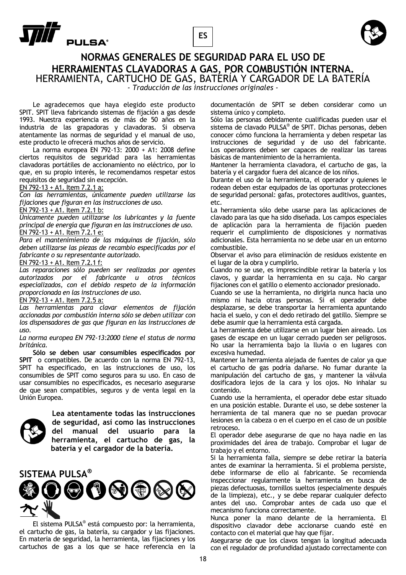



## **NORMAS GENERALES DE SEGURIDAD PARA EL USO DE HERRAMIENTAS CLAVADORAS A GAS, POR COMBUSTIÓN INTERNA.** HERRAMIENTA, CARTUCHO DE GAS, BATERÍA Y CARGADOR DE LA BATERÍA

*- Traducción de las instrucciones originales -* 

 Le agradecemos que haya elegido este producto SPIT. SPIT lleva fabricando sistemas de fijación a gas desde 1993. Nuestra experiencia es de más de 50 años en la industria de las grapadoras y clavadoras. Si observa atentamente las normas de seguridad y el manual de uso, este producto le ofrecerá muchos años de servicio.

 La norma europea EN 792-13: 2000 + A1: 2008 define ciertos requisitos de seguridad para las herramientas clavadoras portátiles de accionamiento no eléctrico, por lo que, en su propio interés, le recomendamos respetar estos requisitos de seguridad sin excepción.

### EN 792-13 + A1. Item 7.2.1 a:

*Con las herramientas, únicamente pueden utilizarse las fijaciones que figuran en las instrucciones de uso.* 

EN 792-13 + A1. Item 7.2.1 b:

*Únicamente pueden utilizarse los lubricantes y la fuente principal de energía que figuran en las instrucciones de uso.*  EN 792-13 + A1. Item 7.2.1 e:

*Para el mantenimiento de las máquinas de fijación, sólo deben utilizarse las piezas de recambio especificadas por el fabricante o su representante autorizado.* 

#### EN 792-13 + A1. Item 7.2.1 f:

*Las reparaciones sólo pueden ser realizadas por agentes autorizados por el fabricante u otros técnicos especializados, con el debido respeto de la información proporcionada en las instrucciones de uso.* 

### EN 792-13 + A1. Item 7.2.5 a:

*Las herramientas para clavar elementos de fijación accionadas por combustión interna sólo se deben utilizar con los dispensadores de gas que figuran en las instrucciones de uso.* 

*La norma europea EN 792-13:2000 tiene el status de norma británica.* 

 **Sólo se deben usar consumibles especificados por SPIT** o compatibles. De acuerdo con la norma EN 792-13, SPIT ha especificado, en las instrucciones de uso, los consumibles de SPIT como seguros para su uso. En caso de usar consumibles no especificados, es necesario asegurarse de que sean compatibles, seguros y de venta legal en la Unión Europea.



**Lea atentamente todas las instrucciones de seguridad, así como las instrucciones del manual del usuario para la herramienta, el cartucho de gas, la batería y el cargador de la batería.**



 El sistema PULSA® está compuesto por: la herramienta, el cartucho de gas, la batería, su cargador y las fijaciones. En materia de seguridad, la herramienta, las fijaciones y los cartuchos de gas a los que se hace referencia en la

documentación de SPIT se deben considerar como un sistema único y completo.

Sólo las personas debidamente cualificadas pueden usar el sistema de clavado PULSA® de SPIT. Dichas personas, deben conocer cómo funciona la herramienta y deben respetar las instrucciones de seguridad y de uso del fabricante. Los operadores deben ser capaces de realizar las tareas básicas de mantenimiento de la herramienta.

Mantener la herramienta clavadora, el cartucho de gas, la batería y el cargador fuera del alcance de los niños.

Durante el uso de la herramienta, el operador y quienes le rodean deben estar equipados de las oportunas protecciones de seguridad personal: gafas, protectores auditivos, guantes, etc.

La herramienta sólo debe usarse para las aplicaciones de clavado para las que ha sido diseñada. Los campos especiales de aplicación para la herramienta de fijación pueden requerir el cumplimiento de disposiciones y normativas adicionales. Esta herramienta no se debe usar en un entorno combustible.

Observar el aviso para eliminación de residuos existente en el lugar de la obra y cumplirlo.

Cuando no se use, es imprescindible retirar la batería y los clavos, y guardar la herramienta en su caja. No cargar fijaciones con el gatillo o elemento accionador presionado.

Cuando se use la herramienta, no dirigirla nunca hacia uno mismo ni hacia otras personas. Si el operador debe desplazarse, se debe transportar la herramienta apuntando hacia el suelo, y con el dedo retirado del gatillo. Siempre se debe asumir que la herramienta está cargada.

La herramienta debe utilizarse en un lugar bien aireado. Los gases de escape en un lugar cerrado pueden ser peligrosos. No usar la herramienta bajo la lluvia o en lugares con excesiva humedad.

Mantener la herramienta alejada de fuentes de calor ya que el cartucho de gas podría dañarse. No fumar durante la manipulación del cartucho de gas, y mantener la válvula dosificadora lejos de la cara y los ojos. No inhalar su contenido.

Cuando use la herramienta, el operador debe estar situado en una posición estable. Durante el uso, se debe sostener la herramienta de tal manera que no se puedan provocar lesiones en la cabeza o en el cuerpo en el caso de un posible retroceso.

El operador debe asegurarse de que no haya nadie en las proximidades del área de trabajo. Comprobar el lugar de trabajo y el entorno.

Si la herramienta falla, siempre se debe retirar la batería antes de examinar la herramienta. Si el problema persiste, debe informarse de ello al fabricante. Se recomienda inspeccionar regularmente la herramienta en busca de piezas defectuosas, tornillos sueltos (especialmente después de la limpieza), etc., y se debe reparar cualquier defecto antes del uso. Comprobar antes de cada uso que el mecanismo funciona correctamente.

Nunca poner la mano delante de la herramienta. El dispositivo clavador debe accionarse cuando esté en contacto con el material que hay que fijar.

Asegurarse de que los clavos tengan la longitud adecuada con el regulador de profundidad ajustado correctamente con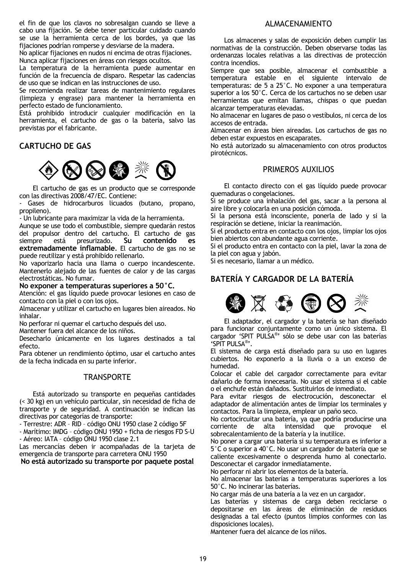el fin de que los clavos no sobresalgan cuando se lleve a cabo una fijación. Se debe tener particular cuidado cuando se use la herramienta cerca de los bordes, ya que las fijaciones podrían romperse y desviarse de la madera.

No aplicar fijaciones en nudos ni encima de otras fijaciones. Nunca aplicar fijaciones en áreas con riesgos ocultos.

La temperatura de la herramienta puede aumentar en función de la frecuencia de disparo. Respetar las cadencias de uso que se indican en las instrucciones de uso.

Se recomienda realizar tareas de mantenimiento regulares (limpieza y engrase) para mantener la herramienta en perfecto estado de funcionamiento.

Está prohibido introducir cualquier modificación en la herramienta, el cartucho de gas o la batería, salvo las previstas por el fabricante.

## **CARTUCHO DE GAS**



 El cartucho de gas es un producto que se corresponde con las directivas 2008/47/EC. Contiene:

Gases de hidrocarburos licuados (butano, propano, propileno).

- Un lubricante para maximizar la vida de la herramienta.

Aunque se use todo el combustible, siempre quedarán restos del propulsor dentro del cartucho. El cartucho de gas siempre está presurizado. **Su contenido es extremadamente inflamable**. El cartucho de gas no se puede reutilizar y está prohibido rellenarlo.

No vaporizarlo hacia una llama o cuerpo incandescente. Mantenerlo alejado de las fuentes de calor y de las cargas electrostáticas. No fumar.

### **No exponer a temperaturas superiores a 50°C.**

Atención: el gas líquido puede provocar lesiones en caso de contacto con la piel o con los ojos.

Almacenar y utilizar el cartucho en lugares bien aireados. No inhalar.

No perforar ni quemar el cartucho después del uso.

Mantener fuera del alcance de los niños.

Desecharlo únicamente en los lugares destinados a tal efecto.

Para obtener un rendimiento óptimo, usar el cartucho antes de la fecha indicada en su parte inferior.

## **TRANSPORTE**

 Está autorizado su transporte en pequeñas cantidades (< 30 kg) en un vehículo particular, sin necesidad de ficha de transporte y de seguridad. A continuación se indican las directivas por categorías de transporte:

- Terrestre: ADR – RID – código ONU 1950 clase 2 código 5F

- Marítimo: IMDG – código ONU 1950 + ficha de riesgos FD S-U - Aéreo: IATA – código ONU 1950 clase 2.1

Las mercancías deben ir acompañadas de la tarjeta de emergencia de transporte para carretera ONU 1950

**No está autorizado su transporte por paquete postal** 

## ALMACENAMIENTO

 Los almacenes y salas de exposición deben cumplir las normativas de la construcción. Deben observarse todas las ordenanzas locales relativas a las directivas de protección contra incendios.

Siempre que sea posible, almacenar el combustible a temperatura estable en el siguiente intervalo de temperaturas: de 5 a 25°C. No exponer a una temperatura superior a los 50°C. Cerca de los cartuchos no se deben usar herramientas que emitan llamas, chispas o que puedan alcanzar temperaturas elevadas.

No almacenar en lugares de paso o vestíbulos, ni cerca de los accesos de entrada.

Almacenar en áreas bien aireadas. Los cartuchos de gas no deben estar expuestos en escaparates.

No está autorizado su almacenamiento con otros productos pirotécnicos.

## PRIMEROS AUXILIOS

El contacto directo con el gas líquido puede provocar quemaduras o congelaciones.

Si se produce una inhalación del gas, sacar a la persona al aire libre y colocarla en una posición cómoda.

Si la persona está inconsciente, ponerla de lado y si la respiración se detiene, iniciar la reanimación.

Si el producto entra en contacto con los ojos, limpiar los ojos bien abiertos con abundante agua corriente.

Si el producto entra en contacto con la piel, lavar la zona de la piel con agua y jabón.

Si es necesario, llamar a un médico.

## **BATERÍA Y CARGADOR DE LA BATERÍA**



 El adaptador, el cargador y la batería se han diseñado para funcionar conjuntamente como un único sistema. El cargador 'SPIT PULSA® ' sólo se debe usar con las baterías 'SPIT PULSA® '.

El sistema de carga está diseñado para su uso en lugares cubiertos. No exponerlo a la lluvia o a un exceso de humedad.

Colocar el cable del cargador correctamente para evitar dañarlo de forma innecesaria. No usar el sistema si el cable o el enchufe están dañados. Sustituirlos de inmediato.

Para evitar riesgos de electrocución, desconectar el adaptador de alimentación antes de limpiar los terminales y contactos. Para la limpieza, emplear un paño seco.

No cortocircuitar una batería, ya que podría producirse una corriente de alta intensidad que provoque el corriente de alta intensidad que provoque el sobrecalentamiento de la batería y la inutilice.

No poner a cargar una batería si su temperatura es inferior a 5°C o superior a 40°C. No usar un cargador de batería que se caliente excesivamente o desprenda humo al conectarlo. Desconectar el cargador inmediatamente.

No perforar ni abrir los elementos de la batería.

No almacenar las baterías a temperaturas superiores a los 50°C. No incinerar las baterías.

No cargar más de una batería a la vez en un cargador.

Las baterías y sistemas de carga deben reciclarse o depositarse en las áreas de eliminación de residuos designadas a tal efecto (puntos limpios conformes con las disposiciones locales).

Mantener fuera del alcance de los niños.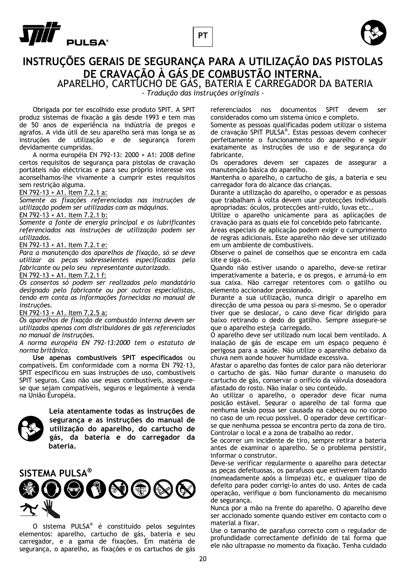





## **INSTRUÇÕES GERAIS DE SEGURANÇA PARA A UTILIZAÇÃO DAS PISTOLAS DE CRAVAÇÃO À GÁS DE COMBUSTÃO INTERNA.** APARELHO, CARTUCHO DE GÁS, BATERIA E CARREGADOR DA BATERIA

*- Tradução das instruções originais -* 

 Obrigada por ter escolhido esse produto SPIT. A SPIT produz sistemas de fixação a gás desde 1993 e tem mas de 50 anos de experiência na indústria de pregos e agrafos. A vida útil de seu aparelho será mas longa se as instruções de utilização e de segurança forem devidamente cumpridas.

 A norma européia EN 792-13: 2000 + A1: 2008 define certos requisitos de segurança para pistolas de cravação portáteis não eléctricas e para seu próprio interesse vos aconselhamos-lhe vivamente a cumprir estes requisitos sem restrição alguma.

## EN 792-13 + A1. Item 7.2.1 a:

*Somente as fixações referenciadas nas instruções de utilização podem ser utilizadas com as máquinas.* 

#### EN 792-13 + A1. Item 7.2.1 b:

*Somente a fonte de energia principal e os lubrificantes referenciados nas instruções de utilização podem ser utilizados.* 

#### EN 792-13 + A1. Item 7.2.1 e:

*Para a manutenção dos aparelhos de fixação, só se deve utilizar as peças sobresselentes especificadas pelo fabricante ou pelo seu representante autorizado.* 

#### EN 792-13 + A1. Item 7.2.1 f:

*Os consertos só podem ser realizados pelo mandatário designado pelo fabricante ou por outros especialistas, tendo em conta as informações fornecidas no manual de instruções.* 

#### EN 792-13 + A1. Item 7.2.5 a:

*Os aparelhos de fixação de combustão interna devem ser utilizados apenas com distribuidores de gás referenciados no manual de instruções.* 

#### *A norma européia EN 792-13:2000 tem o estatuto de norma britânica.*

 **Use apenas combustíveis SPIT especificados** ou compatíveis. Em conformidade com a norma EN 792-13, SPIT especificou em suas instruções de uso, combustíveis SPIT seguros. Caso não use esses combustíveis, assegurese que sejam compatíveis, seguros e legalmente à venda na União Européia.



**Leia atentamente todas as instruções de segurança e as instruções do manual de utilização do aparelho, do cartucho de gás, da bateria e do carregador da bateria.** 



 O sistema PULSA® é constituído pelos seguintes elementos: aparelho, cartucho de gás, bateria e seu carregador, e a gama de fixações. Em matéria de segurança, o aparelho, as fixações e os cartuchos de gás

referenciados nos documentos SPIT devem ser considerados como um sistema único e completo.

Somente as pessoas qualificadas podem utilizar o sistema de cravação SPIT PULSA®. Estas pessoas devem conhecer perfeitamente o funcionamento do aparelho e seguir exatamente as instruções de uso e de segurança do fabricante.

Os operadores devem ser capazes de assegurar a manutenção básica do aparelho.

Mantenha o aparelho, o cartucho de gás, a bateria e seu carregador fora do alcance das crianças.

Durante a utilização do aparelho, o operador e as pessoas que trabalham à volta devem usar protecções individuais apropriadas: óculos, protecções anti-ruído, luvas etc..

Utilize o aparelho unicamente para as aplicações de cravação para as quais ele foi concebido pelo fabricante.

Áreas especiais de aplicação podem exigir o cumprimento de regras adicionais. Este aparelho não deve ser utilizado em um ambiente de combustíveis.

Observe o painel de conselhos que se encontra em cada site e siga-os.

Quando não estiver usando o aparelho, deve-se retirar imperativamente a bateria, e os pregos, e arrumá-lo em sua caixa. Não carregar retentores com o gatilho ou elemento accionador pressionado.

Durante a sua utilização, nunca dirigir o aparelho em direcção de uma pessoa ou para si-mesmo. Se o operador tiver que se deslocar, o cano deve ficar dirigido para baixo retirando o dedo do gatilho. Sempre assegure-se que o aparelho esteja carregado.

O aparelho deve ser utilizado num local bem ventilado. A inalação de gás de escape em um espaço pequeno é perigosa para a saúde. Não utilize o aparelho debaixo da chuva nem aonde houver humidade excessiva.

Afastar o aparelho das fontes de calor para não deteriorar o cartucho de gás. Não fumar durante o manuseio do cartucho de gás, conservar o orifício da válvula doseadora afastado do rosto. Não inalar o seu conteúdo.

Ao utilizar o aparelho, o operador deve ficar numa posição estável. Segurar o aparelho de tal forma que nenhuma lesão possa ser causada na cabeça ou no corpo no caso de um recuo possível. O operador deve certificarse que nenhuma pessoa se encontra perto da zona de tiro. Controlar o local e a zona de trabalho ao redor.

Se ocorrer um incidente de tiro, sempre retirar a bateria antes de examinar o aparelho. Se o problema persistir, informar o construtor.

Deve-se verificar regularmente o aparelho para detectar as peças defeituosas, os parafusos que estiverem faltando (nomeadamente após a limpeza) etc, e qualquer tipo de defeito para poder corrigi-lo antes do uso. Antes de cada operação, verifique o bom funcionamento do mecanismo de segurança.

Nunca por a mão na frente do aparelho. O aparelho deve ser accionado somente quando estiver em contacto com o material a fixar.

Use o tamanho de parafuso correcto com o regulador de profundidade correctamente definido de tal forma que ele não ultrapasse no momento da fixação. Tenha cuidado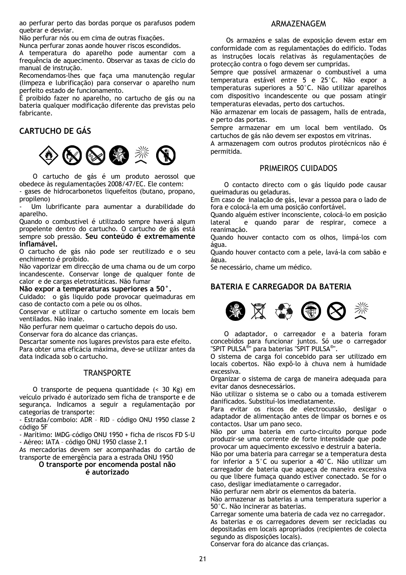ao perfurar perto das bordas porque os parafusos podem quebrar e desviar.

Não perfurar nós ou em cima de outras fixações.

Nunca perfurar zonas aonde houver riscos escondidos.

A temperatura do aparelho pode aumentar com a frequência de aquecimento. Observar as taxas de ciclo do manual de instrução.

Recomendamos-lhes que faça uma manutenção regular (limpeza e lubrificação) para conservar o aparelho num perfeito estado de funcionamento.

É proibido fazer no aparelho, no cartucho de gás ou na bateria qualquer modificação diferente das previstas pelo fabricante.

## **CARTUCHO DE GÁS**



 O cartucho de gás é um produto aerossol que obedece às regulamentações 2008/47/EC. Ele contem:

gases de hidrocarbonetos liquefeitos (butano, propano, propileno)

- Um lubrificante para aumentar a durabilidade do aparelho.

Quando o combustível é utilizado sempre haverá algum propelente dentro do cartucho. O cartucho de gás está sempre sob pressão. **Seu conteúdo é extremamente inflamável.**

O cartucho de gás não pode ser reutilizado e o seu enchimento é proibido.

Não vaporizar em direcção de uma chama ou de um corpo incandescente. Conservar longe de qualquer fonte de calor e de cargas eletrostáticas. Não fumar

## **Não expor a temperaturas superiores a 50°.**

Cuidado: o gás liquido pode provocar queimaduras em caso de contacto com a pele ou os olhos.

Conservar e utilizar o cartucho somente em locais bem ventilados. Não inale.

Não perfurar nem queimar o cartucho depois do uso.

Conservar fora do alcance das crianças.

Descartar somente nos lugares previstos para este efeito. Para obter uma eficácia máxima, deve-se utilizar antes da data indicada sob o cartucho.

## **TRANSPORTE**

 O transporte de pequena quantidade (< 30 Kg) em veículo privado é autorizado sem ficha de transporte e de segurança. Indicamos a seguir a regulamentação por categorias de transporte:

- Estrada/comboio: ADR – RID – código ONU 1950 classe 2 código 5F

- Marítimo: IMDG–código ONU 1950 + ficha de riscos FD S-U - Aéreo: IATA – código ONU 1950 classe 2.1

As mercadorias devem ser acompanhadas do cartão de transporte de emergência para a estrada ONU 1950

**O transporte por encomenda postal não** 

## **é autorizado**

## ARMAZENAGEM

 Os armazéns e salas de exposição devem estar em conformidade com as regulamentações do edifício. Todas as instruções locais relativas às regulamentações de protecção contra o fogo devem ser cumpridas.

Sempre que possível armazenar o combustível a uma temperatura estável entre 5 e 25°C. Não expor a temperaturas superiores a 50°C. Não utilizar aparelhos com dispositivo incandescente ou que possam atingir temperaturas elevadas, perto dos cartuchos.

Não armazenar em locais de passagem, halls de entrada, e perto das portas.

Sempre armazenar em um local bem ventilado. Os cartuchos de gás não devem ser expostos em vitrinas.

A armazenagem com outros produtos pirotécnicos não é permitida.

## PRIMEIROS CUIDADOS

 O contacto directo com o gás líquido pode causar queimaduras ou geladuras.

Em caso de inalação de gás, levar a pessoa para o lado de fora e colocá-la em uma posição confortável.

Quando alguém estiver inconsciente, colocá-lo em posição lateral e quando parar de respirar, comece a reanimação.

Quando houver contacto com os olhos, limpá-los com água.

Quando houver contacto com a pele, lavá-la com sabão e água.

Se necessário, chame um médico.

## **BATERIA E CARREGADOR DA BATERIA**



 O adaptador, o carregador e a bateria foram concebidos para funcionar juntos. Só use o carregador "SPIT PULSA®" para baterias "SPIT PULSA®".

O sistema de carga foi concebido para ser utilizado em locais cobertos. Não expô-lo à chuva nem à humidade excessiva.

Organizar o sistema de carga de maneira adequada para evitar danos desnecessários.

Não utilizar o sistema se o cabo ou a tomada estiverem danificados. Substituí-los imediatamente.

Para evitar os riscos de electrocussão, desligar o adaptador de alimentação antes de limpar os bornes e os contactos. Usar um pano seco.

Não por uma bateria em curto-circuito porque pode produzir-se uma corrente de forte intensidade que pode provocar um aquecimento excessivo e destruir a bateria.

Não por uma bateria para carregar se a temperatura desta for inferior a 5°C ou superior a 40°C. Não utilizar um carregador de bateria que aqueça de maneira excessiva ou que libere fumaça quando estiver conectado. Se for o caso, desligar imediatamente o carregador.

Não perfurar nem abrir os elementos da bateria.

Não armazenar as baterias a uma temperatura superior a 50°C. Não incinerar as baterias.

Carregar somente uma bateria de cada vez no carregador. As baterias e os carregadores devem ser recicladas ou depositadas em locais apropriados (recipientes de colecta segundo as disposições locais).

Conservar fora do alcance das crianças.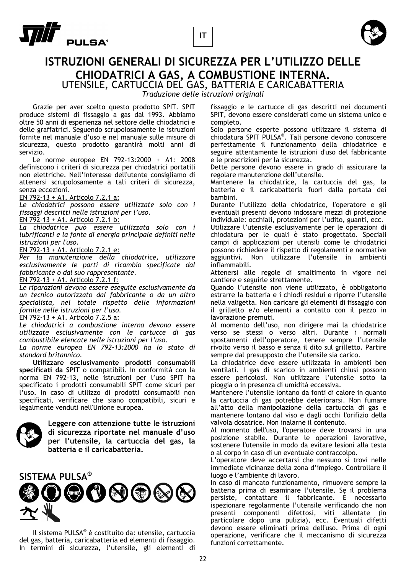





## **ISTRUZIONI GENERALI DI SICUREZZA PER L'UTILIZZO DELLE CHIODATRICI A GAS, A COMBUSTIONE INTERNA.** UTENSILE, CARTUCCIA DEL GAS, BATTERIA E CARICABATTERIA

*Traduzione delle istruzioni originali* 

 Grazie per aver scelto questo prodotto SPIT. SPIT produce sistemi di fissaggio a gas dal 1993. Abbiamo oltre 50 anni di esperienza nel settore delle chiodatrici e delle graffatrici. Seguendo scrupolosamente le istruzioni fornite nel manuale d'uso e nel manuale sulle misure di sicurezza, questo prodotto garantirà molti anni di servizio.

 Le norme europee EN 792-13:2000 + A1: 2008 definiscono i criteri di sicurezza per chiodatrici portatili non elettriche. Nell'interesse dell'utente consigliamo di attenersi scrupolosamente a tali criteri di sicurezza, senza eccezioni.

EN 792-13 + A1. Articolo 7.2.1 a:

*Le chiodatrici possono essere utilizzate solo con i fissaggi descritti nelle istruzioni per l'uso.* 

EN 792-13 + A1. Articolo 7.2.1 b:

*La chiodatrice può essere utilizzata solo con i lubrificanti e la fonte di energia principale definiti nelle istruzioni per l'uso.* 

EN 792-13 + A1. Articolo 7.2.1 e:

*Per la manutenzione della chiodatrice, utilizzare esclusivamente le parti di ricambio specificate dal fabbricante o dal suo rappresentante.*  EN 792-13 + A1. Articolo 7.2.1 f:

*Le riparazioni devono essere eseguite esclusivamente da un tecnico autorizzato dal fabbricante o da un altro specialista, nel totale rispetto delle informazioni fornite nelle istruzioni per l'uso.* 

EN 792-13 + A1. Articolo 7.2.5 a:

*Le chiodatrici a combustione interna devono essere utilizzate esclusivamente con le cartucce di gas combustibile elencate nelle istruzioni per l'uso.* 

*La norme europea EN 792-13:2000 ha lo stato di standard britannico.* 

 **Utilizzare esclusivamente prodotti consumabili specificati da SPIT** o compatibili. In conformità con la norma EN 792-13, nelle istruzioni per l'uso SPIT ha specificato i prodotti consumabili SPIT come sicuri per l'uso. In caso di utilizzo di prodotti consumabili non specificati, verificare che siano compatibili, sicuri e legalmente venduti nell'Unione europea.



**Leggere con attenzione tutte le istruzioni di sicurezza riportate nel manuale d'uso per l'utensile, la cartuccia del gas, la batteria e il caricabatteria.** 



 Il sistema PULSA® è costituito da: utensile, cartuccia del gas, batteria, caricabatteria ed elementi di fissaggio. In termini di sicurezza, l'utensile, gli elementi di fissaggio e le cartucce di gas descritti nei documenti SPIT, devono essere considerati come un sistema unico e completo.

Solo persone esperte possono utilizzare il sistema di chiodatura SPIT PULSA<sup>®</sup>. Tali persone devono conoscere perfettamente il funzionamento della chiodatrice e seguire attentamente le istruzioni d'uso del fabbricante e le prescrizioni per la sicurezza.

Dette persone devono essere in grado di assicurare la regolare manutenzione dell'utensile.

Mantenere la chiodatrice, la cartuccia del gas, la batteria e il caricabatteria fuori dalla portata dei bambini.

Durante l'utilizzo della chiodatrice, l'operatore e gli eventuali presenti devono indossare mezzi di protezione individuale: occhiali, protezioni per l'udito, guanti, ecc.

Utilizzare l'utensile esclusivamente per le operazioni di chiodatura per le quali è stato progettato. Speciali campi di applicazioni per utensili come le chiodatrici possono richiedere il rispetto di regolamenti e normative aggiuntivi. Non utilizzare l'utensile in ambienti infiammabili.

Attenersi alle regole di smaltimento in vigore nel cantiere e seguirle strettamente.

Quando l'utensile non viene utilizzato, è obbligatorio estrarre la batteria e i chiodi residui e riporre l'utensile nella valigetta. Non caricare gli elementi di fissaggio con il grilletto e/o elementi a contatto con il pezzo in lavorazione premuti.

Al momento dell'uso, non dirigere mai la chiodatrice verso se stessi o verso altri. Durante i normali spostamenti dell'operatore, tenere sempre l'utensile rivolto verso il basso e senza il dito sul grilletto. Partire sempre dal presupposto che l'utensile sia carico.

La chiodatrice deve essere utilizzata in ambienti ben ventilati. I gas di scarico in ambienti chiusi possono essere pericolosi. Non utilizzare l'utensile sotto la pioggia o in presenza di umidità eccessiva.

Mantenere l'utensile lontano da fonti di calore in quanto la cartuccia di gas potrebbe deteriorarsi. Non fumare all'atto della manipolazione della cartuccia di gas e mantenere lontano dal viso e dagli occhi l'orifizio della valvola dosatrice. Non inalarne il contenuto.

Al momento dell'uso, l'operatore deve trovarsi in una posizione stabile. Durante le operazioni lavorative, sostenere l'utensile in modo da evitare lesioni alla testa o al corpo in caso di un eventuale contraccolpo.

L'operatore deve accertarsi che nessuno si trovi nelle immediate vicinanze della zona d'impiego. Controllare il luogo e l'ambiente di lavoro.

In caso di mancato funzionamento, rimuovere sempre la batteria prima di esaminare l'utensile. Se il problema persiste, contattare il fabbricante. È necessario ispezionare regolarmente l'utensile verificando che non presenti componenti difettosi, viti allentate (in particolare dopo una pulizia), ecc. Eventuali difetti devono essere eliminati prima dell'uso. Prima di ogni operazione, verificare che il meccanismo di sicurezza funzioni correttamente.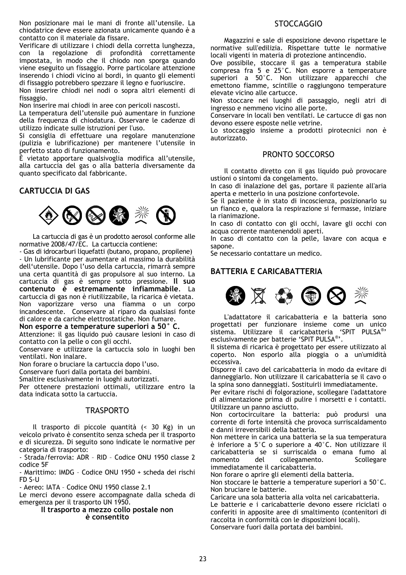Non posizionare mai le mani di fronte all'utensile. La chiodatrice deve essere azionata unicamente quando è a contatto con il materiale da fissare.

Verificare di utilizzare i chiodi della corretta lunghezza, con la regolazione di profondità correttamente impostata, in modo che il chiodo non sporga quando viene eseguito un fissaggio. Porre particolare attenzione inserendo i chiodi vicino ai bordi, in quanto gli elementi di fissaggio potrebbero spezzare il legno e fuoriuscire.

Non inserire chiodi nei nodi o sopra altri elementi di fissaggio.

Non inserire mai chiodi in aree con pericoli nascosti.

La temperatura dell'utensile può aumentare in funzione della frequenza di chiodatura. Osservare le cadenze di utilizzo indicate sulle istruzioni per l'uso.

Si consiglia di effettuare una regolare manutenzione (pulizia e lubrificazione) per mantenere l'utensile in perfetto stato di funzionamento.

È vietato apportare qualsivoglia modifica all'utensile, alla cartuccia del gas o alla batteria diversamente da quanto specificato dal fabbricante.

## **CARTUCCIA DI GAS**



 La cartuccia di gas è un prodotto aerosol conforme alle normative 2008/47/EC. La cartuccia contiene:

- Gas di idrocarburi liquefatti (butano, propano, propilene) - Un lubrificante per aumentare al massimo la durabilità dell'utensile. Dopo l'uso della cartuccia, rimarrà sempre una certa quantità di gas propulsore al suo interno. La cartuccia di gas è sempre sotto pressione. **Il suo contenuto è estremamente infiammabile**. La cartuccia di gas non è riutilizzabile, la ricarica è vietata. Non vaporizzare verso una fiamma o un corpo incandescente. Conservare al riparo da qualsiasi fonte di calore e da cariche elettrostatiche. Non fumare.

**Non esporre a temperature superiori a 50° C.** 

Attenzione: il gas liquido può causare lesioni in caso di contatto con la pelle o con gli occhi.

Conservare e utilizzare la cartuccia solo in luoghi ben ventilati. Non inalare.

Non forare o bruciare la cartuccia dopo l'uso.

Conservare fuori dalla portata dei bambini.

Smaltire esclusivamente in luoghi autorizzati.

Per ottenere prestazioni ottimali, utilizzare entro la data indicata sotto la cartuccia.

## **TRASPORTO**

 Il trasporto di piccole quantità (< 30 Kg) in un veicolo privato è consentito senza scheda per il trasporto e di sicurezza. Di seguito sono indicate le normative per categoria di trasporto:

- Strada/ferrovia: ADR – RID – Codice ONU 1950 classe 2 codice 5F

- Marittimo: IMDG – Codice ONU 1950 + scheda dei rischi FD S-U

- Aereo: IATA – Codice ONU 1950 classe 2.1

Le merci devono essere accompagnate dalla scheda di emergenza per il trasporto UN 1950.

#### **Il trasporto a mezzo collo postale non è consentito**

## STOCCAGGIO

 Magazzini e sale di esposizione devono rispettare le normative sull'edilizia. Rispettare tutte le normative locali vigenti in materia di protezione antincendio.

Ove possibile, stoccare il gas a temperatura stabile compresa fra 5 e 25°C. Non esporre a temperature superiori a 50°C. Non utilizzare apparecchi che emettono fiamme, scintille o raggiungono temperature elevate vicino alle cartucce.

Non stoccare nei luoghi di passaggio, negli atri di ingresso e nemmeno vicino alle porte.

Conservare in locali ben ventilati. Le cartucce di gas non devono essere esposte nelle vetrine.

Lo stoccaggio insieme a prodotti pirotecnici non è autorizzato.

## PRONTO SOCCORSO

Il contatto diretto con il gas liquido può provocare ustioni o sintomi da congelamento.

In caso di inalazione del gas, portare il paziente all'aria aperta e metterlo in una posizione confortevole.

Se il paziente è in stato di incoscienza, posizionarlo su un fianco e, qualora la respirazione si fermasse, iniziare la rianimazione.

In caso di contatto con gli occhi, lavare gli occhi con acqua corrente mantenendoli aperti.

In caso di contatto con la pelle, lavare con acqua e sapone.

Se necessario contattare un medico.

## **BATTERIA E CARICABATTERIA**



 L'adattatore il caricabatteria e la batteria sono progettati per funzionare insieme come un unico sistema. Utilizzare il caricabatteria 'SPIT PULSA®' esclusivamente per batterie 'SPIT PULSA®'.

Il sistema di ricarica è progettato per essere utilizzato al coperto. Non esporlo alla pioggia o a un'umidità eccessiva.

Disporre il cavo del caricabatteria in modo da evitare di danneggiarlo. Non utilizzare il caricabatteria se il cavo o la spina sono danneggiati. Sostituirli immediatamente.

Per evitare rischi di folgorazione, scollegare l'adattatore di alimentazione prima di pulire i morsetti e i contatti. Utilizzare un panno asciutto.

Non cortocircuitare la batteria: può prodursi una corrente di forte intensità che provoca surriscaldamento e danni irreversibili della batteria.

Non mettere in carica una batteria se la sua temperatura è inferiore a 5°C o superiore a 40°C. Non utilizzare il caricabatteria se si surriscalda o emana fumo al momento del collegamento. Scollegare immediatamente il caricabatteria.

Non forare o aprire gli elementi della batteria.

Non stoccare le batterie a temperature superiori a 50°C. Non bruciare le batterie.

Caricare una sola batteria alla volta nel caricabatteria. Le batterie e i caricabatterie devono essere riciclati o conferiti in apposite aree di smaltimento (contenitori di raccolta in conformità con le disposizioni locali). Conservare fuori dalla portata dei bambini.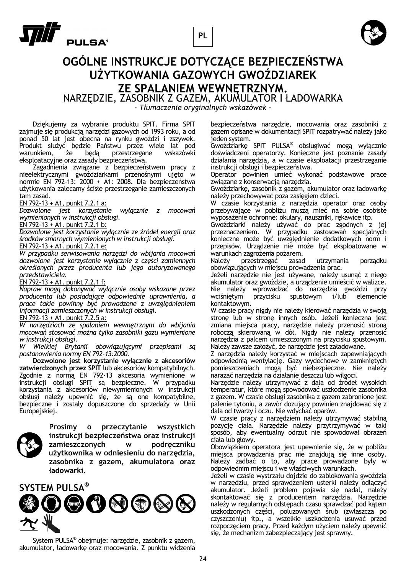





## **OGÓLNE INSTRUKCJE DOTYCZĄCE BEZPIECZEŃSTWA UŻYTKOWANIA GAZOWYCH GWOŹDZIAREK ZE SPALANIEM WEWNĘTRZNYM.**

NARZĘDZIE, ZASOBNIK Z GAZEM, AKUMULATOR I ŁADOWARKA

*- Tłumaczenie oryginalnych wskazówek -* 

 Dziękujemy za wybranie produktu SPIT. Firma SPIT zajmuje się produkcją narzędzi gazowych od 1993 roku, a od ponad 50 lat jest obecna na rynku gwoździ i zszywek. Produkt służyć będzie Państwu przez wiele lat pod warunkiem, że będą przestrzegane wskazówki eksploatacyjne oraz zasady bezpieczeństwa.

 Zagadnienia związane z bezpieczeństwem pracy z nieelektrycznymi gwoździarkami przenośnymi ujęto w normie EN 792-13: 2000 + A1: 2008. Dla bezpieczeństwa użytkowania zalecamy ścisłe przestrzeganie zamieszczonych tam zasad.

EN 792-13 + A1, punkt 7.2.1 a:

*Dozwolone jest korzystanie wyłącznie z mocowań wymienionych w instrukcji obsługi.* 

 $EN$  792-13 + A1. punkt 7.2.1 b:

*Dozwolone jest korzystanie wyłącznie ze źródeł energii oraz środków smarnych wymienionych w instrukcji obsługi.* 

## EN 792-13 + A1. punkt 7.2.1 e:

*W przypadku serwisowania narzędzi do wbijania mocowań dozwolone jest korzystanie wyłącznie z części zamiennych określonych przez producenta lub jego autoryzowanego przedstawiciela.* 

#### EN 792-13 + A1. punkt 7.2.1 f:

*Napraw mogą dokonywać wyłącznie osoby wskazane przez producenta lub posiadające odpowiednie uprawnienia, a prace takie powinny być prowadzone z uwzględnieniem informacji zamieszczonych w instrukcji obsługi.* 

## EN 792-13 + A1. punkt  $7.2.5$  a:

*W narzędziach ze spalaniem wewnętrznym do wbijania mocowań stosować można tylko zasobniki gazu wymienione w instrukcji obsługi.* 

*W Wielkiej Brytanii obowiązującymi przepisami są postanowienia normy EN 792-13:2000.* 

 **Dozwolone jest korzystanie wyłącznie z akcesoriów zatwierdzonych przez SPIT** lub akcesoriów kompatybilnych. Zgodnie z normą EN 792-13 akcesoria wymienione w instrukcji obsługi SPIT są bezpieczne. W przypadku korzystania z akcesoriów niewymienionych w instrukcji obsługi należy upewnić się, że są one kompatybilne, bezpieczne i zostały dopuszczone do sprzedaży w Unii Europejskiej.



**Prosimy o przeczytanie wszystkich instrukcji bezpieczeństwa oraz instrukcji zamieszczonych w podręczniku użytkownika w odniesieniu do narzędzia, zasobnika z gazem, akumulatora oraz ładowarki.** 



 System PULSA® obejmuje: narzędzie, zasobnik z gazem, akumulator, ładowarkę oraz mocowania. Z punktu widzenia

bezpieczeństwa narzędzie, mocowania oraz zasobniki z gazem opisane w dokumentacji SPIT rozpatrywać należy jako jeden system.

Gwoździarkę SPIT PULSA® obsługiwać mogą wyłącznie doświadczeni operatorzy. Konieczne jest poznanie zasady działania narzędzia, a w czasie eksploatacji przestrzeganie instrukcji obsługi i bezpieczeństwa.

Operator powinien umieć wykonać podstawowe prace związane z konserwacją narzędzia.

Gwoździarkę, zasobnik z gazem, akumulator oraz ładowarkę należy przechowywać poza zasięgiem dzieci.

W czasie korzystania z narzędzia operator oraz osoby przebywające w pobliżu muszą mieć na sobie osobiste wyposażenie ochronne: okulary, nauszniki, rękawice itp.

Gwoździarki należy używać do prac zgodnych z jej przeznaczeniem. W przypadku zastosowań specjalnych konieczne może być uwzględnienie dodatkowych norm i przepisów. Urządzenie nie może być eksploatowane w warunkach zagrożenia pożarem.

Należy przestrzegać zasad utrzymania porządku obowiązujących w miejscu prowadzenia prac.

Jeżeli narzędzie nie jest używane, należy usunąć z niego akumulator oraz gwoździe, a urządzenie umieścić w walizce. Nie należy wprowadzać do narzędzia gwoździ przy wciśniętym przycisku spustowym i/lub elemencie kontaktowym.

W czasie pracy nigdy nie należy kierować narzędzia w swoją stronę lub w stronę innych osób. Jeżeli konieczna jest zmiana miejsca pracy, narzędzie należy przenosić stroną roboczą skierowaną w dół. Nigdy nie należy przenosić narzędzia z palcem umieszczonym na przycisku spustowym. Należy zawsze założyć, że narzędzie jest załadowane.

Z narzędzia należy korzystać w miejscach zapewniających odpowiednią wentylację. Gazy wydechowe w zamkniętych pomieszczeniach mogą być niebezpieczne. Nie należy narażać narzędzia na działanie deszczu lub wilgoci.

Narzędzie należy utrzymywać z dala od źródeł wysokich temperatur, które mogą spowodować uszkodzenie zasobnika z gazem. W czasie obsługi zasobnika z gazem zabronione jest palenie tytoniu, a zawór dozujący powinien znajdować się z dala od twarzy i oczu. Nie wdychać oparów.

W czasie pracy z narzędziem należy utrzymywać stabilną pozycję ciała. Narzędzie należy przytrzymywać w taki sposób, aby ewentualny odrzut nie spowodował obrażeń ciała lub głowy.

Obowiązkiem operatora jest upewnienie się, że w pobliżu miejsca prowadzenia prac nie znajdują się inne osoby. Należy zadbać o to, aby prace prowadzone były w odpowiednim miejscu i we właściwych warunkach.

Jeżeli w czasie wystrzału dojdzie do zablokowania gwoździa w narzędziu, przed sprawdzeniem usterki należy odłączyć akumulator. Jeżeli problem pojawia się nadal, należy skontaktować się z producentem narzędzia. Narzędzie należy w regularnych odstępach czasu sprawdzać pod kątem uszkodzonych części, poluzowanych śrub (zwłaszcza po czyszczeniu) itp., a wszelkie uszkodzenia usuwać przed rozpoczęciem pracy. Przed każdym użyciem należy upewnić się, że mechanizm zabezpieczający jest sprawny.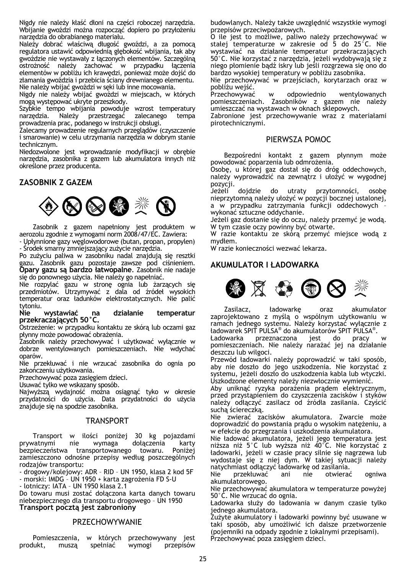Nigdy nie należy kłaść dłoni na części roboczej narzędzia. Wbijanie gwoździ można rozpocząć dopiero po przyłożeniu narzędzia do obrabianego materiału.

Należy dobrać właściwą długość gwoździ, a za pomocą regulatora ustawić odpowiednią głębokość wbijania, tak aby gwoździe nie wystawały z łączonych elementów. Szczególną ostrożność należy zachować w przypadku łączenia elementów w pobliżu ich krawędzi, ponieważ może dojść do złamania gwoździa i przebicia ściany drewnianego elementu. Nie należy wbijać gwoździ w sęki lub inne mocowania.

Nigdy nie należy wbijać gwoździ w miejscach, w których mogą występować ukryte przeszkody.

Szybkie tempo wbijania powoduje wzrost temperatury narzędzia. Należy przestrzegać zalecanego tempa prowadzenia prac, podanego w instrukcji obsługi.

Zalecamy prowadzenie regularnych przeglądów (czyszczenie i smarowanie) w celu utrzymania narzędzia w dobrym stanie technicznym.

Niedozwolone jest wprowadzanie modyfikacji w obrębie narzędzia, zasobnika z gazem lub akumulatora innych niż określone przez producenta.

## **ZASOBNIK Z GAZEM**



 Zasobnik z gazem napełniony jest produktem w aerozolu zgodnie z wymogami norm 2008/47/EC. Zawiera:

- Upłynnione gazy węglowodorowe (butan, propan, propylen) - Środek smarny zmniejszający zużycie narzędzia.

Po zużyciu paliwa w zasobniku nadal znajdują się resztki gazu. Zasobnik gazu pozostaje zawsze pod ciśnieniem. **Opary gazu są bardzo łatwopalne**. Zasobnik nie nadaje się do ponownego użycia. Nie należy go napełniać.

Nie rozpylać gazu w stronę ognia lub żarzących się przedmiotów. Utrzymywać z dala od źródeł wysokich temperatur oraz ładunków elektrostatycznych. Nie palić

tytoniu.<br>**Nie wystawiać Nie wystawiać na działanie temperatur przekraczających 50°C.** 

Ostrzeżenie: w przypadku kontaktu ze skórą lub oczami gaz płynny może powodować obrażenia.

Zasobnik należy przechowywać i użytkować wyłącznie w dobrze wentylowanych pomieszczeniach. Nie wdychać oparów.

Nie przekłuwać i nie wrzucać zasobnika do ognia po zakończeniu użytkowania.

Przechowywać poza zasięgiem dzieci.

Usuwać tylko we wskazany sposób.

Najwyższą wydajność można osiągnąć tyko w okresie przydatności do użycia. Data przydatności do użycia znajduje się na spodzie zasobnika.

## TRANSPORT

Transport w ilości poniżej 30 kg pojazdami<br>prywatnymi nie wymaga dołaczenia karty nie wymaga dołączenia karty bezpieczeństwa transportowanego towaru. Poniżej zamieszczono odnośne przepisy według poszczególnych rodzajów transportu:

- drogowy/kolejowy: ADR – RID – UN 1950, klasa 2 kod 5F - morski: IMDG – UN 1950 + karta zagrożenia FD S-U

- lotniczy: IATA – UN 1950 klasa 2.1

Do towaru musi zostać dołączona karta danych towaru niebezpiecznego dla transportu drogowego – UN 1950 **Transport pocztą jest zabroniony** 

### **PRZECHOWYWANIE**

 Pomieszczenia, w których przechowywany jest produkt, muszą spełniać wymogi przepisów

budowlanych. Należy także uwzględnić wszystkie wymogi przepisów przeciwpożarowych.

O ile jest to możliwe, paliwo należy przechowywać w stałej temperaturze w zakresie od 5 do 25°C. Nie wystawiać na działanie temperatur przekraczających 50°C. Nie korzystać z narzędzia, jeżeli wydobywają się z niego płomienie bądź iskry lub jeśli rozgrzewa się ono do bardzo wysokiej temperatury w pobliżu zasobnika.

Nie przechowywać w przejściach, korytarzach oraz w pobliżu wejść.

w odpowiednio wentylowanych pomieszczeniach. Zasobników z gazem nie należy umieszczać na wystawach w oknach sklepowych.

Zabronione jest przechowywanie wraz z materiałami pirotechnicznymi.

## PIERWSZA POMOC

Bezpośredni kontakt z gazem płynnym może powodować poparzenia lub odmrożenia.

Osobę, u której gaz dostał się do dróg oddechowych, należy wyprowadzić na zewnątrz i ułożyć w wygodnej pozycji.

Jeżeli dojdzie do utraty przytomności, osobę nieprzytomną należy ułożyć w pozycji bocznej ustalonej, a w przypadku zatrzymania funkcji oddechowych – wykonać sztuczne oddychanie.

Jeżeli gaz dostanie się do oczu, należy przemyć je wodą. W tym czasie oczy powinny być otwarte.

W razie kontaktu ze skórą przemyć miejsce wodą z mydłem.

W razie konieczności wezwać lekarza.

## **AKUMULATOR I ŁADOWARKA**



 Zasilacz, ładowarkę oraz akumulator zaprojektowano z myślą o wspólnym użytkowaniu w ramach jednego systemu. Należy korzystać wyłącznie z ładowarek SPIT PULSA® do akumulatorów SPIT PULSA®.

Ładowarka przeznaczona jest do pracy w pomieszczeniach. Nie należy narażać jej na działanie deszczu lub wilgoci.

Przewód ładowarki należy poprowadzić w taki sposób, aby nie doszło do jego uszkodzenia. Nie korzystać z systemu, jeżeli doszło do uszkodzenia kabla lub wtyczki. Uszkodzone elementy należy niezwłocznie wymienić.

Aby uniknąć ryzyka porażenia prądem elektrycznym, przed przystąpieniem do czyszczenia zacisków i styków należy odłączyć zasilacz od źródła zasilania. Czyścić suchą ściereczką.

Nie zwierać zacisków akumulatora. Zwarcie może doprowadzić do powstania prądu o wysokim natężeniu, a w efekcie do przegrzania i uszkodzenia akumulatora.

Nie ładować akumulatora, jeżeli jego temperatura jest niższa niż 5°C lub wyższa niż 40°C. Nie korzystać z ładowarki, jeżeli w czasie pracy silnie się nagrzewa lub wydostaje się z niej dym. W takiej sytuacji należy natychmiast odłączyć ładowarkę od zasilania.

Nie przekłuwać ani nie otwierać ogniwa akumulatorowego.

Nie przechowywać akumulatora w temperaturze powyżej 50°C. Nie wrzucać do ognia.

Ładowarka służy do ładowania w danym czasie tylko jednego akumulatora.

Zużyte akumulatory i ładowarki powinny być usuwane w taki sposób, aby umożliwić ich dalsze przetworzenie (pojemniki na odpady zgodnie z lokalnymi przepisami). Przechowywać poza zasięgiem dzieci.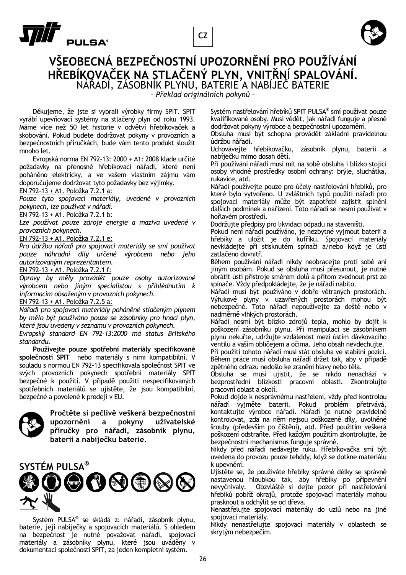





## **VŠEOBECNÁ BEZPEČNOSTNÍ UPOZORNĚNÍ PRO POUŽÍVÁNÍ <sup>H</sup>ŘEBÍKOVAČEK NA STLAČENÝ PLYN, VNITŘNÍ SPALOVÁNÍ.** NÁŘADÍ, ZÁSOBNÍK PLYNU, BATERIE A NABÍJEČ BATERIE

*– Překlad originálních pokynů –* 

 Děkujeme, že jste si vybrali výrobky firmy SPIT. SPIT vyrábí upevňovací systémy na stlačený plyn od roku 1993. Máme více než 50 let historie v odvětví hřebíkovaček a skobování. Pokud budete dodržovat pokyny v provozních a bezpečnostních příručkách, bude vám tento produkt sloužit mnoho let.

 Evropská norma EN 792-13: 2000 + A1: 2008 klade určité požadavky na přenosné hřebíkovací nářadí, které není poháněno elektricky, a ve vašem vlastním zájmu vám doporučujeme dodržovat tyto požadavky bez výjimky.

EN 792-13 + A1. Položka 7.2.1 a:

*Pouze tyto spojovací materiály, uvedené v provozních pokynech, lze používat v nářadí.* 

EN 792-13 + A1. Položka 7.2.1 b:

*Lze používat pouze zdroje energie a maziva uvedené v provozních pokynech.* 

EN 792-13 + A1. Položka 7.2.1 e:

*Pro údržbu nářadí pro spojovací materiály se smí používat pouze náhradní díly určené výrobcem nebo jeho autorizovaným reprezentantem.* 

EN 792-13 + A1. Položka 7.2.1 f:

*Opravy by měly provádět pouze osoby autorizované výrobcem nebo jiným specialistou s přihlédnutím k informacím obsaženým v provozních pokynech.* 

EN 792-13 + A1. Položka 7.2.5 a:

*Nářadí pro spojovací materiály poháněné stlačeným plynem by mělo být používáno pouze se zásobníky pro hnací plyn, které jsou uvedeny v seznamu v provozních pokynech.* 

*Evropský standard EN 792-13:2000 má status Britského standardu.* 

 **Používejte pouze spotřební materiály specifikované společností SPIT** nebo materiály s nimi kompatibilní. V souladu s normou EN 792-13 specifikovala společnost SPIT ve svých provozních pokynech spotřební materiály SPIT bezpečné k použití. V případě použití nespecifikovaných spotřebních materiálů se ujistěte, že jsou kompatibilní, bezpečné a povolené k prodeji v EU.



**Pročtěte si pečlivě veškerá bezpečnostní upozornění a pokyny uživatelské příručky pro nářadí, zásobník plynu, baterii a nabíječku baterie.** 



 Systém PULSA® se skládá z: nářadí, zásobník plynu, baterie, její nabíječky a spojovacích materiálů. S ohledem na bezpečnost je nutné považovat nářadí, spojovací materiály a zásobníky plynu, které jsou uváděny v dokumentaci společnosti SPIT, za jeden kompletní systém.

Systém nastřelování hřebíků SPIT PULSA® smí používat pouze kvalifikované osoby. Musí vědět, jak nářadí funguje a přesně dodržovat pokyny výrobce a bezpečnostní upozornění.

Obsluha musí být schopna provádět základní pravidelnou údržbu nářadí.

Uchovávejte hřebíkovačku, zásobník plynu, baterii a nabíječku mimo dosah dětí.

Při používání nářadí musí mít na sobě obsluha i blízko stojící osoby vhodné prostředky osobní ochrany: brýle, sluchátka, rukavice, atd.

Nářadí používejte pouze pro účely nastřelování hřebíků, pro které bylo vytvořeno. U zvláštních typů použití nářadí pro spojovací materiály může být zapotřebí zajistit splnění dalších podmínek a nařízení. Toto nářadí se nesmí používat v hořlavém prostředí.

Dodržujte předpisy pro likvidaci odpadu na staveništi.

Pokud není nářadí používáno, je nezbytné vyjmout baterii a hřebíky a uložit je do kufříku. Spojovací materiály nevkládejte při stisknutém spínači a/nebo když je ústí zatlačeno dovnitř.

Během používání nářadí nikdy neobracejte proti sobě ani jiným osobám. Pokud se obsluha musí přesunout, je nutné obrátit ústí přístroje směrem dolů a přitom zvednout prst ze spínače. Vždy předpokládejte, že je nářadí nabito.

Nářadí musí být používáno v dobře větraných prostorách. Výfukové plyny v uzavřených prostorách mohou být nebezpečné. Toto nářadí nepoužívejte za deště nebo v nadměrně vlhkých prostorách.

Nářadí nesmí být blízko zdrojů tepla, mohlo by dojít k poškození zásobníku plynu. Při manipulaci se zásobníkem plynu nekuřte, udržujte vzdálenost mezi ústím dávkovacího ventilu a vaším obličejem a očima. Jeho obsah nevdechujte.

Při použití tohoto nářadí musí stát obsluha ve stabilní pozici. Během práce musí obsluha nářadí držet tak, aby v případě zpětného odrazu nedošlo ke zranění hlavy nebo těla.

Obsluha se musí ujistit, že se nikdo nenachází v bezprostřední blízkosti pracovní oblasti. Zkontrolujte pracovní oblast a okolí.

Pokud dojde k nesprávnému nastřelení, vždy před kontrolou nářadí vyjměte baterii. Pokud problém přetrvává, kontaktujte výrobce nářadí. Nářadí je nutné pravidelně kontrolovat, zda na něm nejsou poškozené díly, uvolněné šrouby (především po čištění), atd. Před použitím veškerá poškození odstraňte. Před každým použitím zkontrolujte, že bezpečnostní mechanismus funguje správně.

Nikdy před nářadí nedávejte ruku. Hřebíkovačka smí být uvedena do provozu pouze tehddy, když se dotkne materiálu k upevnění.

Ujistěte se, že používáte hřebíky správné délky se správně nastavenou hloubkou tak, aby hřebíky po připevnění nevyčnívaly. Obzvláště si dejte pozor při nastřelování hřebíků poblíž okrajů, protože spojovací materiály mohou prasknout a odchýlit se od dřeva.

Nenastřelujte spojovací materiály do uzlů nebo na jiné spojovací materiály.

Nikdy nenastřelujte spojovací materiály v oblastech se skrytým nebezpečím.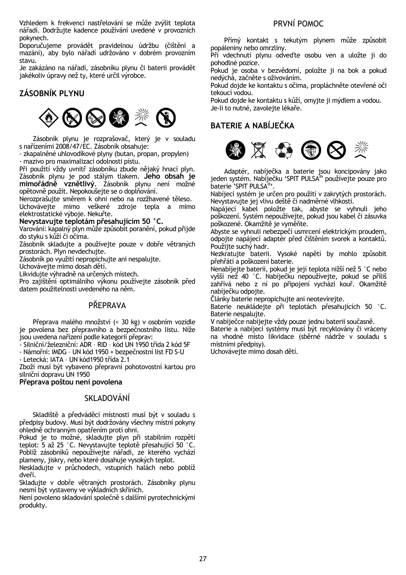Vzhledem k frekvenci nastřelování se může zvýšit teplota nářadí. Dodržujte kadence používání uvedené v provozních pokynech.

Doporučujeme provádět pravidelnou údržbu (čištění a mazání), aby bylo nářadí udržováno v dobrém provozním stavu.

Je zakázáno na nářadí, zásobníku plynu či baterii provádět jakékoliv úpravy než ty, které určil výrobce.

## **ZÁSOBNÍK PLYNU**



 Zásobník plynu je rozprašovač, který je v souladu s nařízeními 2008/47/EC. Zásobník obsahuje:

- zkapalněné uhlovodíkové plyny (butan, propan, propylen) - mazivo pro maximalizaci odolnosti pístu.

Při použití vždy uvnitř zásobníku zbude nějaký hnací plyn. Zásobník plynu je pod stálým tlakem. **Jeho obsah je mimořádně vznětlivý**. Zásobník plynu není možné opětovně použít. Nepokoušejte se o doplňování.

Nerozprašujte směrem k ohni nebo na rozžhavené těleso.

Uchovávejte mimo veškeré zdroje tepla a mimo elektrostatické výboje. Nekuřte.

## **Nevystavujte teplotám přesahujícím 50 °C.**

Varování: kapalný plyn může způsobit poranění, pokud přijde do styku s kůží či očima.

Zásobník skladujte a používejte pouze v dobře větraných prostorách. Plyn nevdechujte.

Zásobník po využití nepropichujte ani nespalujte.

Uchovávejte mimo dosah dětí.

Likvidujte výhradně na určených místech.

Pro zajištění optimálního výkonu používejte zásobník před datem použitelnosti uvedeného na něm.

## PŘEPRAVA

 Přeprava malého množství (< 30 kg) v osobním vozidle je povolena bez přepravního a bezpečnostního listu. Níže jsou uvedena nařízení podle kategorií přeprav:

- Silniční/železniční: ADR – RID – kód UN 1950 třída 2 kód 5F

- Námořní: IMDG – UN kód 1950 + bezpečnostní list FD S-U

- Letecká: IATA – UN kód1950 třída 2.1

Zboží musí být vybaveno přepravní pohotovostní kartou pro silniční dopravu UN 1950

**Přeprava poštou není povolena** 

## SKLADOVÁNÍ

 Skladiště a předváděcí místnosti musí být v souladu s předpisy budovy. Musí být dodržovány všechny místní pokyny ohledně ochranným opatřením proti ohni.

Pokud je to možné, skladujte plyn při stabilním rozpětí teplot: 5 až 25 °C. Nevystavujte teplotě přesahující 50 °C. Poblíž zásobníků nepoužívejte nářadí, ze kterého vychází plameny, jiskry, nebo které dosahuje vysokých teplot.

Neskladujte v průchodech, vstupních halách nebo poblíž dveří.

Skladujte v dobře větraných prostorách. Zásobníky plynu nesmí být vystaveny ve výkladních skříních.

Není povoleno skladování společně s dalšími pyrotechnickými produkty.

## PRVNÍ POMOC

Přímý kontakt s tekutým plynem může způsobit popáleniny nebo omrzliny.

Při vdechnutí plynu odveďte osobu ven a uložte ji do pohodlné pozice.

Pokud je osoba v bezvědomí, položte ji na bok a pokud nedýchá, začněte s oživováním.

Pokud dojde ke kontaktu s očima, propláchněte otevřené oči tekoucí vodou.

Pokud dojde ke kontaktu s kůží, omyjte ji mýdlem a vodou. Je-li to nutné, zavolejte lékaře.

## **BATERIE A NABÍJEČKA**



 Adaptér, nabíječka a baterie jsou koncipovány jako jeden systém. Nabíječku 'SPIT PULSA® ' používejte pouze pro baterie 'SPIT PULSA®'.

Nabíjecí systém je určen pro použití v zakrytých prostorách. Nevystavujte jej vlivu deště či nadměrné vlhkosti.

Napájecí kabel položte tak, abyste se vyhnuli jeho poškození. Systém nepoužívejte, pokud jsou kabel či zásuvka poškozené. Okamžitě je vyměňte.

Abyste se vyhnuli nebezpečí usmrcení elektrickým proudem, odpojte napájecí adaptér před čištěním svorek a kontaktů. Použijte suchý hadr.

Nezkratujte baterii. Vysoké napětí by mohlo způsobit přehřátí a poškození baterie.

Nenabíjejte baterii, pokud je její teplota nižší než 5 °C nebo vyšší než 40 °C. Nabíječku nepoužívejte, pokud se příliš zahřívá nebo z ní po připojení vychází kouř. Okamžitě nabíječku odpojte.

Články baterie nepropichujte ani neotevírejte.

Baterie neukládejte při teplotách přesahujících 50 °C. Baterie nespalujte.

V nabíječce nabíjejte vždy pouze jednu baterii současně.

Baterie a nabíjecí systémy musí být recyklovány či vráceny na vhodné místo likvidace (sběrné nádrže v souladu s místními předpisy).

Uchovávejte mimo dosah dětí.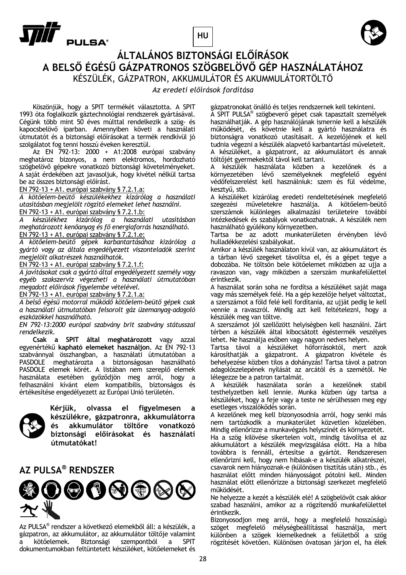**HU**



# **T**<br>Pulsa°

## **ÁLTALÁNOS BIZTONSÁGI ELŐÍRÁSOK A BELSŐ ÉGÉSŰ GÁZPATRONOS SZÖGBELÖVŐ GÉP HASZNÁLATÁHOZ** KÉSZÜLÉK, GÁZPATRON, AKKUMULÁTOR ÉS AKUMMULÁTORTÖLTŐ

## *Az eredeti előírások fordítása*

 Köszönjük, hogy a SPIT termékét választotta. A SPIT 1993 óta foglalkozik gáztechnológiai rendszerek gyártásával. Cégünk több mint 50 éves múlttal rendelkezik a szög- és kapocsbelövő iparban. Amennyiben követi a használati útmutatót és a biztonsági előírásokat a termék rendkívül jó szolgálatot fog tenni hosszú éveken keresztül.

 Az EN 792-13: 2000 + A1:2008 európai szabvány meghatároz bizonyos, a nem elektromos, hordozható szögbelövő gépekre vonatkozó biztonsági követelményeket. A saját érdekében azt javasoljuk, hogy kivétel nélkül tartsa be az összes biztonsági előírást.

EN 792-13 + A1. európai szabvány § 7.2.1.a:

*A kötőelem-beütő készülékekhez kizárólag a használati utasításban megjelölt rögzítő elemeket lehet használni.*  EN 792-13 + A1. európai szabvány § 7.2.1.b:

*A készülékhez kizárólag a használati utasításban meghatározott kenőanyag és fő energiaforrás használható.*  EN 792-13 + A1. európai szabvány § 7.2.1.e:

*A kötőelem-beütő gépek karbantartásához kizárólag a gyártó vagy az általa engedélyezett viszonteladók szerint megjelölt alkatrészek használhatók.* 

EN 792-13 + A1. európai szabvány § 7.2.1.f:

*A javításokat csak a gyártó által engedélyezett személy vagy egyéb szakszerviz végezheti a használati útmutatóban megadott előírások figyelembe vételével.* 

EN 792-13 + A1. európai szabvány § 7.2.1.a:

*A belső égésű motorral működő kötőelem-beütő gépek csak a használati útmutatóban felsorolt gáz üzemanyag-adagoló eszközökkel használható.* 

*EN 792-13:2000 európai szabvány brit szabvány státusszal rendelkezik.* 

 **Csak a SPIT által meghatározott** vagy azzal egyenértékű **kapható elemeket használjon**. Az EN 792-13 szabvánnyal összhangban, a használati útmutatóban a PASDOLE meghatározta a biztonságosan használható PASDOLE elemek körét. A listában nem szereplő elemek használata esetében győződjön meg arról, hogy a felhasználni kívánt elem kompatibilis, biztonságos és értékesítése engedélyezett az Európai Unió területén.



**Kérjük, olvassa el figyelmesen a készülékre, gázpatronra, akkumulátorra és akkumulátor töltőre vonatkozó biztonsági előírásokat és használati útmutatókat!** 

## **AZ PULSA® RENDSZER**



Az PULSA® rendszer a következő elemekből áll: a készülék, a gázpatron, az akkumulátor, az akkumulátor töltője valamint a kötőelemek. Biztonsági szempontból a SPIT dokumentumokban feltüntetett készüléket, kötőelemeket és

gázpatronokat önálló és teljes rendszernek kell tekinteni.

A SPIT PULSA® szögbeverő gépet csak tapasztalt személyek használhatják. A gép használójának ismernie kell a készülék működését, és követnie kell a gyártó használatra és biztonságra vonatkozó utasításait. A kezelőjének el kell tudnia végezni a készülék alapvető karbantartási műveleteit. A készüléket, a gázpatront, az akkumulátort és annak töltőjét gyermekektől távol kell tartani.

A készülék használata közben a kezelőnek és a környezetében lévő személyeknek megfelelő egyéni védőfelszerelést kell használniuk: szem és fül védelme, kesztyű, stb.

A készüléket kizárólag eredeti rendeltetésének megfelelő szegezési műveletekre használja. A kötőelem-beütő szerszámok különleges alkalmazási területeire további intézkedések és szabályok vonatkozhatnak. A készülék nem használható gyúlékony környezetben.

Tartsa be az adott munkaterületen érvényben lévő hulladékkezelési szabályokat.

Amikor a készülék használaton kívül van, az akkumulátort és a tárban lévő szegeket távolítsa el, és a gépet tegye a dobozába. Ne töltsön bele kötőelemet miközben az ujja a ravaszon van, vagy miközben a szerszám munkafelülettel érintkezik.

A használat során soha ne fordítsa a készüléket saját maga vagy más személyek felé. Ha a gép kezelője helyet változtat, a szerszámot a föld felé kell fordítania, az ujját pedig le kell vennie a ravaszról. Mindig azt kell feltételezni, hogy a készülék meg van töltve.

A szerszámot jól szellőzött helyiségben kell használni. Zárt térben a készülék által kibocsátott égéstermék veszélyes lehet. Ne használja esőben vagy nagyon nedves helyen.

Tartsa távol a készüléket hőforrásoktól, mert azok károsíthatják a gázpatront. A gázpatron kivétele és behelyezése közben tilos a dohányzás! Tartsa távol a patron adagolószelepének nyílását az arcától és a szemétől. Ne lélegezze be a patron tartalmát.

A készülék használata során a kezelőnek stabil testhelyzetben kell lennie. Munka közben úgy tartsa a készüléket, hogy a feje vagy a teste ne sérülhessen meg egy esetleges visszalökődés során.

A kezelőnek meg kell bizonyosodnia arról, hogy senki más nem tartózkodik a munkaterület közvetlen közelében. Mindig ellenőrizze a munkavégzés helyszínét és környezetét.

Ha a szög kilövése sikertelen volt, mindig távolítsa el az akkumulátort a készülék megvizsgálása előtt. Ha a hiba továbbra is fennáll, értesítse a gyártót. Rendszeresen ellenőrizni kell, hogy nem hibásak-e a készülék alkatrészei, csavarok nem hiányoznak-e (különösen tisztítás után) stb., és használat előtt minden hiányosságot pótolni kell. Minden használat előtt ellenőrizze a biztonsági szerkezet megfelelő működését.

Ne helyezze a kezét a készülék elé! A szögbelövőt csak akkor szabad használni, amikor az a rögzítendő munkafelülettel érintkezik.

Bizonyosodjon meg arról, hogy a megfelelő hosszúságú szöget megfelelő mélységbeállítással használja, mert különben a szögek kiemelkednek a felületből a szög rögzítését követően. Különösen óvatosan járjon el, ha élek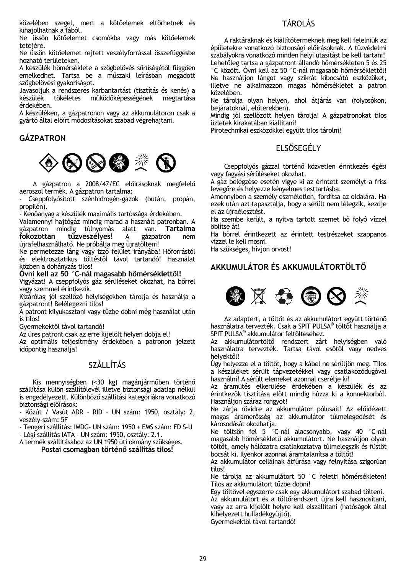közelében szegel, mert a kötőelemek eltörhetnek és kihajolhatnak a fából.

Ne üssön kötőelemet csomókba vagy más kötőelemek tetejére.

Ne üssön kötőelemet rejtett veszélyforrással összefüggésbe hozható területeken.

A készülék hőmérséklete a szögbelövés sűrűségétől függően emelkedhet. Tartsa be a műszaki leírásban megadott szögbelövési gyakoriságot.

Javasoljuk a rendszeres karbantartást (tisztítás és kenés) a készülék tökéletes működőképességének megtartása érdekében.

A készüléken, a gázpatronon vagy az akkumulátoron csak a gyártó által előírt módosításokat szabad végrehajtani.

## **GÁZPATRON**



 A gázpatron a 2008/47/EC előírásoknak megfelelő aeroszol termék. A gázpatron tartalma:

Cseppfolyósított szénhidrogén-gázok (bután, propán, propilén).

- Kenőanyag a készülék maximális tartóssága érdekében.

Valamennyi hajtógáz mindig marad a használt patronban. A gázpatron mindig túlnyomás alatt van. **Tartalma fokozottan tűzveszélyes!** A gázpatron nem újrafelhasználható. Ne próbálja meg újratölteni!

Ne permetezze láng vagy izzó felület irányába! Hőforrástól és elektrosztatikus töltéstől távol tartandó! Használat közben a dohányzás tilos!

**Óvni kell az 50 °C-nál magasabb hőmérséklettől!** 

Vigyázat! A cseppfolyós gáz sérüléseket okozhat, ha bőrrel vagy szemmel érintkezik.

Kizárólag jól szellőző helyiségekben tárolja és használja a gázpatront! Belélegezni tilos!

A patront kilyukasztani vagy tűzbe dobni még használat után is tilos!

Gyermekektől távol tartandó!

Az üres patront csak az erre kijelölt helyen dobja el!

Az optimális teljesítmény érdekében a patronon jelzett időpontig használja!

## SZÁLLÍTÁS

 Kis mennyiségben (<30 kg) magánjárműben történő szállítása külön szállítólevél illetve biztonsági adatlap nélkül is engedélyezett. Különböző szállítási kategóriákra vonatkozó biztonsági előírások:

- Közút / Vasút ADR – RID – UN szám: 1950, osztály: 2, veszély-szám: 5F

- Tengeri szállítás: IMDG- UN szám: 1950 + EMS szám: FD S-U

- Légi szállítás IATA – UN szám: 1950, osztály: 2.1.

A termék szállításához az UN 1950 úti okmány szükséges. **Postai csomagban történő szállítás tilos!** 

## TÁROLÁS

 A raktáraknak és kiállítótermeknek meg kell felelniük az épületekre vonatkozó biztonsági előírásoknak. A tűzvédelmi szabályokra vonatkozó minden helyi utasítást be kell tartani! Lehetőleg tartsa a gázpatront állandó hőmérsékleten 5 és 25 °C között. Óvni kell az 50 °C-nál magasabb hőmérséklettől! Ne használjon lángot vagy szikrát kibocsátó eszközöket, illetve ne alkalmazzon magas hőmérsékletet a patron közelében.

Ne tárolja olyan helyen, ahol átjárás van (folyosókon, bejáratoknál, előterekben).

Mindig jól szellőzött helyen tárolja! A gázpatronokat tilos üzletek kirakatában kiállítani!

Pirotechnikai eszközökkel együtt tilos tárolni!

## ELSŐSEGÉLY

Cseppfolyós gázzal történő közvetlen érintkezés égési vagy fagyási sérüléseket okozhat.

A gáz belégzése esetén vigye ki az érintett személyt a friss levegőre és helyezze kényelmes testtartásba.

Amennyiben a személy eszméletlen, fordítsa az oldalára. Ha ezek után azt tapasztalja, hogy a sérült nem lélegzik, kezdje el az újraélesztést.

Ha szembe került, a nyitva tartott szemet bő folyó vízzel öblítse át!

Ha bőrrel érintkezett az érintett testrészeket szappanos vízzel le kell mosni.

Ha szükséges, hívjon orvost!

## **AKKUMULÁTOR ÉS AKKUMULÁTORTÖLTŐ**



 Az adaptert, a töltőt és az akkumulátort együtt történő használatra tervezték. Csak a SPIT PULSA® töltőt használja a SPIT PULSA® akkumulátor feltöltéséhez.

Az akkumulátortöltő rendszert zárt helyiségben való használatra tervezték. Tartsa távol esőtől vagy nedves helyektől!

Úgy helyezze el a töltőt, hogy a kábel ne sérüljön meg. Tilos a készüléket sérült tápvezetékkel vagy csatlakozódugóval használni! A sérült elemeket azonnal cserélje ki!

Az áramütés elkerülése érdekében a készülék és az érintkezők tisztítása előtt mindig húzza ki a konnektorból. Használjon száraz rongyot!

Ne zárja rövidre az akkumulátor pólusait! Az előidézett magas áramerősség az akkumulátor túlmelegedését és károsodását okozhatja.

Ne töltsön fel 5 °C-nál alacsonyabb, vagy 40 °C-nál magasabb hőmérsékletű akkumulátort. Ne használjon olyan töltőt, amely hálózatra csatlakoztatva túlmelegszik és füstöt bocsát ki. Ilyenkor azonnal áramtalanítsa a töltőt!

Az akkumulátor celláinak átfúrása vagy felnyitása szigorúan tilos!

Ne tárolja az akkumulátort 50 °C feletti hőmérsékleten! Tilos az akkumulátort tűzbe dobni!

Egy töltővel egyszerre csak egy akkumulátort szabad tölteni. Az akkumulátort és a töltőrendszert újra kell hasznosítani, vagy az arra kijelölt helyre kell elszállítani (hatóságok által kihelyezett hulladékgyűjtő).

Gyermekektől távol tartandó!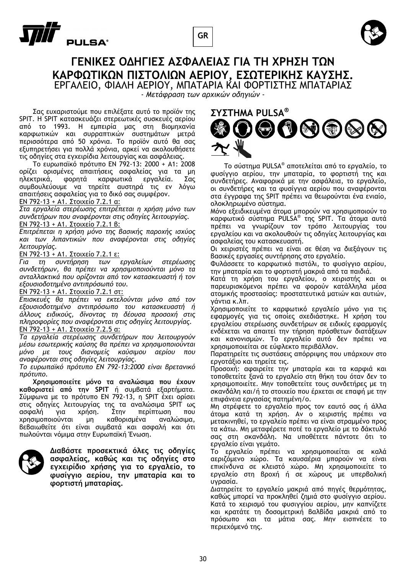





## **ΓΕΝΙΚΕΣ ΟΔΗΓΙΕΣ ΑΣΦΑΛΕΙΑΣ ΓΙΑ ΤΗ ΧΡΗΣΗ ΤΩΝ ΚΑΡΦΩΤΙΚΩΝ ΠΙΣΤΟΛΙΩΝ ΑΕΡΙΟΥ, ΕΣΩΤΕΡΙΚΗΣ ΚΑΥΣΗΣ.** ΕΡΓΑΛΕΙΟ, ΦIΑΛH ΑΕΡΙΟΥ, ΜΠΑΤΑΡΙΑ ΚΑΙ ΦΟΡΤΙΣΤΗΣ ΜΠΑΤΑΡΙΑΣ

*- Μετάφραση των αρχικών οδηγιών -* 

Σας ευχαριστούμε που επιλέξατε αυτό το προϊόν της SPIT. H SPIT κατασκευάζει στερεωτικές συσκευές αερίου από το 1993. Η εμπειρία μας στη βιομηχανία καρφωτικών και συρραπτικών συστημάτων μετρά περισσότερα από 50 χρόνια. Το προϊόν αυτό θα σας εξυπηρετήσει για πολλά χρόνια, αρκεί να ακολουθήσετε τις οδηγίες στα εγχειρίδια λειτουργίας και ασφάλειας.

Το ευρωπαϊκό πρότυπο EN 792-13: 2000 + A1: 2008 ορίζει ορισμένες απαιτήσεις ασφαλείας για τα μη ηλεκτρικά, φορητά καρφωτικά εργαλεία. Σας συμβουλεύουμε να τηρείτε αυστηρά τις εν λόγω απαιτήσεις ασφαλείας για το δικό σας συμφέρον.

## EN 792-13 + A1. Στοιχείο 7.2.1 α:

*Στα εργαλεία στερέωσης επιτρέπεται η χρήση μόνο των συνδετήρων που αναφέρονται στις οδηγίες λειτουργίας.*  EN 792-13 + A1. Στοιχείο 7.2.1 β:

*Επιτρέπεται η χρήση μόνο της βασικής παροχής ισχύος και των λιπαντικών που αναφέρονται στις οδηγίες λειτουργίας.* 

### EN 792-13 + A1. Στοιχείο 7.2.1 ε:

*Για τη συντήρηση των εργαλείων στερέωσης συνδετήρων, θα πρέπει να χρησιμοποιούνται μόνο τα ανταλλακτικά που ορίζονται από τον κατασκευαστή ή τον εξουσιοδοτημένο αντιπρόσωπό του.* 

### EN 792-13 + A1. Στοιχείο 7.2.1 στ:

*Επισκευές θα πρέπει να εκτελούνται μόνο από τον εξουσιοδοτημένο αντιπρόσωπο του κατασκευαστή ή άλλους ειδικούς, δίνοντας τη δέουσα προσοχή στις πληροφορίες που αναφέρονται στις οδηγίες λειτουργίας.*  EN 792-13 + A1. Στοιχείο 7.2.5 α:

*Τα εργαλεία στερέωσης συνδετήρων που λειτουργούν μέσω εσωτερικής καύσης θα πρέπει να χρησιμοποιούνται μόνο με τους διανομείς καύσιμου αερίου που αναφέρονται στις οδηγίες λειτουργίας.* 

*Το ευρωπαϊκό πρότυπο EN 792-13:2000 είναι βρετανικό πρότυπο.* 

**Χρησιμοποιείτε μόνο τα αναλώσιμα που έχουν καθοριστεί από την SPIT** ή συμβατά εξαρτήματα. Σύμφωνα με το πρότυπο EN 792-13, η SPIT έχει ορίσει στις οδηγίες λειτουργίας της τα αναλώσιμα SPIT ως ασφαλή για χρήση. Στην περίπτωση που χρησιμοποιούνται μη καθορισμένα αναλώσιμα, βεβαιωθείτε ότι είναι συμβατά και ασφαλή και ότι πωλούνται νόμιμα στην Ευρωπαϊκή Ένωση.



**Διαβάστε προσεκτικά όλες τις οδηγίες ασφαλείας, καθώς και τις οδηγίες στο εγχειρίδιο χρήσης για το εργαλείο, το φυσίγγιο αερίου, την μπαταρία και το φορτιστή μπαταρίας.** 



Το σύστημα PULSA® αποτελείται από το εργαλείο, το φυσίγγιο αερίου, την μπαταρία, το φορτιστή της και συνδετήρες. Αναφορικά με την ασφάλεια, το εργαλείο, οι συνδετήρες και τα φυσίγγια αερίου που αναφέρονται στα έγγραφα της SPIT πρέπει να θεωρούνται ένα ενιαίο, ολοκληρωμένο σύστημα.

Μόνο εξειδικευμένα άτομα μπορούν να χρησιμοποιούν το καρφωτικό σύστημα PULSA® της SPIT. Τα άτομα αυτά πρέπει να γνωρίζουν τον τρόπο λειτουργίας του εργαλείου και να ακολουθούν τις οδηγίες λειτουργίας και ασφαλείας του κατασκευαστή.

Οι χειριστές πρέπει να είναι σε θέση να διεξάγουν τις βασικές εργασίες συντήρησης στο εργαλείο.

Φυλάσσετε το καρφωτικό πιστόλι, το φυσίγγιο αερίου, την μπαταρία και το φορτιστή μακριά από τα παιδιά.

Κατά τη χρήση του εργαλείου, ο χειριστής και οι παρευρισκόμενοι πρέπει να φορούν κατάλληλα μέσα ατομικής προστασίας: προστατευτικά ματιών και αυτιών, γάντια κ.λπ.

Χρησιμοποιείτε το καρφωτικό εργαλείο μόνο για τις εφαρμογές για τις οποίες σχεδιάστηκε. Η χρήση του εργαλείου στερέωσης συνδετήρων σε ειδικές εφαρμογές ενδέχεται να απαιτεί την τήρηση πρόσθετων διατάξεων και κανονισμών. Το εργαλείο αυτό δεν πρέπει να χρησιμοποιείται σε εύφλεκτο περιβάλλον.

Παρατηρείτε τις συστάσεις απόρριψης που υπάρχουν στο εργοτάξιο και τηρείτε τις.

Προσοχή: αφαιρείτε την μπαταρία και τα καρφιά και τοποθετείτε ξανά το εργαλείο στη θήκη του όταν δεν το χρησιμοποιείτε. Μην τοποθετείτε τους συνδετήρες με τη σκανδάλη και/ή το στοιχείο που έρχεται σε επαφή με την επιφάνεια εργασίας πατημένη/ο.

Μη στρέφετε το εργαλείο προς τον εαυτό σας ή άλλα άτομα κατά τη χρήση. Αν ο χειριστής πρέπει να μετακινηθεί, το εργαλείο πρέπει να είναι στραμμένο προς τα κάτω. Μη μεταφέρετε ποτέ το εργαλείο με το δάκτυλό σας στη σκανδάλη. Να υποθέτετε πάντοτε ότι το εργαλείο είναι γεμάτο.

Το εργαλείο πρέπει να χρησιμοποιείται σε καλά αεριζόμενο χώρο. Τα καυσαέρια μπορούν να είναι επικίνδυνα σε κλειστό χώρο. Μη χρησιμοποιείτε το εργαλείο στη βροχή ή σε χώρους με υπερβολική υγρασία.

Διατηρείτε το εργαλείο μακριά από πηγές θερμότητας, καθώς μπορεί να προκληθεί ζημιά στο φυσίγγιο αερίου. Κατά το χειρισμό του φυσιγγίου αερίου, μην καπνίζετε και κρατάτε τη δοσομετρική βαλβίδα μακριά από το πρόσωπο και τα μάτια σας. Μην εισπνέετε το περιεχόμενό της.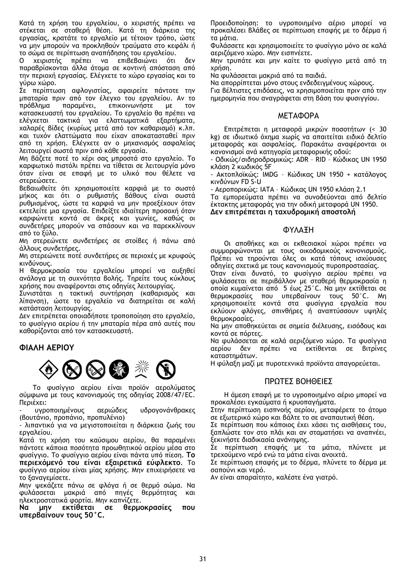Κατά τη χρήση του εργαλείου, ο χειριστής πρέπει να στέκεται σε σταθερή θέση. Κατά τη διάρκεια της εργασίας, κρατάτε το εργαλείο με τέτοιον τρόπο, ώστε να μην μπορούν να προκληθούν τραύματα στο κεφάλι ή το σώμα σε περίπτωση αναπήδησης του εργαλείου.

Ο χειριστής πρέπει να επιβεβαιώνει ότι δεν παραβρίσκονται άλλα άτομα σε κοντινή απόσταση από την περιοχή εργασίας. Ελέγχετε το χώρο εργασίας και το γύρω χώρο.

Σε περίπτωση αφλογιστίας, αφαιρείτε πάντοτε την μπαταρία πριν από τον έλεγχο του εργαλείου. Αν το πρόβλημα παραμένει, επικοινωνήστε με τον κατασκευαστή του εργαλείου. Το εργαλείο θα πρέπει να ελέγχεται τακτικά για ελαττωματικά εξαρτήματα, χαλαρές βίδες (κυρίως μετά από τον καθαρισμό) κ.λπ. και τυχόν ελαττώματα που είχαν αποκατασταθεί πριν από τη χρήση. Ελέγχετε αν ο μηχανισμός ασφαλείας λειτουργεί σωστά πριν από κάθε εργασία.

Μη βάζετε ποτέ το χέρι σας μπροστά στο εργαλείο. Το καρφωτικό πιστόλι πρέπει να τίθεται σε λειτουργία μόνο όταν είναι σε επαφή με το υλικό που θέλετε να στερεώσετε.

Βεβαιωθείτε ότι χρησιμοποιείτε καρφιά με το σωστό μήκος και ότι ο ρυθμιστής βάθους είναι σωστά ρυθμισμένος, ώστε τα καρφιά να μην προεξέχουν όταν εκτελείτε μια εργασία. Επιδείξτε ιδιαίτερη προσοχή όταν καρφώνετε κοντά σε άκρες και γωνίες, καθώς οι συνδετήρες μπορούν να σπάσουν και να παρεκκλίνουν από το ξύλο.

Μη στερεώνετε συνδετήρες σε στοίβες ή πάνω από άλλους συνδετήρες.

Μη στερεώνετε ποτέ συνδετήρες σε περιοχές με κρυφούς κινδύνους.

Η θερμοκρασία του εργαλείου μπορεί να αυξηθεί ανάλογα με τη συχνότητα βολής. Τηρείτε τους κύκλους χρήσης που αναφέρονται στις οδηγίες λειτουργίας.

Συνιστάται η τακτική συντήρηση (καθαρισμός και λίπανση), ώστε το εργαλείο να διατηρείται σε καλή κατάσταση λειτουργίας.

Δεν επιτρέπεται οποιαδήποτε τροποποίηση στο εργαλείο, το φυσίγγιο αερίου ή την μπαταρία πέρα από αυτές που καθορίζονται από τον κατασκευαστή.

## **ΦIΑΛH ΑΕΡΙΟΥ**



Το φυσίγγιο αερίου είναι προϊόν αερολύματος σύμφωνα με τους κανονισμούς της οδηγίας 2008/47/EC. Περιέχει:

- υγροποιημένους αεριώδεις υδρογονάνθρακες (βουτάνιο, προπάνιο, προπυλένιο)

- λιπαντικό για να μεγιστοποιείται η διάρκεια ζωής του εργαλείου.

Κατά τη χρήση του καύσιμου αερίου, θα παραμένει πάντοτε κάποια ποσότητα προωθητικού αερίου μέσα στο φυσίγγιο. Το φυσίγγιο αερίου είναι πάντα υπό πίεση. **Το περιεχόμενό του είναι εξαιρετικά εύφλεκτο**. Το φυσίγγιο αερίου είναι μίας χρήσης. Μην επιχειρήσετε να το ξαναγεμίσετε.

Μην ψεκάζετε πάνω σε φλόγα ή σε θερμό σώμα. Να φυλάσσεται μακριά από πηγές θερμότητας και ηλεκτροστατικά φορτία. Μην καπνίζετε.

**Να μην εκτίθεται σε θερμοκρασίες που υπερβαίνουν τους 50°C.** 

Προειδοποίηση: το υγροποιημένο αέριο μπορεί να προκαλέσει βλάβες σε περίπτωση επαφής με το δέρμα ή τα μάτια.

Φυλάσσετε και χρησιμοποιείτε το φυσίγγιο μόνο σε καλά αεριζόμενο χώρο. Μην εισπνέετε.

Μην τρυπάτε και μην καίτε το φυσίγγιο μετά από τη χρήση.

Να φυλάσσεται μακριά από τα παιδιά.

Να απορρίπτεται μόνο στους ενδεδειγμένους χώρους. Για βέλτιστες επιδόσεις, να χρησιμοποιείται πριν από την ημερομηνία που αναγράφεται στη βάση του φυσιγγίου.

## ΜΕΤΑΦΟΡΑ

Επιτρέπεται η μεταφορά μικρών ποσοτήτων (< 30 kg) σε ιδιωτικό όχημα χωρίς να απαιτείται ειδικό δελτίο μεταφοράς και ασφαλείας. Παρακάτω αναφέρονται οι κανονισμοί ανά κατηγορία μεταφορικής οδού:

- Οδικώς/σιδηροδρομικώς: ADR – RID – Κώδικας UN 1950 κλάση 2 κωδικός 5F

- Ακτοπλοϊκώς: IMDG – Κώδικας UN 1950 + κατάλογος κινδύνων FD S-U

- Αεροπορικώς: IATA – Κώδικας UN 1950 κλάση 2.1

Τα εμπορεύματα πρέπει να συνοδεύονται από δελτίο έκτακτης μεταφοράς για την οδική μεταφορά UN 1950. **Δεν επιτρέπεται η ταχυδρομική αποστολή**

## ΦΥΛΑΞΗ

Οι αποθήκες και οι εκθεσιακοί χώροι πρέπει να συμμορφώνονται με τους οικοδομικούς κανονισμούς. Πρέπει να τηρούνται όλες οι κατά τόπους ισχύουσες οδηγίες σχετικά με τους κανονισμούς πυροπροστασίας.

Όταν είναι δυνατό, το φυσίγγιο αερίου πρέπει να φυλάσσεται σε περιβάλλον με σταθερή θερμοκρασία η οποία κυμαίνεται από 5 έως 25°C. Να μην εκτίθεται σε θερμοκρασίες που υπερβαίνουν τους 50°C. Μη χρησιμοποιείτε κοντά στα φυσίγγια εργαλεία που εκλύουν φλόγες, σπινθήρες ή αναπτύσσουν υψηλές θερμοκρασίες.

Να μην αποθηκεύεται σε σημεία διέλευσης, εισόδους και κοντά σε πόρτες.

Να φυλάσσεται σε καλά αεριζόμενο χώρο. Τα φυσίγγια αερίου δεν πρέπει να εκτίθενται σε βιτρίνες καταστημάτων.

Η φύλαξη μαζί με πυροτεχνικά προϊόντα απαγορεύεται.

## ΠΡΩΤΕΣ ΒΟΗΘΕΙΕΣ

Η άμεση επαφή με το υγροποιημένο αέριο μπορεί να προκαλέσει εγκαύματα ή κρυοπαγήματα.

Στην περίπτωση εισπνοής αερίου, μεταφέρετε το άτομο σε εξωτερικό χώρο και βάλτε το σε αναπαυτική θέση.

Σε περίπτωση που κάποιος έχει χάσει τις αισθήσεις του, ξαπλώστε τον στο πλάι και αν σταματήσει να αναπνέει, ξεκινήστε διαδικασία ανάνηψης.

Σε περίπτωση επαφής με τα μάτια, πλύνετε με τρεχούμενο νερό ενώ τα μάτια είναι ανοιχτά.

Σε περίπτωση επαφής με το δέρμα, πλύνετε το δέρμα με σαπούνι και νερό.

Αν είναι απαραίτητο, καλέστε ένα γιατρό.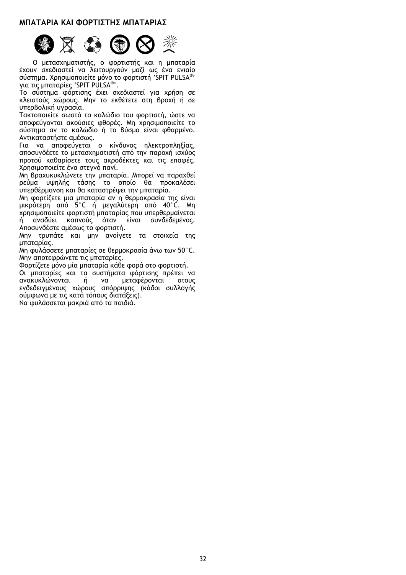## **ΜΠΑΤΑΡΙΑ ΚΑΙ ΦΟΡΤΙΣΤΗΣ ΜΠΑΤΑΡΙΑΣ**



Ο μετασχηματιστής, ο φορτιστής και η μπαταρία έχουν σχεδιαστεί να λειτουργούν μαζί ως ένα ενιαίο σύστημα. Χρησιμοποιείτε μόνο το φορτιστή 'SPIT PULSA®' για τις μπαταρίες 'SPIT PULSA®'.

Το σύστημα φόρτισης έχει σχεδιαστεί για χρήση σε κλειστούς χώρους. Μην το εκθέτετε στη βροχή ή σε υπερβολική υγρασία.

Τακτοποιείτε σωστά το καλώδιο του φορτιστή, ώστε να αποφεύγονται ακούσιες φθορές. Μη χρησιμοποιείτε το σύστημα αν το καλώδιο ή το βύσμα είναι φθαρμένο. Αντικαταστήστε αμέσως.

Για να αποφεύγεται ο κίνδυνος ηλεκτροπληξίας, αποσυνδέετε το μετασχηματιστή από την παροχή ισχύος προτού καθαρίσετε τους ακροδέκτες και τις επαφές. Χρησιμοποιείτε ένα στεγνό πανί.

Μη βραχυκυκλώνετε την μπαταρία. Μπορεί να παραχθεί ρεύμα υψηλής τάσης το οποίο θα προκαλέσει υπερθέρμανση και θα καταστρέψει την μπαταρία.

Μη φορτίζετε μια μπαταρία αν η θερμοκρασία της είναι μικρότερη από 5°C ή μεγαλύτερη από 40°C. Μη χρησιμοποιείτε φορτιστή μπαταρίας που υπερθερμαίνεται ή αναδύει καπνούς όταν είναι συνδεδεμένος. Αποσυνδέστε αμέσως το φορτιστή.

Μην τρυπάτε και μην ανοίγετε τα στοιχεία της μπαταρίας.

Μη φυλάσσετε μπαταρίες σε θερμοκρασία άνω των 50°C. Μην αποτεφρώνετε τις μπαταρίες.

Φορτίζετε μόνο μία μπαταρία κάθε φορά στο φορτιστή.

Οι μπαταρίες και τα συστήματα φόρτισης πρέπει να ανακυκλώνονται ή ενδεδειγμένους χώρους απόρριψης (κάδοι συλλογής σύμφωνα με τις κατά τόπους διατάξεις). Να φυλάσσεται μακριά από τα παιδιά.

32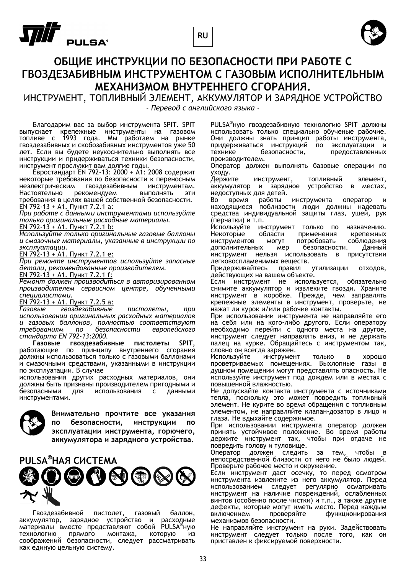



## **ОБЩИЕ ИНСТРУКЦИИ ПО БЕЗОПАСНОСТИ ПРИ РАБОТЕ С ГВОЗДЕЗАБИВНЫМ ИНСТРУМЕНТОМ С ГАЗОВЫМ ИСПОЛНИТЕЛЬНЫМ МЕХАНИЗМОМ ВНУТРЕННЕГО СГОРАНИЯ.**

ИНСТРУМЕНТ, ТОПЛИВНЫЙ ЭЛЕМЕНТ, АККУМУЛЯТОР И ЗАРЯДНОЕ УСТРОЙСТВО *- Перевод с английского языка -*

Благодарим вас за выбор инструмента SPIT. SPIT выпускает крепежные инструменты на газовом топливе с 1993 года. Мы работаем на рынке гвоздезабивных и скобозабивных инструментов уже 50 лет. Если вы будете неукоснительно выполнять все инструкции и придерживаться техники безопасности, инструмент прослужит вам долгие годы.

Евростандарт EN 792-13: 2000 + A1: 2008 содержит некоторые требования по безопасности к переносным гвоздезабивным инструментам. Настоятельно рекомендуем выполнять эти требования в целях вашей собственной безопасности.<br><u>EN 792-13 + A1. Пункт 7.2.1 a:</u>

*При работе с данными инструментами используйте только оригинальные расходные материалы.* EN 792-13 + A1. Пункт 7.2.1 b:

*Используйте только оригинальные газовые баллоны и смазочные материалы, указанные в инструкции по*

*эксплуатации.* EN 792-13 + A1. Пункт 7.2.1 e:

*При ремонте инструментов используйте запасные детали, рекомендованные производителем.* 

EN 792-13  $+$  A1. Пункт 7.2.1 f:

*Ремонт должен производиться в авторизированном производителем сервисном центре, обученными*

*специалистами.* EN 792-13 + A1. Пункт 7.2.5 a:

*Газовые гвоздезабивные пистолеты, при использовании оригинальных расходных материалов и газовых баллонов, полностью соответствуют требованиям по безопасности европейского стандарта EN 792-13:2000.* 

**Газовые гвоздезабивные пистолеты SPIT,** работающие по принципу внутреннего сгорания должны использоваться только с газовыми баллонами и смазочными средствами, указанными в инструкции по эксплуатации. В случае

использования других расходных материалов, они должны быть признаны производителем пригодными и<br>безопасными и для использования с данными использования с инструментами.



**Внимательно прочтите все указания по безопасности, инструкции по эксплуатации инструмента, горючего, аккумулятора и зарядного устройства.** 

**PULSA® НАЯ СИСТЕМА**  $0$   $0$   $0$   $0$   $0$ 

Гвоздезабивной пистолет, газовый баллон, аккумулятор, зарядное устройство и расходные материалы вместе представляют собой PULSA®ную технологию прямого монтажа, которую из соображений безопасности, следует рассматривать как единую цельную систему.

PULSA®ную гвоздезабивную технологию SPIT должны использовать только специально обученые рабочие.<br>Они должны знать принцип работы инструмента,<br>придерживаться инструкций по эксплуатации и придерживаться инструкций по<br>технике безопасности, технике безопасности, предоставленных производителем.

Оператор должен выполнять базовые операции по

уходу.<br>Держите инструмент, топливный элемент,<br>аккумулятор и зарядное устройство в местах, аккумулятор и зарядное устройство в местах, недоступных для детей.<br>Во время работы инструмента оператор и

находящиеся поблизости люди должны надевать средства индивидуальной защиты глаз, ушей, рук (перчатки) и т.п.

Используйте инструмент только по назначению. Некоторые области применения крепежных инструментов могут потребовать соблюдения<br>дополнительных мер безопасности. Данный дополнительных мер безопасности. Данный инструмент нельзя использовать в присутствии легковоспламенимых веществ.<br>Придерживайтесь правил утилизации отходов,

действующих на вашем объекте.<br>Если инструмент не используется, обязательно

снимите аккумулятор и извлеките гвозди. Храните инструмент в коробке. Прежде, чем заправлять крепежные элементы в инструмент, проверьте, не нажат ли курок и/или рабочие контакты.

При использовании инструмента не направляйте его на себя или на кого-либо другого. Если оператору необходимо перейти с одного места на другое, инструмент следует направлять вниз, и не держать палец на курке. Обращайтесь с инструментом так, словно он всегда заряжен.<br>Используйте инструмент только в хорошо

проветриваемых помещениях. Выхлопные газы в душном помещении могут представлять опасность. Не используйте инструмент под дождем или в местах с повышенной влажностью.

Не допускайте контакта инструмента с источниками тепла, поскольку это может повредить топливный элемент. Не курите во время обращения с топливным элементом, не направляйте клапан-дозатор в лицо и глаза. Не вдыхайте содержимое.<br>При использовании инструмента оператор должен

принять устойчивое положение. Во время работы держите инструмент так, чтобы при отдаче не повредить голову и туловище.

Оператор должен следить за тем, чтобы в непосредственной близости от него не было людей.<br>Проверьте рабочее место и окружение.<br>Если инструмент даст осечку, то перед осмотром

инструмента извлеките из него аккумулятор. Перед использованием следует регулярно осматривать инструмент на наличие повреждений, ослабленных винтов (особенно после чистки) и т.п., а также другие дефекты, которые могут иметь место. Перед каждым<br>включением — проверяйте — функционирования включением проверяйте функционирования

механизмов безопасности.<br>Не направляйте инструмент на руки. Задействовать инструмент следует только после того, как он приставлен к фиксируемой поверхности.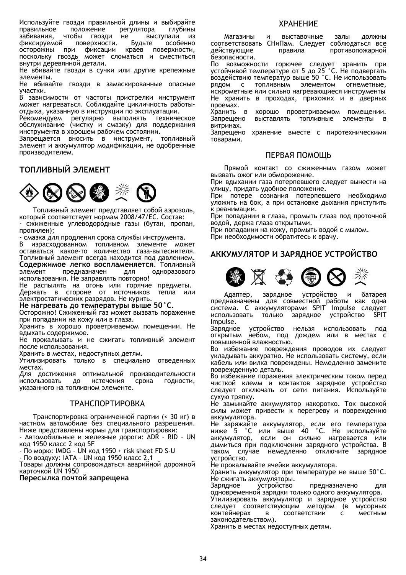Используйте гвозди правильной длины и выбирайте<br>правильное положение регулятора глубины правильное положение регулятора<br>забивания, чтобы гвозди не выс гвозди не выступали из фиксируемой поверхности. Будьте особенно<br>осторожны при фиксации краев поверхности. краев поверхности, поскольку гвоздь может сломаться и сместиться<br>внутридеревяннойдетали.

Не вбивайте гвозди в сучки или другие крепежные элементы.

Не вбивайте гвозди в замаскированные опасные участки.

В зависимости от частоты пристрелки инструмент может нагреваться. Соблюдайте цикличность работы-<br>отдыха, указанную в инструкции по эксплуатации.<br>Рекомендуем - регулярно - выполнять - техническое

регулярно выполнять техническое обслуживание (чистку и смазку) для поддержания инструмента в хорошем рабочем состоянии.

Запрещается вносить в инструмент, топливный элемент и аккумулятор модификации, не одобренные производителем.

## **ТОПЛИВНЫЙ ЭЛЕМЕНТ**



Топливный элемент представляет собой аэрозоль, который соответствует нормам 2008/47/EC. Состав:

- сжиженные углеводородные газы (бутан, пропан,<br>пропилен);<br>- смазка для продления срока службы инструмента.<br>В израсходованном топливном элементе может<br>оставаться какое-то количество газа-вытеснителя. оставаться какого-топловаться под давлением. **Содержимое легко воспламеняется**. Топливный предназначен использования. Не заправлять повторно!

Не распылять на огонь или горячие предметы. Держать в стороне от источников тепла или электростатических разрядов. Не курить.

**Не нагревать до температуры выше 50°C.** 

Осторожно! Сжиженный газ может вызвать поражение при попадании на кожу или в глаза.

Хранить в хорошо проветриваемом помещении. Не вдыхать содержимое.

Не прокалывать и не сжигать топливный элемент<br>послеиспользования.

Хранить в местах, недоступных детям.

Утилизировать только в специально отведенных местах.

Для достижения оптимальной производительности использовать до истечения срока годности, указанного на топливном элементе.

## ТРАНСПОРТИРОВКА

Транспортировка ограниченной партии (< 30 кг) в частном автомобиле без специального разрешения.<br>Ниже представлены нормы для транспортировки:

- Автомобильные и железные дороги: ADR - RID - UN код 1950 класс 2 код 5F

- По морю: IMDG – UN код 1950 + risk sheet FD S-U - По воздуху: IATA – UN код 1950 класс 2.1

Товары должны сопровождаться аварийной дорожной карточкой UN 1950

**Пересылка почтой запрещена**

## ХРАНЕНИЕ

Магазины и выставочные залы должны соответствовать СНиПам. Следует соблюдаться все противопожарной безопасности.

По возможности горючее следует хранить при<br>устойчивой температуре от 5 до 25 °C. Не подвергать воздействию температур выше 50 °C. Не использовать рядом <sup>с</sup> топливным элементом огнеметные, искрометные или сильно нагревающиеся инструменты Не хранить в проходах, прихожих и в дверных

проемах.<br>Хранить в хорошо проветриваемом помещении.<br>Запрешено выставлять топливные элементы в Запрещено выставлять топливные элементы в витринах.<br>Запрещено хранение вместе с пиротехническими

товарами.

## ПЕРВАЯ ПОМОЩЬ

Прямой контакт со сжиженным газом может<br>вызвать ожог или обморожение.

При вдыхании газа потерпевшего следует вынести на улицу, придать удобное положение.

При потере сознания потерпевшего необходимо уложить на бок, а при остановке дыхания приступить к реанимации.

При попадании в глаза, промыть глаза под проточной<br>водой, держа глаза открытыми.<br>При попадании на кожу, промыть водой с мылом.<br>При необходимости обратитесь к врачу.

## **АККУМУЛЯТОР И ЗАРЯДНОЕ УСТРОЙСТВО**



Адаптер, зарядное устройство и батарея предназначены для совместной работы как одна система. С аккумуляторами SPIT Impulse следует использовать только зарядное устройство SPIT Impulse.

Зарядное устройство нельзя использовать под открытым небом, под дождем или в местах с<br>повышеннойвлажностью.

Во избежание повреждения проводов их следует укладывать аккуратно. Не использовать систему, если кабель или вилка повреждены. Немедленно замените<br>поврежденную деталь.

поврежденную деталь.<br>Во избежание поражения электрическим током перед<br>чисткой клемм и контактов зарядное устройство следует отключать от сети питания. Используйте

сухую тряпку.<br>Не замыкайте аккумулятор накоротко. Ток высокой силы может привести к перегреву и повреждению аккумулятора.

Не ́за́ряжайте аккумулятор, если его температура<br>ниже 5 °C или выше 40 °C. Не используйте  $\degree$ С или выше 40 аккумулятор, если он сильно нагревается или дымиться при подключении зарядного устройства. В таком случае немедленно отключите зарядное<br>устройство.

Не прокалывайте ячейки аккумулятора.

Хранить аккумулятор при температуре не выше 50°C.

Не сжигать аккумуляторы.<br>Зарядное мустройство Зарядное устройство предназначено для<br>одновременной зарядки только одного аккумулятора. Утилизировать аккумулятор и зарядное устройство следует соответствующим методом (в мусорных контейнерах в соответствии с местным законодательством).

Хранить в местах недоступных детям.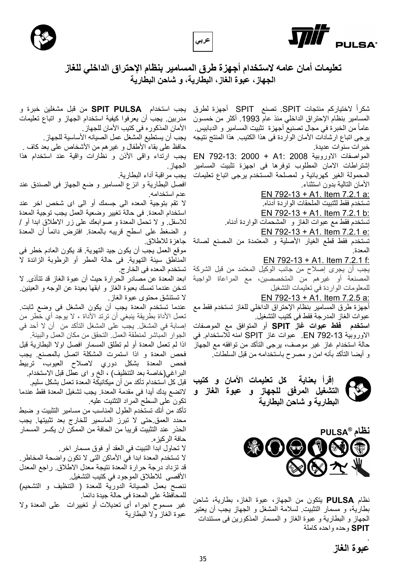





**عربي**

شكرا SPIT. تصنع SPIT أجھزة لطرق ً الختياركم منتجات المسامير بنظام اإلحتراق الداخلي منذ عام .1993 أكثر من خمسون عاما من الخبرة في مجال تصنيع أجهزة تثبيت المسامير و الدبابيس. يرجى اتباع ارشادات األمان الواردة فى ھذا الكتيب. ھذا المنتج نتيجه خبرات سنوات عديدة.

المواصفات االوروبية 2008 1:A + 2000 792-13: EN إشتراطات االمان المطلوب توفرھا فى اجھزة تثبيت المسامير المحمولة الغير كھربائية و لمصلحة المستخدم يرجى اتباع تعليمات الأمان التالية بدون استثناء

> EN 792-13 + A1. Item 7.2.1 a: تستخدم فقط لثتبيت الملحقات الواردة أدناه.

EN 792-13 + A1. Item 7.2.1 b:

تستخدم فقط مع عبوات الغاز و المشحمات الواردة أدناه.

EN 792-13 + A1. Item 7.2.1 e: تستخدم فقط قطع الغيار األصلية و المعتمدة من المصنع لصانة

المعدة.

EN 792-13 + A1. Item 7.2.1 f:

يجب أن يجرى إصالح من جانب الوكيل المعتمد من قبل الشركة المصنعة أو غيرھم من المتخصصين، مع المراعاة الواجبة للمعلومات الواردة في تعليمات التشغيل

EN 792-13 + A1. Item 7.2.5 a:

أجھزة طرق المسامير بنظام اإلحتراق الداخلي للغاز تستخدم فقط مع عبوات الغاز المدرجة فقط فى كتيب التشغيل.

**استخدم فقط عبوات غاز SPIT** أو المتوافق مع الموصفات االوروبية 792-13 EN. عبوات غاز SPIT امنه لالستخدام. في حالة استخدام غاز غير موصف، يرجى التأكد من توافقه مع الجھاز و أيضا التأكد بأنه امن و مصرح باستخدامه من قبل السلطات.



 **إقرأ بعناية كل تعليمات األمان و كتيب التشغيل المرفق للجھاز و عبوة الغاز و البطارية و شاحن البطارية**



نظام **PULSA** يتكون من الجھاز، عبوة الغاز، بطارية، شاحن بطارية، و مسمار التثبيت. لسالمة المشغل و الجھاز يجب أن يعتبر الجھاز و البطارية و عبوة الغاز و المسمار المذكورين فى مستندات **SPIT** وحده واحده كاملة

يجب استخدام **PULSA SPIT** من قبل مشغلين خبرة و مدربين. يجب أن يعرفوا كيفية استخدام الجھاز و اتباع تعليمات الأمان المذكور ه فى كتيب الأمان للجهاز . يجب أن يستطيع المشغل عمل الصيانه األساسية للجھاز. حافظ على بقاء األطفال و غيرھم من األشخاص على بعد كاف . يجب ارتداء واقى األذن و نظارات واقية عند استخدام ھذا الجھاز.

يجب مراقبة أداء البطارية.

افصل البطارية و انزع المسامير و ضع الجھاز فى الصندق عند عدم استخدامه.

ال تقم بتوجية المعده الى جسمك أو الى اى شخص اخر عند استخدام المعدة. فى حالة تغيير وضعية العمل يجب توجية المعدة للاسفل و لا تحمل المعدة و صوابعك على زر الاطلاق ابدا أو / و الضغط على اسطح قريبه بالمعدة. افترض دائماً أن المعدة جاھزة لالطالق.

موقع العمل يجب أن يكون جيد التھوية. قد يكون العادم خطر فى المناطق سيئة التھوية. فى حالة المطر أو الرطوبة الزائدة ال تستخدم المعده فى الخارج.

ابعد المعدة عن مصادر الحرارة حيث أن عبوة الغاز قد تتأذى. ال تدخن عندما تمسك بعبوة الغاز و ابقھا بعيدة عن الوجه و العينين. ال تستنشق محتوى عبوة الغاز.

عندما تستخدم المعدة يجب أن يكون المشغل فى وضع ثابت. تعمل الأداة بطريقة ينبغي أن ترتد الأداة ، لا يوجد أي خطر من إصابة في المشغل. يجب على المشغل التأكد من أن ال أحد في الجوار المباشر لمنطقة العمل. التحقق من مكان العمل والبيئة. اذا لم تعمل المعدة أو لم تطلق المسمار افصل اوال البطارية قبل فحص المعدة و اذا استمرت المشكلة اتصل بالمصنع. يجب فحص المعدة بشكل دوري الصالح العيوب، تربيط البراغي(خاصة بعد التنظيف) ، الخ و اى عطل قبل االستخدام. قبل كل استخدام تأكد من أن ميكانيكة المعدة تعمل بشكل سليم.

التضع يدك أيدا فى مقدمة المعدة. يجب تشغيل المعدة فقط عندما تكون على السطح المراد التثنيت عليه.

تأكد من أنك تستخدم الطول المناسب من مسامير التثبيت و ضبط محدد العمق.حتى ال تبرز الماسمير للخارج بعد تثبيتھا. يجب الحذر عند التثبيت قريبا من الحافة من الممكن ان يكسر المسمار حافة الركيزه.

ال تحاول ابدا التبيت في العقد أو فوق مسمار اخر.

ال تستخدم المعدة ابدا في األماكن التى ال تكون واضحة المخاطر. قد تزداد درجة حرارة المعدة نتيجة معدل االطالق. راجع المعدل األقصى لالطالق الموجود في كتيب التشغيل.

ننصح بعمل الصيانة الدورية للمعدة ( التنظيف و التشحيم) للمحافظة على المعدة فى حالة جيدة دائما.

غير مسموح اجراء أى تعديالت أو تغييرات على المعدة وال عبوة الغاز وال البطارية

.